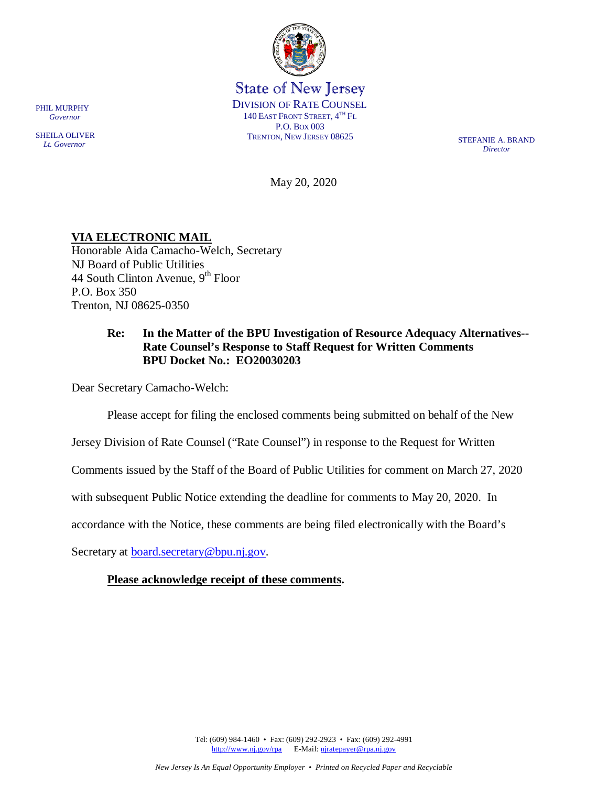

State of New Jersey DIVISION OF RATE COUNSEL 140 EAST FRONT STREET,  $4^{TH}$  Fl. P.O. BOX 003 TRENTON, NEW JERSEY 08625

*Director*

May 20, 2020

## **VIA ELECTRONIC MAIL**

Honorable Aida Camacho-Welch, Secretary NJ Board of Public Utilities 44 South Clinton Avenue,  $9<sup>th</sup>$  Floor P.O. Box 350 Trenton, NJ 08625-0350

## **Re: In the Matter of the BPU Investigation of Resource Adequacy Alternatives-- Rate Counsel's Response to Staff Request for Written Comments BPU Docket No.: EO20030203**

Dear Secretary Camacho-Welch:

Please accept for filing the enclosed comments being submitted on behalf of the New

Jersey Division of Rate Counsel ("Rate Counsel") in response to the Request for Written

Comments issued by the Staff of the Board of Public Utilities for comment on March 27, 2020

with subsequent Public Notice extending the deadline for comments to May 20, 2020. In

accordance with the Notice, these comments are being filed electronically with the Board's

Secretary at [board.secretary@bpu.nj.gov.](mailto:board.secretary@bpu.nj.gov)

### **Please acknowledge receipt of these comments.**

PHIL MURPHY  *Governor*

SHEILA OLIVER  *Lt. Governor*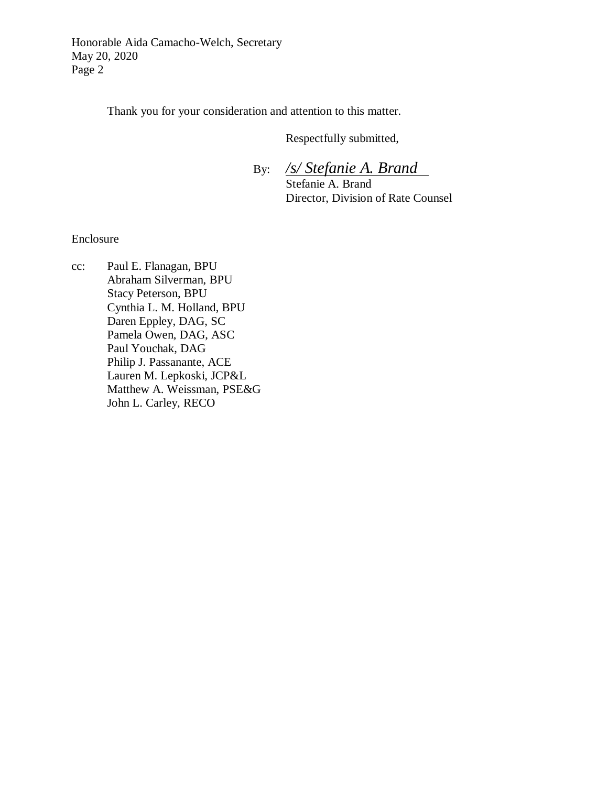Honorable Aida Camacho-Welch, Secretary May 20, 2020 Page 2

Thank you for your consideration and attention to this matter.

Respectfully submitted,

 By: */s/ Stefanie A. Brand* Stefanie A. Brand Director, Division of Rate Counsel

Enclosure

cc: Paul E. Flanagan, BPU Abraham Silverman, BPU Stacy Peterson, BPU Cynthia L. M. Holland, BPU Daren Eppley, DAG, SC Pamela Owen, DAG, ASC Paul Youchak, DAG Philip J. Passanante, ACE Lauren M. Lepkoski, JCP&L Matthew A. Weissman, PSE&G John L. Carley, RECO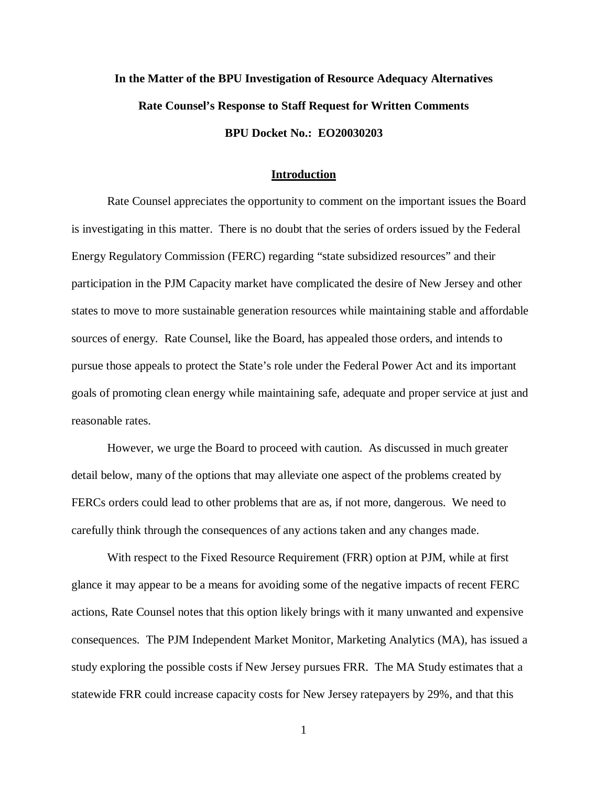# **In the Matter of the BPU Investigation of Resource Adequacy Alternatives Rate Counsel's Response to Staff Request for Written Comments BPU Docket No.: EO20030203**

#### **Introduction**

Rate Counsel appreciates the opportunity to comment on the important issues the Board is investigating in this matter. There is no doubt that the series of orders issued by the Federal Energy Regulatory Commission (FERC) regarding "state subsidized resources" and their participation in the PJM Capacity market have complicated the desire of New Jersey and other states to move to more sustainable generation resources while maintaining stable and affordable sources of energy. Rate Counsel, like the Board, has appealed those orders, and intends to pursue those appeals to protect the State's role under the Federal Power Act and its important goals of promoting clean energy while maintaining safe, adequate and proper service at just and reasonable rates.

However, we urge the Board to proceed with caution. As discussed in much greater detail below, many of the options that may alleviate one aspect of the problems created by FERCs orders could lead to other problems that are as, if not more, dangerous. We need to carefully think through the consequences of any actions taken and any changes made.

With respect to the Fixed Resource Requirement (FRR) option at PJM, while at first glance it may appear to be a means for avoiding some of the negative impacts of recent FERC actions, Rate Counsel notes that this option likely brings with it many unwanted and expensive consequences. The PJM Independent Market Monitor, Marketing Analytics (MA), has issued a study exploring the possible costs if New Jersey pursues FRR. The MA Study estimates that a statewide FRR could increase capacity costs for New Jersey ratepayers by 29%, and that this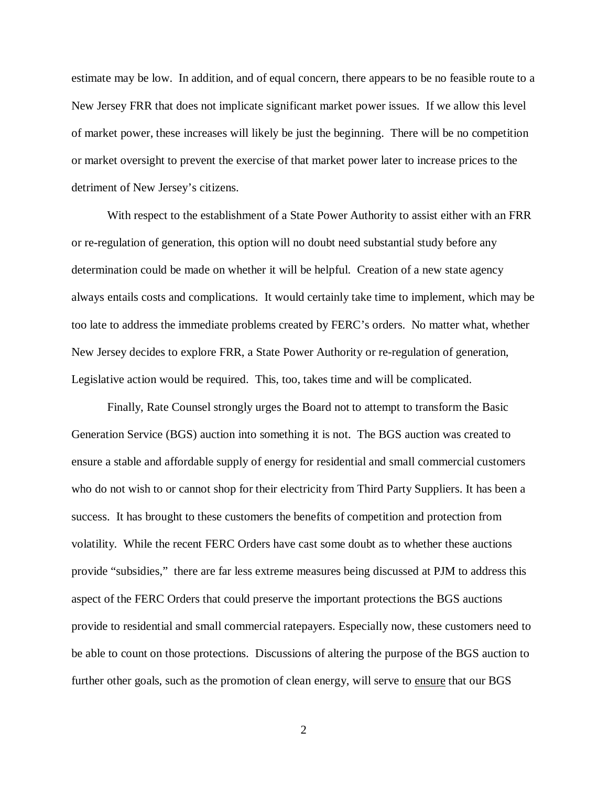estimate may be low. In addition, and of equal concern, there appears to be no feasible route to a New Jersey FRR that does not implicate significant market power issues. If we allow this level of market power, these increases will likely be just the beginning. There will be no competition or market oversight to prevent the exercise of that market power later to increase prices to the detriment of New Jersey's citizens.

With respect to the establishment of a State Power Authority to assist either with an FRR or re-regulation of generation, this option will no doubt need substantial study before any determination could be made on whether it will be helpful. Creation of a new state agency always entails costs and complications. It would certainly take time to implement, which may be too late to address the immediate problems created by FERC's orders. No matter what, whether New Jersey decides to explore FRR, a State Power Authority or re-regulation of generation, Legislative action would be required. This, too, takes time and will be complicated.

Finally, Rate Counsel strongly urges the Board not to attempt to transform the Basic Generation Service (BGS) auction into something it is not. The BGS auction was created to ensure a stable and affordable supply of energy for residential and small commercial customers who do not wish to or cannot shop for their electricity from Third Party Suppliers. It has been a success. It has brought to these customers the benefits of competition and protection from volatility. While the recent FERC Orders have cast some doubt as to whether these auctions provide "subsidies," there are far less extreme measures being discussed at PJM to address this aspect of the FERC Orders that could preserve the important protections the BGS auctions provide to residential and small commercial ratepayers. Especially now, these customers need to be able to count on those protections. Discussions of altering the purpose of the BGS auction to further other goals, such as the promotion of clean energy, will serve to ensure that our BGS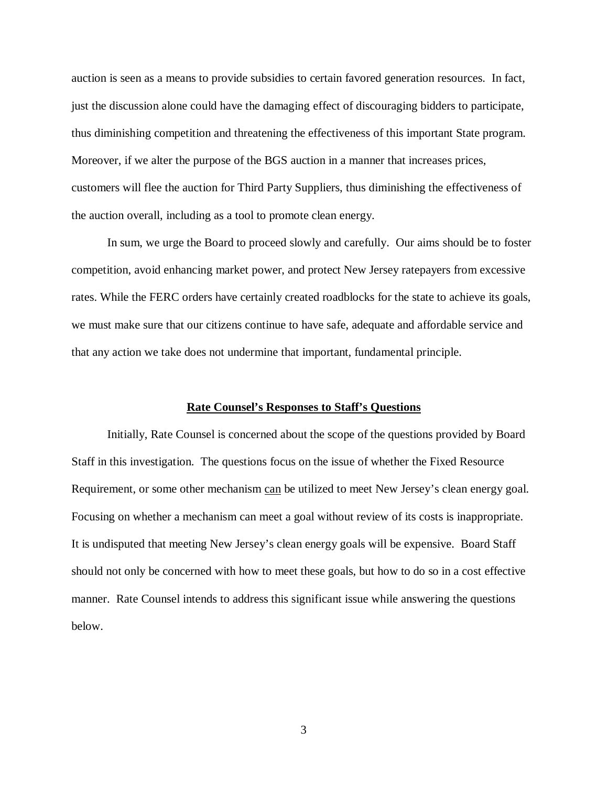auction is seen as a means to provide subsidies to certain favored generation resources. In fact, just the discussion alone could have the damaging effect of discouraging bidders to participate, thus diminishing competition and threatening the effectiveness of this important State program. Moreover, if we alter the purpose of the BGS auction in a manner that increases prices, customers will flee the auction for Third Party Suppliers, thus diminishing the effectiveness of the auction overall, including as a tool to promote clean energy.

In sum, we urge the Board to proceed slowly and carefully. Our aims should be to foster competition, avoid enhancing market power, and protect New Jersey ratepayers from excessive rates. While the FERC orders have certainly created roadblocks for the state to achieve its goals, we must make sure that our citizens continue to have safe, adequate and affordable service and that any action we take does not undermine that important, fundamental principle.

#### **Rate Counsel's Responses to Staff's Questions**

Initially, Rate Counsel is concerned about the scope of the questions provided by Board Staff in this investigation. The questions focus on the issue of whether the Fixed Resource Requirement, or some other mechanism can be utilized to meet New Jersey's clean energy goal. Focusing on whether a mechanism can meet a goal without review of its costs is inappropriate. It is undisputed that meeting New Jersey's clean energy goals will be expensive. Board Staff should not only be concerned with how to meet these goals, but how to do so in a cost effective manner. Rate Counsel intends to address this significant issue while answering the questions below.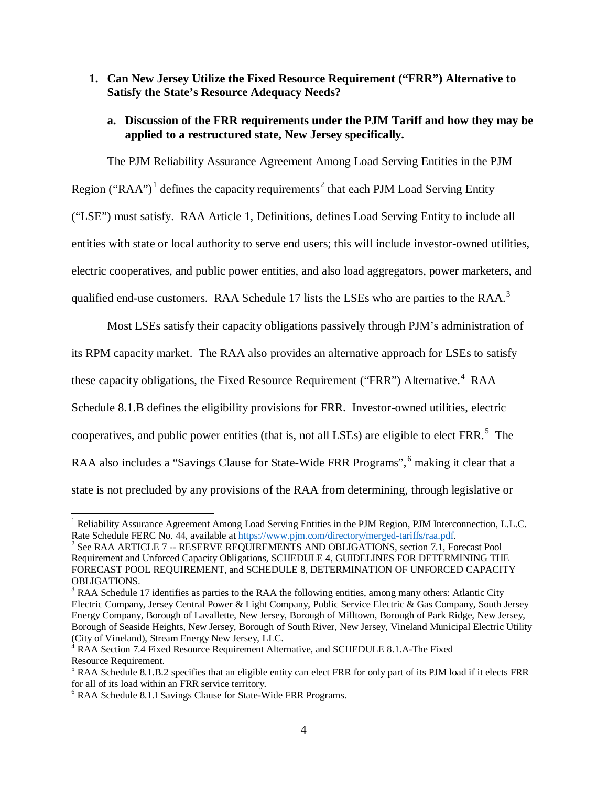## **1. Can New Jersey Utilize the Fixed Resource Requirement ("FRR") Alternative to Satisfy the State's Resource Adequacy Needs?**

## **a. Discussion of the FRR requirements under the PJM Tariff and how they may be applied to a restructured state, New Jersey specifically.**

The PJM Reliability Assurance Agreement Among Load Serving Entities in the PJM Region ("RAA")<sup>[1](#page-5-0)</sup> defines the capacity requirements<sup>[2](#page-5-1)</sup> that each PJM Load Serving Entity ("LSE") must satisfy. RAA Article 1, Definitions, defines Load Serving Entity to include all entities with state or local authority to serve end users; this will include investor-owned utilities, electric cooperatives, and public power entities, and also load aggregators, power marketers, and qualified end-use customers. RAA Schedule 17 lists the LSEs who are parties to the RAA.<sup>[3](#page-5-2)</sup>

Most LSEs satisfy their capacity obligations passively through PJM's administration of

its RPM capacity market. The RAA also provides an alternative approach for LSEs to satisfy

these capacity obligations, the Fixed Resource Requirement ("FRR") Alternative.<sup>[4](#page-5-3)</sup> RAA

Schedule 8.1.B defines the eligibility provisions for FRR. Investor-owned utilities, electric

cooperatives, and public power entities (that is, not all LSEs) are eligible to elect FRR.<sup>[5](#page-5-4)</sup> The

RAA also includes a "Savings Clause for State-Wide FRR Programs", <sup>[6](#page-5-5)</sup> making it clear that a

state is not precluded by any provisions of the RAA from determining, through legislative or

<span id="page-5-0"></span><sup>&</sup>lt;sup>1</sup> Reliability Assurance Agreement Among Load Serving Entities in the PJM Region, PJM Interconnection, L.L.C.<br>Rate Schedule FERC No. 44, available at https://www.pjm.com/directory/merged-tariffs/raa.pdf.

<span id="page-5-1"></span><sup>&</sup>lt;sup>2</sup> See RAA ARTICLE 7 -- RESERVE REQUIREMENTS AND OBLIGATIONS, section 7.1, Forecast Pool Requirement and Unforced Capacity Obligations, SCHEDULE 4, GUIDELINES FOR DETERMINING THE FORECAST POOL REQUIREMENT, and SCHEDULE 8, DETERMINATION OF UNFORCED CAPACITY OBLIGATIONS.<br><sup>3</sup> RAA Schedule 17 identifies as parties to the RAA the following entities, among many others: Atlantic City

<span id="page-5-2"></span>Electric Company, Jersey Central Power & Light Company, Public Service Electric & Gas Company, South Jersey Energy Company, Borough of Lavallette, New Jersey, Borough of Milltown, Borough of Park Ridge, New Jersey, Borough of Seaside Heights, New Jersey, Borough of South River, New Jersey, Vineland Municipal Electric Utility (City of Vineland), Stream Energy New Jersey, LLC.

<span id="page-5-3"></span><sup>&</sup>lt;sup>4</sup> RAA Section 7.4 Fixed Resource Requirement Alternative, and SCHEDULE 8.1.A-The Fixed Resource Requirement.

<span id="page-5-4"></span> $5$  RAA Schedule 8.1.B.2 specifies that an eligible entity can elect FRR for only part of its PJM load if it elects FRR for all of its load within an FRR service territory.

<span id="page-5-5"></span> $6$  RAA Schedule 8.1.I Savings Clause for State-Wide FRR Programs.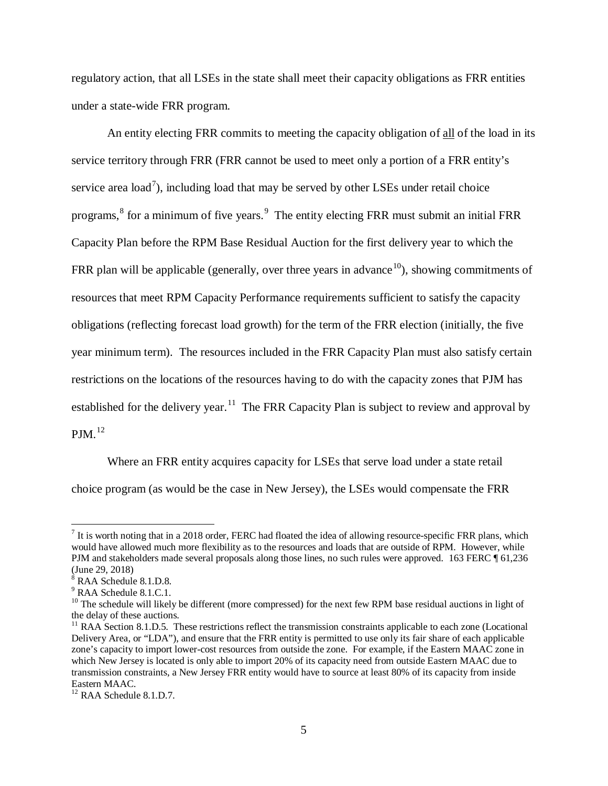regulatory action, that all LSEs in the state shall meet their capacity obligations as FRR entities under a state-wide FRR program.

An entity electing FRR commits to meeting the capacity obligation of all of the load in its service territory through FRR (FRR cannot be used to meet only a portion of a FRR entity's service area load<sup>[7](#page-6-0)</sup>), including load that may be served by other LSEs under retail choice programs, <sup>[8](#page-6-1)</sup> for a minimum of five years. <sup>[9](#page-6-2)</sup> The entity electing FRR must submit an initial FRR Capacity Plan before the RPM Base Residual Auction for the first delivery year to which the FRR plan will be applicable (generally, over three years in advance  $10$ ), showing commitments of resources that meet RPM Capacity Performance requirements sufficient to satisfy the capacity obligations (reflecting forecast load growth) for the term of the FRR election (initially, the five year minimum term). The resources included in the FRR Capacity Plan must also satisfy certain restrictions on the locations of the resources having to do with the capacity zones that PJM has established for the delivery year.<sup>11</sup> The FRR Capacity Plan is subject to review and approval by  $PJM.$ <sup>12</sup>

Where an FRR entity acquires capacity for LSEs that serve load under a state retail choice program (as would be the case in New Jersey), the LSEs would compensate the FRR

<span id="page-6-0"></span> $<sup>7</sup>$  It is worth noting that in a 2018 order, FERC had floated the idea of allowing resource-specific FRR plans, which</sup> would have allowed much more flexibility as to the resources and loads that are outside of RPM. However, while PJM and stakeholders made several proposals along those lines, no such rules were approved.163 FERC ¶ 61,236 (June 29, 2018)

<span id="page-6-1"></span> $8$  RAA Schedule 8.1.D.8.

<span id="page-6-2"></span><sup>&</sup>lt;sup>9</sup> RAA Schedule 8.1.C.1.

<span id="page-6-3"></span> $10$  The schedule will likely be different (more compressed) for the next few RPM base residual auctions in light of the delay of these auctions.

<span id="page-6-4"></span><sup>&</sup>lt;sup>11</sup> RAA Section 8.1.D.5. These restrictions reflect the transmission constraints applicable to each zone (Locational Delivery Area, or "LDA"), and ensure that the FRR entity is permitted to use only its fair share of each applicable zone's capacity to import lower-cost resources from outside the zone. For example, if the Eastern MAAC zone in which New Jersey is located is only able to import 20% of its capacity need from outside Eastern MAAC due to transmission constraints, a New Jersey FRR entity would have to source at least 80% of its capacity from inside Eastern MAAC.

<span id="page-6-5"></span><sup>&</sup>lt;sup>12</sup> RAA Schedule 8.1.D.7.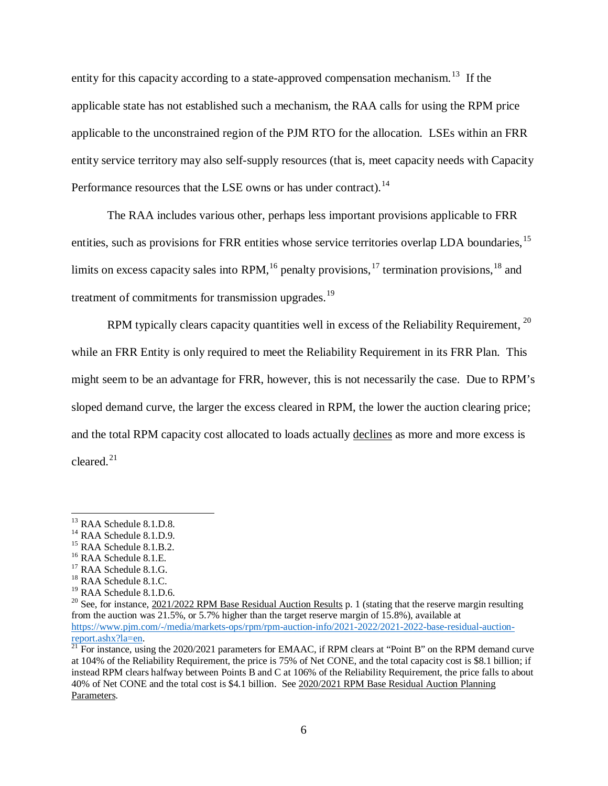entity for this capacity according to a state-approved compensation mechanism.<sup>[13](#page-7-0)</sup> If the applicable state has not established such a mechanism, the RAA calls for using the RPM price applicable to the unconstrained region of the PJM RTO for the allocation. LSEs within an FRR entity service territory may also self-supply resources (that is, meet capacity needs with Capacity Performance resources that the LSE owns or has under contract).<sup>[14](#page-7-1)</sup>

The RAA includes various other, perhaps less important provisions applicable to FRR entities, such as provisions for FRR entities whose service territories overlap LDA boundaries, <sup>[15](#page-7-2)</sup> limits on excess capacity sales into RPM,<sup>[16](#page-7-3)</sup> penalty provisions,<sup>[17](#page-7-4)</sup> termination provisions,<sup>[18](#page-7-5)</sup> and treatment of commitments for transmission upgrades.<sup>[19](#page-7-6)</sup>

RPM typically clears capacity quantities well in excess of the Reliability Requirement, <sup>[20](#page-7-7)</sup> while an FRR Entity is only required to meet the Reliability Requirement in its FRR Plan. This might seem to be an advantage for FRR, however, this is not necessarily the case. Due to RPM's sloped demand curve, the larger the excess cleared in RPM, the lower the auction clearing price; and the total RPM capacity cost allocated to loads actually declines as more and more excess is cleared.[21](#page-7-8)

<span id="page-7-3"></span>

<span id="page-7-1"></span>

<span id="page-7-0"></span><sup>&</sup>lt;sup>13</sup> RAA Schedule 8.1.D.9.<br><sup>15</sup> RAA Schedule 8.1.D.9.<br><sup>15</sup> RAA Schedule 8.1.B.2.<br><sup>17</sup> RAA Schedule 8.1.G. <sup>18</sup> RAA Schedule 8.1.C. <sup>19</sup> RAA Schedule 8.1.D.6.

<span id="page-7-2"></span>

<span id="page-7-4"></span>

<span id="page-7-5"></span>

<span id="page-7-7"></span><span id="page-7-6"></span><sup>&</sup>lt;sup>20</sup> See, for instance,  $\frac{2021}{2022}$  RPM Base Residual Auction Results p. 1 (stating that the reserve margin resulting from the auction was 21.5%, or 5.7% higher than the target reserve margin of 15.8%), available at [https://www.pjm.com/-/media/markets-ops/rpm/rpm-auction-info/2021-2022/2021-2022-base-residual-auction-](https://www.pjm.com/-/media/markets-ops/rpm/rpm-auction-info/2021-2022/2021-2022-base-residual-auction-report.ashx?la=en)

<span id="page-7-8"></span>[report.ashx?la=en.](https://www.pjm.com/-/media/markets-ops/rpm/rpm-auction-info/2021-2022/2021-2022-base-residual-auction-report.ashx?la=en)<br><sup>21</sup> For instance, using the 2020/2021 parameters for EMAAC, if RPM clears at "Point B" on the RPM demand curve at 104% of the Reliability Requirement, the price is 75% of Net CONE, and the total capacity cost is \$8.1 billion; if instead RPM clears halfway between Points B and C at 106% of the Reliability Requirement, the price falls to about 40% of Net CONE and the total cost is \$4.1 billion. See 2020/2021 RPM Base Residual Auction Planning Parameters.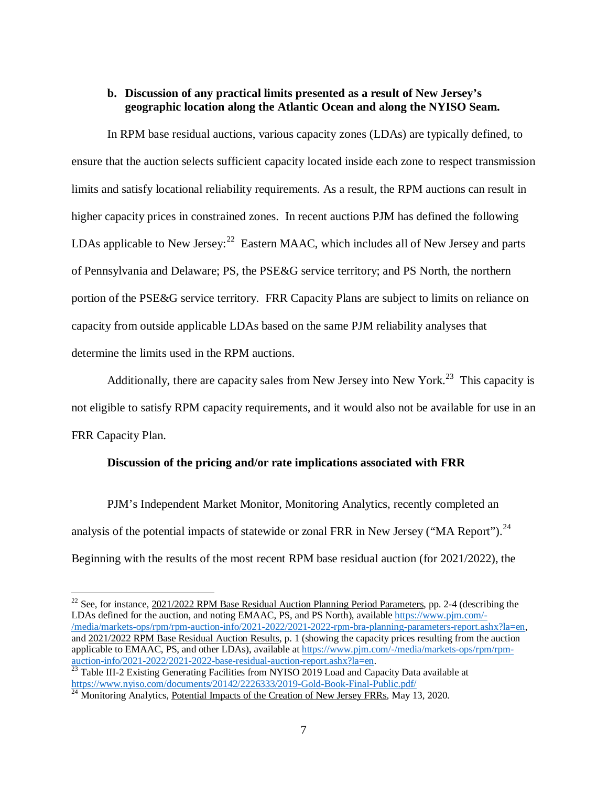### **b. Discussion of any practical limits presented as a result of New Jersey's geographic location along the Atlantic Ocean and along the NYISO Seam.**

In RPM base residual auctions, various capacity zones (LDAs) are typically defined, to ensure that the auction selects sufficient capacity located inside each zone to respect transmission limits and satisfy locational reliability requirements. As a result, the RPM auctions can result in higher capacity prices in constrained zones. In recent auctions PJM has defined the following LDAs applicable to New Jersey:  $22$  Eastern MAAC, which includes all of New Jersey and parts of Pennsylvania and Delaware; PS, the PSE&G service territory; and PS North, the northern portion of the PSE&G service territory. FRR Capacity Plans are subject to limits on reliance on capacity from outside applicable LDAs based on the same PJM reliability analyses that determine the limits used in the RPM auctions.

Additionally, there are capacity sales from New Jersey into New York.<sup>[23](#page-8-1)</sup> This capacity is not eligible to satisfy RPM capacity requirements, and it would also not be available for use in an FRR Capacity Plan.

#### **Discussion of the pricing and/or rate implications associated with FRR**

PJM's Independent Market Monitor, Monitoring Analytics, recently completed an analysis of the potential impacts of statewide or zonal FRR in New Jersey ("MA Report").<sup>24</sup> Beginning with the results of the most recent RPM base residual auction (for 2021/2022), the

<span id="page-8-0"></span><sup>&</sup>lt;sup>22</sup> See, for instance, 2021/2022 RPM Base Residual Auction Planning Period Parameters, pp. 2-4 (describing the LDAs defined for the auction, and noting EMAAC, PS, and PS North), available [https://www.pjm.com/-](https://www.pjm.com/-/media/markets-ops/rpm/rpm-auction-info/2021-2022/2021-2022-rpm-bra-planning-parameters-report.ashx?la=en) [/media/markets-ops/rpm/rpm-auction-info/2021-2022/2021-2022-rpm-bra-planning-parameters-report.ashx?la=en,](https://www.pjm.com/-/media/markets-ops/rpm/rpm-auction-info/2021-2022/2021-2022-rpm-bra-planning-parameters-report.ashx?la=en) and 2021/2022 RPM Base Residual Auction Results, p. 1 (showing the capacity prices resulting from the auction applicable to EMAAC, PS, and other LDAs), available at https://www.pjm.com/-/media/markets-ops/rpm/rpm-<br>auction-info/2021-2022/2021-2022-base-residual-auction-report.ashx?la=en.

<span id="page-8-1"></span><sup>&</sup>lt;sup>23</sup> Table III-2 Existing Generating Facilities from NYISO 2019 Load and Capacity Data available at https://www.nviso.com/documents/20142/2226333/2019-Gold-Book-Final-Public.pdf/

<span id="page-8-2"></span><sup>&</sup>lt;sup>24</sup> Monitoring Analytics, <u>Potential Impacts of the Creation of New Jersey FRRs</u>, May 13, 2020.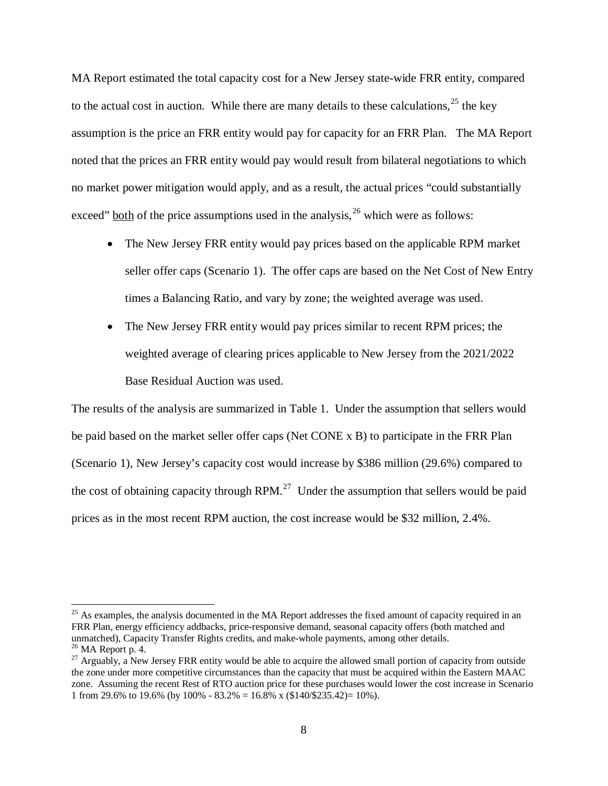MA Report estimated the total capacity cost for a New Jersey state-wide FRR entity, compared to the actual cost in auction. While there are many details to these calculations,  $2<sup>5</sup>$  the key assumption is the price an FRR entity would pay for capacity for an FRR Plan. The MA Report noted that the prices an FRR entity would pay would result from bilateral negotiations to which no market power mitigation would apply, and as a result, the actual prices "could substantially exceed" both of the price assumptions used in the analysis,  $2<sup>6</sup>$  which were as follows:

- The New Jersey FRR entity would pay prices based on the applicable RPM market seller offer caps (Scenario 1). The offer caps are based on the Net Cost of New Entry times a Balancing Ratio, and vary by zone; the weighted average was used.
- The New Jersey FRR entity would pay prices similar to recent RPM prices; the weighted average of clearing prices applicable to New Jersey from the 2021/2022 Base Residual Auction was used.

The results of the analysis are summarized in Table 1. Under the assumption that sellers would be paid based on the market seller offer caps (Net CONE x B) to participate in the FRR Plan (Scenario 1), New Jersey's capacity cost would increase by \$386 million (29.6%) compared to the cost of obtaining capacity through RPM.<sup>27</sup> Under the assumption that sellers would be paid prices as in the most recent RPM auction, the cost increase would be \$32 million, 2.4%.

<span id="page-9-0"></span><sup>&</sup>lt;sup>25</sup> As examples, the analysis documented in the MA Report addresses the fixed amount of capacity required in an FRR Plan, energy efficiency addbacks, price-responsive demand, seasonal capacity offers (both matched and unmatched), Capacity Transfer Rights credits, and make-whole payments, among other details.

<span id="page-9-2"></span><span id="page-9-1"></span><sup>&</sup>lt;sup>26</sup> MA Report p. 4. **26 MA Report p. 4.** 26 MA Report p. 4. 27 Arguably, a New Jersey FRR entity would be able to acquire the allowed small portion of capacity from outside the zone under more competitive circumstances than the capacity that must be acquired within the Eastern MAAC zone. Assuming the recent Rest of RTO auction price for these purchases would lower the cost increase in Scenario 1 from 29.6% to 19.6% (by 100% - 83.2% = 16.8% x (\$140/\$235.42)= 10%).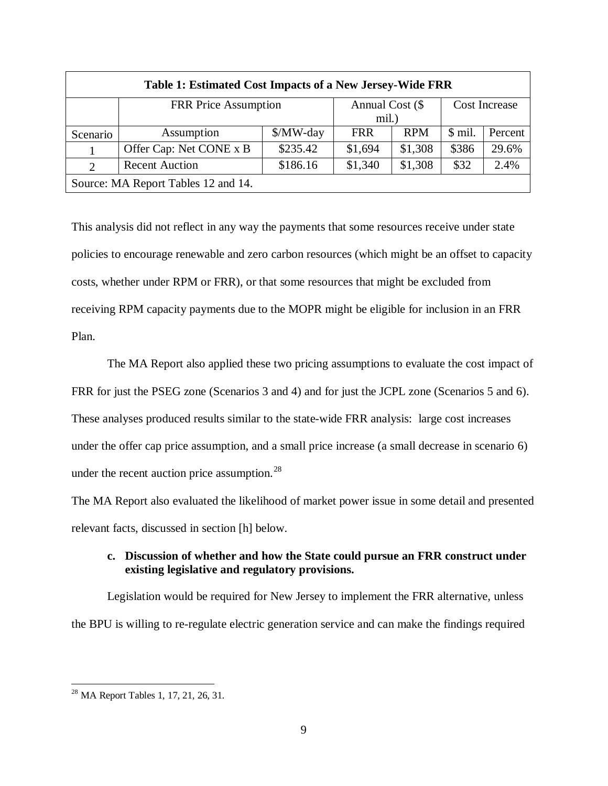| Table 1: Estimated Cost Impacts of a New Jersey-Wide FRR |                             |           |                 |            |                      |         |
|----------------------------------------------------------|-----------------------------|-----------|-----------------|------------|----------------------|---------|
|                                                          | <b>FRR Price Assumption</b> |           | Annual Cost (\$ |            | <b>Cost Increase</b> |         |
|                                                          |                             |           | mil.)           |            |                      |         |
| Scenario                                                 | Assumption                  | $MW$ -day | <b>FRR</b>      | <b>RPM</b> | \$ mil.              | Percent |
|                                                          | Offer Cap: Net CONE x B     | \$235.42  | \$1,694         | \$1,308    | \$386                | 29.6%   |
| 2                                                        | <b>Recent Auction</b>       | \$186.16  | \$1,340         | \$1,308    | \$32                 | 2.4%    |
| Source: MA Report Tables 12 and 14.                      |                             |           |                 |            |                      |         |

This analysis did not reflect in any way the payments that some resources receive under state policies to encourage renewable and zero carbon resources (which might be an offset to capacity costs, whether under RPM or FRR), or that some resources that might be excluded from receiving RPM capacity payments due to the MOPR might be eligible for inclusion in an FRR Plan.

The MA Report also applied these two pricing assumptions to evaluate the cost impact of FRR for just the PSEG zone (Scenarios 3 and 4) and for just the JCPL zone (Scenarios 5 and 6). These analyses produced results similar to the state-wide FRR analysis: large cost increases under the offer cap price assumption, and a small price increase (a small decrease in scenario 6) under the recent auction price assumption. $^{28}$  $^{28}$  $^{28}$ 

The MA Report also evaluated the likelihood of market power issue in some detail and presented relevant facts, discussed in section [h] below.

## **c. Discussion of whether and how the State could pursue an FRR construct under existing legislative and regulatory provisions.**

Legislation would be required for New Jersey to implement the FRR alternative, unless the BPU is willing to re-regulate electric generation service and can make the findings required

<span id="page-10-0"></span><sup>28</sup> MA Report Tables 1, 17, 21, 26, 31.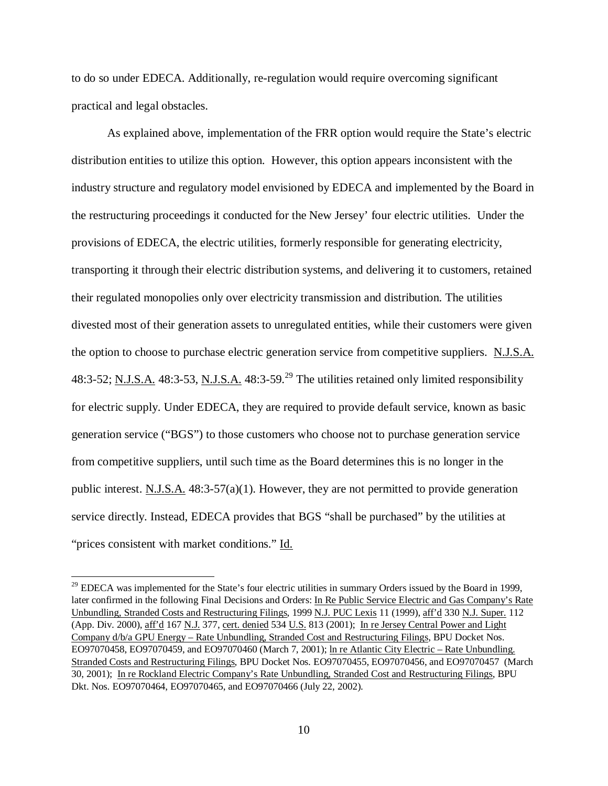to do so under EDECA. Additionally, re-regulation would require overcoming significant practical and legal obstacles.

As explained above, implementation of the FRR option would require the State's electric distribution entities to utilize this option. However, this option appears inconsistent with the industry structure and regulatory model envisioned by EDECA and implemented by the Board in the restructuring proceedings it conducted for the New Jersey' four electric utilities. Under the provisions of EDECA, the electric utilities, formerly responsible for generating electricity, transporting it through their electric distribution systems, and delivering it to customers, retained their regulated monopolies only over electricity transmission and distribution. The utilities divested most of their generation assets to unregulated entities, while their customers were given the option to choose to purchase electric generation service from competitive suppliers. N.J.S.A. 48:3-52; N.J.S.A. 48:3-53, N.J.S.A. 48:3-59.<sup>[29](#page-11-0)</sup> The utilities retained only limited responsibility for electric supply. Under EDECA, they are required to provide default service, known as basic generation service ("BGS") to those customers who choose not to purchase generation service from competitive suppliers, until such time as the Board determines this is no longer in the public interest. N.J.S.A. 48:3-57(a)(1). However, they are not permitted to provide generation service directly. Instead, EDECA provides that BGS "shall be purchased" by the utilities at "prices consistent with market conditions." Id.

<span id="page-11-0"></span><sup>&</sup>lt;sup>29</sup> EDECA was implemented for the State's four electric utilities in summary Orders issued by the Board in 1999, later confirmed in the following Final Decisions and Orders: In Re Public Service Electric and Gas Company's Rate Unbundling, Stranded Costs and Restructuring Filings, 1999 N.J. PUC Lexis 11 (1999), aff'd 330 N.J. Super. 112 (App. Div. 2000), aff'd 167 N.J. 377, cert. denied 534 U.S. 813 (2001); In re Jersey Central Power and Light Company d/b/a GPU Energy – Rate Unbundling, Stranded Cost and Restructuring Filings, BPU Docket Nos. EO97070458, EO97070459, and EO97070460 (March 7, 2001); ln re Atlantic City Electric – Rate Unbundling. Stranded Costs and Restructuring Filings, BPU Docket Nos. EO97070455, EO97070456, and EO97070457 (March 30, 2001); In re Rockland Electric Company's Rate Unbundling, Stranded Cost and Restructuring Filings, BPU Dkt. Nos. EO97070464, EO97070465, and EO97070466 (July 22, 2002).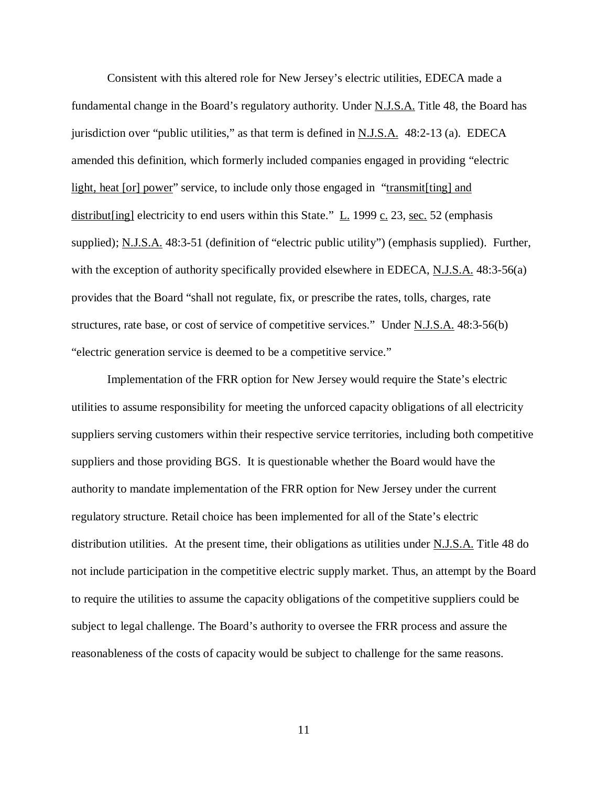Consistent with this altered role for New Jersey's electric utilities, EDECA made a fundamental change in the Board's regulatory authority. Under N.J.S.A. Title 48, the Board has jurisdiction over "public utilities," as that term is defined in N.J.S.A. 48:2-13 (a). EDECA amended this definition, which formerly included companies engaged in providing "electric light, heat [or] power" service, to include only those engaged in "transmit[ting] and distribut [ing] electricity to end users within this State."  $\underline{L}$ . 1999  $\underline{c}$ . 23, <u>sec.</u> 52 (emphasis supplied); N.J.S.A. 48:3-51 (definition of "electric public utility") (emphasis supplied). Further, with the exception of authority specifically provided elsewhere in EDECA, N.J.S.A. 48:3-56(a) provides that the Board "shall not regulate, fix, or prescribe the rates, tolls, charges, rate structures, rate base, or cost of service of competitive services." Under N.J.S.A. 48:3-56(b) "electric generation service is deemed to be a competitive service."

Implementation of the FRR option for New Jersey would require the State's electric utilities to assume responsibility for meeting the unforced capacity obligations of all electricity suppliers serving customers within their respective service territories, including both competitive suppliers and those providing BGS. It is questionable whether the Board would have the authority to mandate implementation of the FRR option for New Jersey under the current regulatory structure. Retail choice has been implemented for all of the State's electric distribution utilities. At the present time, their obligations as utilities under N.J.S.A. Title 48 do not include participation in the competitive electric supply market. Thus, an attempt by the Board to require the utilities to assume the capacity obligations of the competitive suppliers could be subject to legal challenge. The Board's authority to oversee the FRR process and assure the reasonableness of the costs of capacity would be subject to challenge for the same reasons.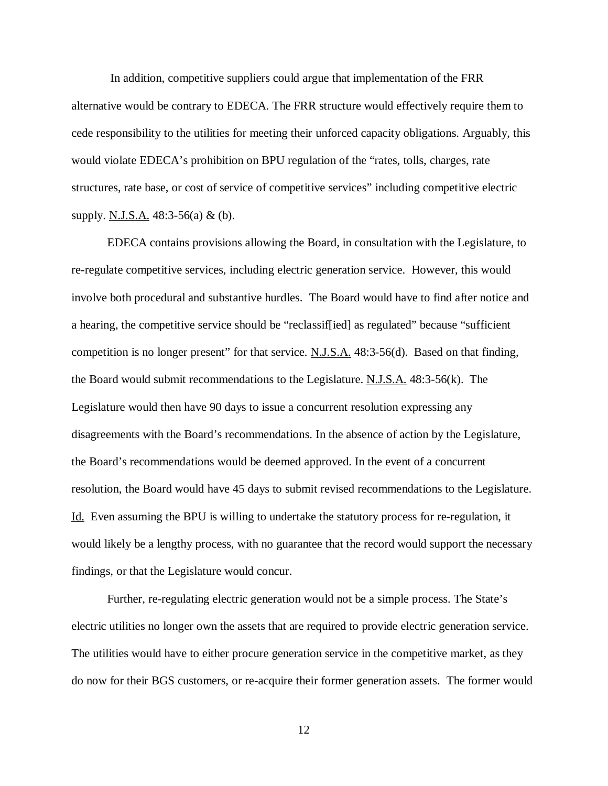In addition, competitive suppliers could argue that implementation of the FRR alternative would be contrary to EDECA. The FRR structure would effectively require them to cede responsibility to the utilities for meeting their unforced capacity obligations. Arguably, this would violate EDECA's prohibition on BPU regulation of the "rates, tolls, charges, rate structures, rate base, or cost of service of competitive services" including competitive electric supply. N.J.S.A. 48:3-56(a) & (b).

EDECA contains provisions allowing the Board, in consultation with the Legislature, to re-regulate competitive services, including electric generation service. However, this would involve both procedural and substantive hurdles. The Board would have to find after notice and a hearing, the competitive service should be "reclassif[ied] as regulated" because "sufficient competition is no longer present" for that service. N.J.S.A. 48:3-56(d). Based on that finding, the Board would submit recommendations to the Legislature.  $N.J.S.A.$  48:3-56(k). The Legislature would then have 90 days to issue a concurrent resolution expressing any disagreements with the Board's recommendations. In the absence of action by the Legislature, the Board's recommendations would be deemed approved. In the event of a concurrent resolution, the Board would have 45 days to submit revised recommendations to the Legislature. Id. Even assuming the BPU is willing to undertake the statutory process for re-regulation, it would likely be a lengthy process, with no guarantee that the record would support the necessary findings, or that the Legislature would concur.

Further, re-regulating electric generation would not be a simple process. The State's electric utilities no longer own the assets that are required to provide electric generation service. The utilities would have to either procure generation service in the competitive market, as they do now for their BGS customers, or re-acquire their former generation assets. The former would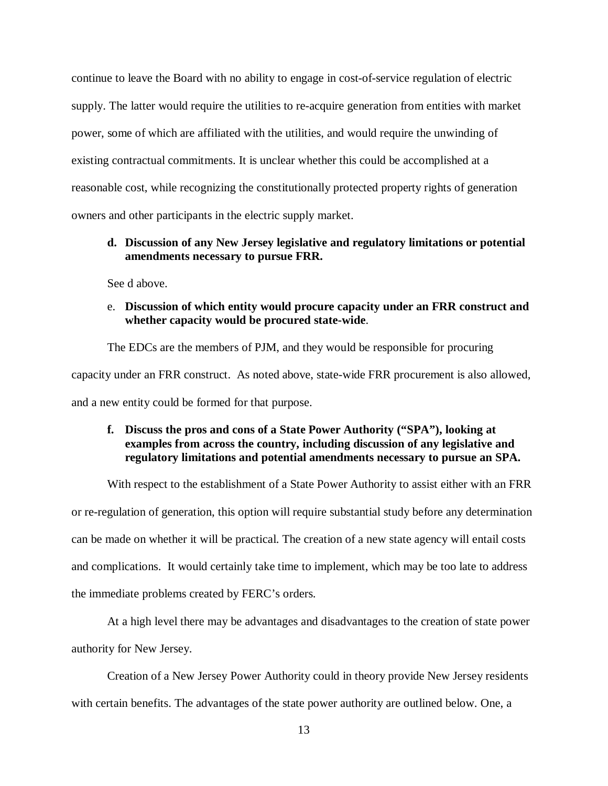continue to leave the Board with no ability to engage in cost-of-service regulation of electric supply. The latter would require the utilities to re-acquire generation from entities with market power, some of which are affiliated with the utilities, and would require the unwinding of existing contractual commitments. It is unclear whether this could be accomplished at a reasonable cost, while recognizing the constitutionally protected property rights of generation owners and other participants in the electric supply market.

#### **d. Discussion of any New Jersey legislative and regulatory limitations or potential amendments necessary to pursue FRR.**

See d above.

#### e. **Discussion of which entity would procure capacity under an FRR construct and whether capacity would be procured state-wide**.

The EDCs are the members of PJM, and they would be responsible for procuring capacity under an FRR construct. As noted above, state-wide FRR procurement is also allowed, and a new entity could be formed for that purpose.

#### **f. Discuss the pros and cons of a State Power Authority ("SPA"), looking at examples from across the country, including discussion of any legislative and regulatory limitations and potential amendments necessary to pursue an SPA.**

With respect to the establishment of a State Power Authority to assist either with an FRR or re-regulation of generation, this option will require substantial study before any determination can be made on whether it will be practical. The creation of a new state agency will entail costs and complications. It would certainly take time to implement, which may be too late to address the immediate problems created by FERC's orders.

At a high level there may be advantages and disadvantages to the creation of state power authority for New Jersey.

Creation of a New Jersey Power Authority could in theory provide New Jersey residents with certain benefits. The advantages of the state power authority are outlined below. One, a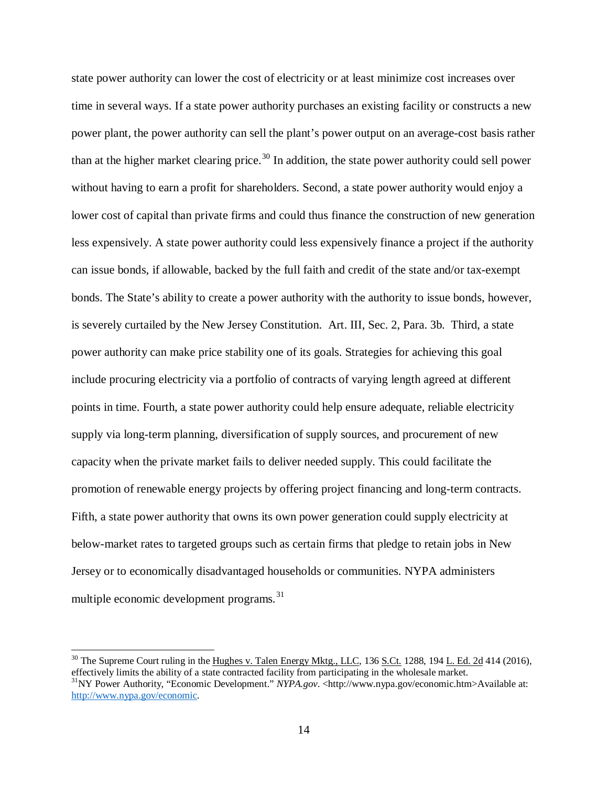state power authority can lower the cost of electricity or at least minimize cost increases over time in several ways. If a state power authority purchases an existing facility or constructs a new power plant, the power authority can sell the plant's power output on an average-cost basis rather than at the higher market clearing price.<sup>[30](#page-15-0)</sup> In addition, the state power authority could sell power without having to earn a profit for shareholders. Second, a state power authority would enjoy a lower cost of capital than private firms and could thus finance the construction of new generation less expensively. A state power authority could less expensively finance a project if the authority can issue bonds, if allowable, backed by the full faith and credit of the state and/or tax-exempt bonds. The State's ability to create a power authority with the authority to issue bonds, however, is severely curtailed by the New Jersey Constitution. Art. III, Sec. 2, Para. 3b. Third, a state power authority can make price stability one of its goals. Strategies for achieving this goal include procuring electricity via a portfolio of contracts of varying length agreed at different points in time. Fourth, a state power authority could help ensure adequate, reliable electricity supply via long-term planning, diversification of supply sources, and procurement of new capacity when the private market fails to deliver needed supply. This could facilitate the promotion of renewable energy projects by offering project financing and long-term contracts. Fifth, a state power authority that owns its own power generation could supply electricity at below-market rates to targeted groups such as certain firms that pledge to retain jobs in New Jersey or to economically disadvantaged households or communities. NYPA administers multiple economic development programs.<sup>[31](#page-15-1)</sup>

<span id="page-15-1"></span><span id="page-15-0"></span> $30$  The Supreme Court ruling in the Hughes v. Talen Energy Mktg., LLC, 136 S.Ct. 1288, 194 L. Ed. 2d 414 (2016), effectively limits the ability of a state contracted facility from participating in the wholesale market. <sup>31</sup>NY Power Authority, "Economic Development." *NYPA.gov.* <http://www.nypa.gov/economic.htm>Available at: [http://www.nypa.gov/economic.](http://www.nypa.gov/economic)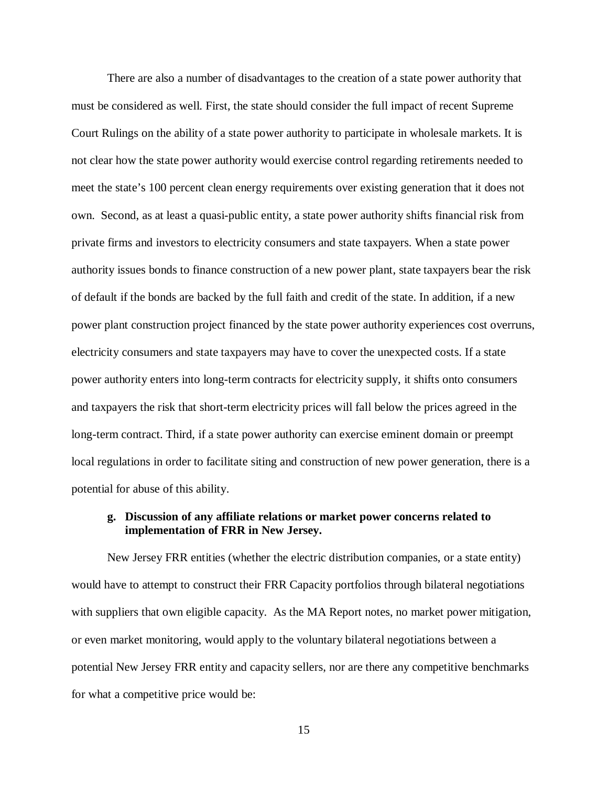There are also a number of disadvantages to the creation of a state power authority that must be considered as well. First, the state should consider the full impact of recent Supreme Court Rulings on the ability of a state power authority to participate in wholesale markets. It is not clear how the state power authority would exercise control regarding retirements needed to meet the state's 100 percent clean energy requirements over existing generation that it does not own. Second, as at least a quasi-public entity, a state power authority shifts financial risk from private firms and investors to electricity consumers and state taxpayers. When a state power authority issues bonds to finance construction of a new power plant, state taxpayers bear the risk of default if the bonds are backed by the full faith and credit of the state. In addition, if a new power plant construction project financed by the state power authority experiences cost overruns, electricity consumers and state taxpayers may have to cover the unexpected costs. If a state power authority enters into long-term contracts for electricity supply, it shifts onto consumers and taxpayers the risk that short-term electricity prices will fall below the prices agreed in the long-term contract. Third, if a state power authority can exercise eminent domain or preempt local regulations in order to facilitate siting and construction of new power generation, there is a potential for abuse of this ability.

#### **g. Discussion of any affiliate relations or market power concerns related to implementation of FRR in New Jersey.**

New Jersey FRR entities (whether the electric distribution companies, or a state entity) would have to attempt to construct their FRR Capacity portfolios through bilateral negotiations with suppliers that own eligible capacity. As the MA Report notes, no market power mitigation, or even market monitoring, would apply to the voluntary bilateral negotiations between a potential New Jersey FRR entity and capacity sellers, nor are there any competitive benchmarks for what a competitive price would be: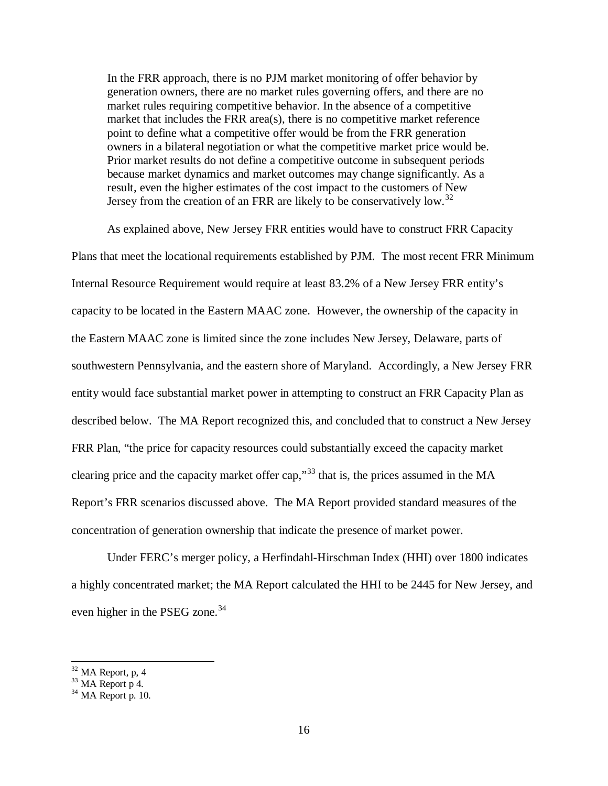In the FRR approach, there is no PJM market monitoring of offer behavior by generation owners, there are no market rules governing offers, and there are no market rules requiring competitive behavior. In the absence of a competitive market that includes the FRR area(s), there is no competitive market reference point to define what a competitive offer would be from the FRR generation owners in a bilateral negotiation or what the competitive market price would be. Prior market results do not define a competitive outcome in subsequent periods because market dynamics and market outcomes may change significantly. As a result, even the higher estimates of the cost impact to the customers of New Jersey from the creation of an FRR are likely to be conservatively low.<sup>[32](#page-17-0)</sup>

As explained above, New Jersey FRR entities would have to construct FRR Capacity Plans that meet the locational requirements established by PJM. The most recent FRR Minimum Internal Resource Requirement would require at least 83.2% of a New Jersey FRR entity's capacity to be located in the Eastern MAAC zone. However, the ownership of the capacity in the Eastern MAAC zone is limited since the zone includes New Jersey, Delaware, parts of southwestern Pennsylvania, and the eastern shore of Maryland. Accordingly, a New Jersey FRR entity would face substantial market power in attempting to construct an FRR Capacity Plan as described below. The MA Report recognized this, and concluded that to construct a New Jersey FRR Plan, "the price for capacity resources could substantially exceed the capacity market clearing price and the capacity market offer cap,"[33](#page-17-1) that is, the prices assumed in the MA Report's FRR scenarios discussed above. The MA Report provided standard measures of the concentration of generation ownership that indicate the presence of market power.

Under FERC's merger policy, a Herfindahl-Hirschman Index (HHI) over 1800 indicates a highly concentrated market; the MA Report calculated the HHI to be 2445 for New Jersey, and even higher in the PSEG zone.<sup>[34](#page-17-2)</sup>

<span id="page-17-1"></span><span id="page-17-0"></span><sup>&</sup>lt;sup>32</sup> MA Report, p, 4<br><sup>33</sup> MA Report p 4.<br><sup>34</sup> MA Report p. 10.

<span id="page-17-2"></span>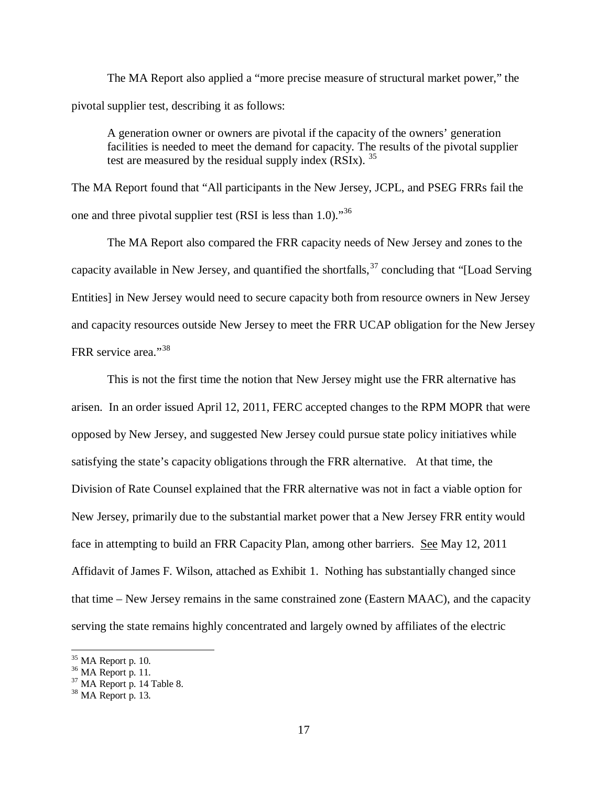The MA Report also applied a "more precise measure of structural market power," the pivotal supplier test, describing it as follows:

A generation owner or owners are pivotal if the capacity of the owners' generation facilities is needed to meet the demand for capacity. The results of the pivotal supplier test are measured by the residual supply index  $(RSIx)$ . <sup>[35](#page-18-0)</sup>

The MA Report found that "All participants in the New Jersey, JCPL, and PSEG FRRs fail the one and three pivotal supplier test (RSI is less than  $1.0$ ).<sup>[36](#page-18-1)</sup>

The MA Report also compared the FRR capacity needs of New Jersey and zones to the capacity available in New Jersey, and quantified the shortfalls,  $37$  concluding that "[Load Serving] Entities] in New Jersey would need to secure capacity both from resource owners in New Jersey and capacity resources outside New Jersey to meet the FRR UCAP obligation for the New Jersey FRR service area."[38](#page-18-3) 

This is not the first time the notion that New Jersey might use the FRR alternative has arisen. In an order issued April 12, 2011, FERC accepted changes to the RPM MOPR that were opposed by New Jersey, and suggested New Jersey could pursue state policy initiatives while satisfying the state's capacity obligations through the FRR alternative. At that time, the Division of Rate Counsel explained that the FRR alternative was not in fact a viable option for New Jersey, primarily due to the substantial market power that a New Jersey FRR entity would face in attempting to build an FRR Capacity Plan, among other barriers. See May 12, 2011 Affidavit of James F. Wilson, attached as Exhibit 1. Nothing has substantially changed since that time – New Jersey remains in the same constrained zone (Eastern MAAC), and the capacity serving the state remains highly concentrated and largely owned by affiliates of the electric

<span id="page-18-2"></span><span id="page-18-1"></span>

<span id="page-18-0"></span><sup>&</sup>lt;sup>35</sup> MA Report p. 10.<br><sup>36</sup> MA Report p. 11.<br><sup>37</sup> MA Report p. 14 Table 8.<br><sup>38</sup> MA Report p. 13.

<span id="page-18-3"></span>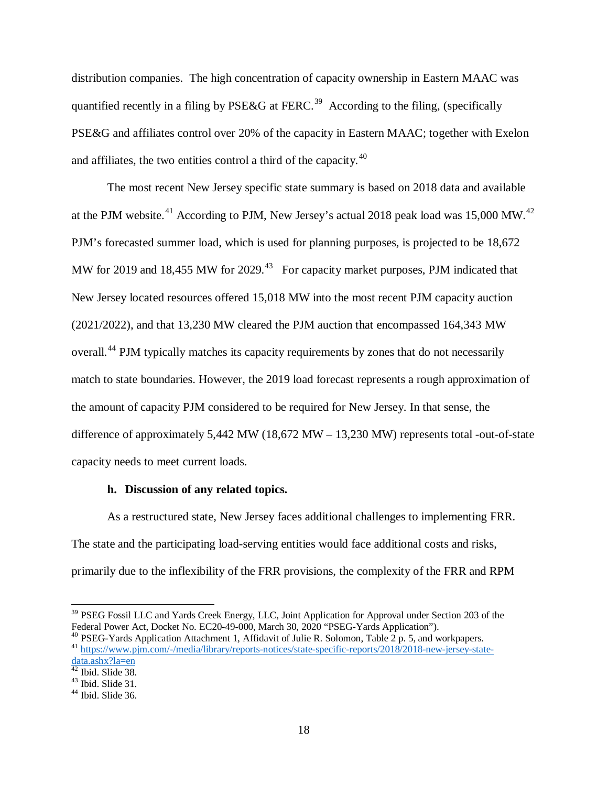distribution companies. The high concentration of capacity ownership in Eastern MAAC was quantified recently in a filing by PSE&G at FERC.<sup>39</sup> According to the filing, (specifically PSE&G and affiliates control over 20% of the capacity in Eastern MAAC; together with Exelon and affiliates, the two entities control a third of the capacity.<sup>40</sup>

The most recent New Jersey specific state summary is based on 2018 data and available at the PJM website.<sup>[41](#page-19-2)</sup> According to PJM, New Jersey's actual 2018 peak load was 15,000 MW.<sup>[42](#page-19-3)</sup> PJM's forecasted summer load, which is used for planning purposes, is projected to be 18,672 MW for 2019 and 18,455 MW for 2029.<sup>[43](#page-19-4)</sup> For capacity market purposes, PJM indicated that New Jersey located resources offered 15,018 MW into the most recent PJM capacity auction (2021/2022), and that 13,230 MW cleared the PJM auction that encompassed 164,343 MW overall.[44](#page-19-5) PJM typically matches its capacity requirements by zones that do not necessarily match to state boundaries. However, the 2019 load forecast represents a rough approximation of the amount of capacity PJM considered to be required for New Jersey. In that sense, the difference of approximately 5,442 MW (18,672 MW – 13,230 MW) represents total -out-of-state capacity needs to meet current loads.

#### **h. Discussion of any related topics.**

As a restructured state, New Jersey faces additional challenges to implementing FRR. The state and the participating load-serving entities would face additional costs and risks, primarily due to the inflexibility of the FRR provisions, the complexity of the FRR and RPM

<span id="page-19-0"></span><sup>&</sup>lt;sup>39</sup> PSEG Fossil LLC and Yards Creek Energy, LLC, Joint Application for Approval under Section 203 of the Federal Power Act, Docket No. EC20-49-000, March 30, 2020 "PSEG-Yards Application").

<span id="page-19-1"></span><sup>&</sup>lt;sup>40</sup> PSEG-Yards Application Attachment 1, Affidavit of Julie R. Solomon, Table 2 p. 5, and workpapers.<br><sup>41</sup> https://www.pim.com/-/media/library/reports-notices/state-specific-reports/2018/2018-new-jersey-state-

<span id="page-19-2"></span> $\frac{\text{data.ashx?la=en}}{42}$  $\frac{\text{data.ashx?la=en}}{42}$  $\frac{\text{data.ashx?la=en}}{42}$  Ibid. Slide 38.

<span id="page-19-5"></span><span id="page-19-4"></span><span id="page-19-3"></span> $43$  Ibid. Slide 31.<br> $44$  Ibid. Slide 36.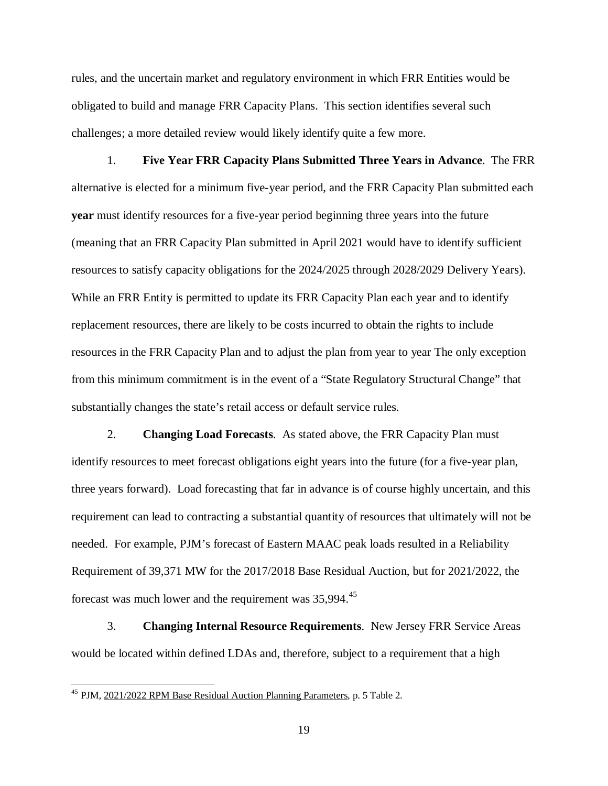rules, and the uncertain market and regulatory environment in which FRR Entities would be obligated to build and manage FRR Capacity Plans. This section identifies several such challenges; a more detailed review would likely identify quite a few more.

1. **Five Year FRR Capacity Plans Submitted Three Years in Advance**. The FRR alternative is elected for a minimum five-year period, and the FRR Capacity Plan submitted each **year** must identify resources for a five-year period beginning three years into the future (meaning that an FRR Capacity Plan submitted in April 2021 would have to identify sufficient resources to satisfy capacity obligations for the 2024/2025 through 2028/2029 Delivery Years). While an FRR Entity is permitted to update its FRR Capacity Plan each year and to identify replacement resources, there are likely to be costs incurred to obtain the rights to include resources in the FRR Capacity Plan and to adjust the plan from year to year The only exception from this minimum commitment is in the event of a "State Regulatory Structural Change" that substantially changes the state's retail access or default service rules.

2. **Changing Load Forecasts**. As stated above, the FRR Capacity Plan must identify resources to meet forecast obligations eight years into the future (for a five-year plan, three years forward). Load forecasting that far in advance is of course highly uncertain, and this requirement can lead to contracting a substantial quantity of resources that ultimately will not be needed. For example, PJM's forecast of Eastern MAAC peak loads resulted in a Reliability Requirement of 39,371 MW for the 2017/2018 Base Residual Auction, but for 2021/2022, the forecast was much lower and the requirement was  $35,994$ <sup>[45](#page-20-0)</sup>

3. **Changing Internal Resource Requirements**. New Jersey FRR Service Areas would be located within defined LDAs and, therefore, subject to a requirement that a high

<span id="page-20-0"></span><sup>45</sup> PJM, 2021/2022 RPM Base Residual Auction Planning Parameters, p. 5 Table 2.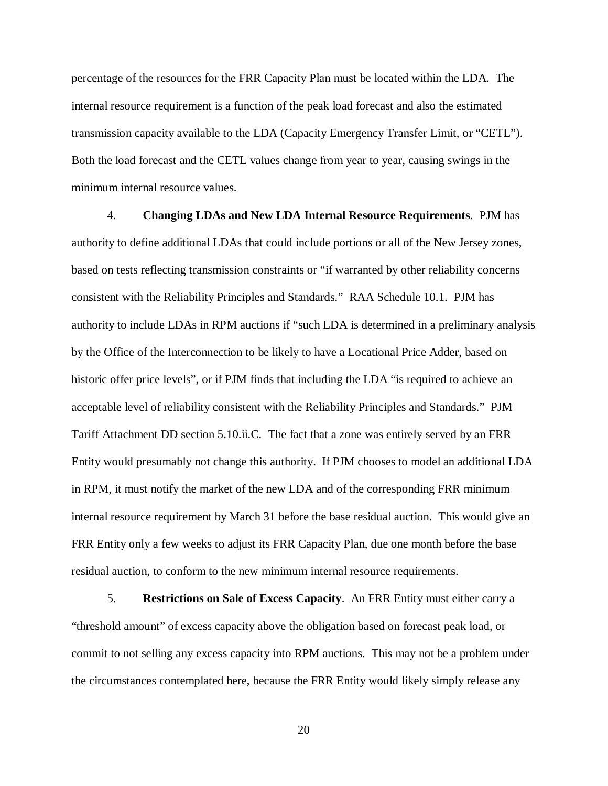percentage of the resources for the FRR Capacity Plan must be located within the LDA. The internal resource requirement is a function of the peak load forecast and also the estimated transmission capacity available to the LDA (Capacity Emergency Transfer Limit, or "CETL"). Both the load forecast and the CETL values change from year to year, causing swings in the minimum internal resource values.

4. **Changing LDAs and New LDA Internal Resource Requirements**. PJM has authority to define additional LDAs that could include portions or all of the New Jersey zones, based on tests reflecting transmission constraints or "if warranted by other reliability concerns consistent with the Reliability Principles and Standards." RAA Schedule 10.1. PJM has authority to include LDAs in RPM auctions if "such LDA is determined in a preliminary analysis by the Office of the Interconnection to be likely to have a Locational Price Adder, based on historic offer price levels", or if PJM finds that including the LDA "is required to achieve an acceptable level of reliability consistent with the Reliability Principles and Standards." PJM Tariff Attachment DD section 5.10.ii.C. The fact that a zone was entirely served by an FRR Entity would presumably not change this authority. If PJM chooses to model an additional LDA in RPM, it must notify the market of the new LDA and of the corresponding FRR minimum internal resource requirement by March 31 before the base residual auction. This would give an FRR Entity only a few weeks to adjust its FRR Capacity Plan, due one month before the base residual auction, to conform to the new minimum internal resource requirements.

5. **Restrictions on Sale of Excess Capacity**. An FRR Entity must either carry a "threshold amount" of excess capacity above the obligation based on forecast peak load, or commit to not selling any excess capacity into RPM auctions. This may not be a problem under the circumstances contemplated here, because the FRR Entity would likely simply release any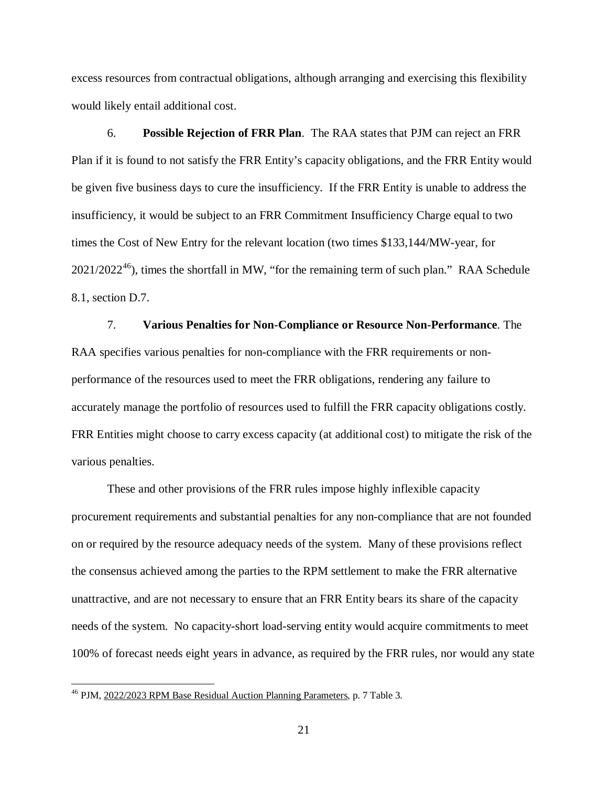excess resources from contractual obligations, although arranging and exercising this flexibility would likely entail additional cost.

6. **Possible Rejection of FRR Plan**. The RAA states that PJM can reject an FRR Plan if it is found to not satisfy the FRR Entity's capacity obligations, and the FRR Entity would be given five business days to cure the insufficiency. If the FRR Entity is unable to address the insufficiency, it would be subject to an FRR Commitment Insufficiency Charge equal to two times the Cost of New Entry for the relevant location (two times \$133,144/MW-year, for  $2021/2022^{46}$  $2021/2022^{46}$  $2021/2022^{46}$ ), times the shortfall in MW, "for the remaining term of such plan." RAA Schedule 8.1, section D.7.

7. **Various Penalties for Non-Compliance or Resource Non-Performance**. The RAA specifies various penalties for non-compliance with the FRR requirements or nonperformance of the resources used to meet the FRR obligations, rendering any failure to accurately manage the portfolio of resources used to fulfill the FRR capacity obligations costly. FRR Entities might choose to carry excess capacity (at additional cost) to mitigate the risk of the various penalties.

These and other provisions of the FRR rules impose highly inflexible capacity procurement requirements and substantial penalties for any non-compliance that are not founded on or required by the resource adequacy needs of the system. Many of these provisions reflect the consensus achieved among the parties to the RPM settlement to make the FRR alternative unattractive, and are not necessary to ensure that an FRR Entity bears its share of the capacity needs of the system. No capacity-short load-serving entity would acquire commitments to meet 100% of forecast needs eight years in advance, as required by the FRR rules, nor would any state

<span id="page-22-0"></span><sup>46</sup> PJM, 2022/2023 RPM Base Residual Auction Planning Parameters, p. 7 Table 3.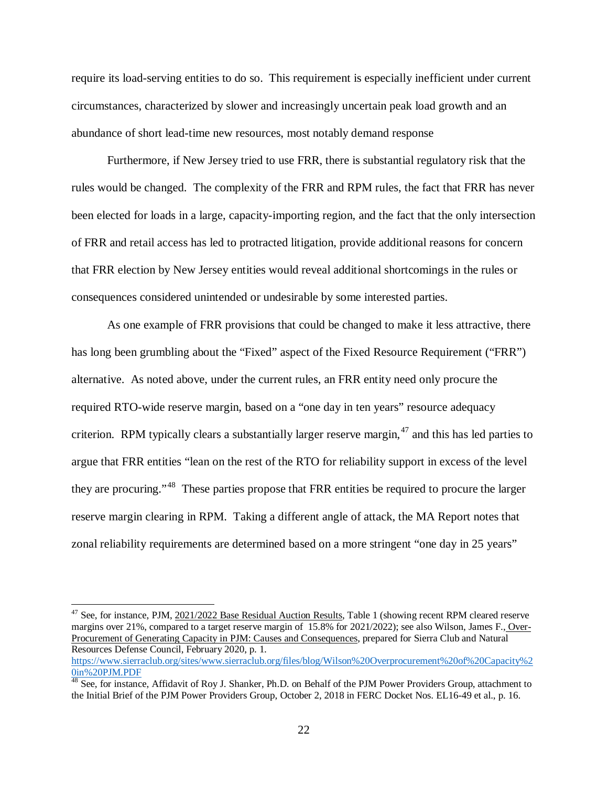require its load-serving entities to do so. This requirement is especially inefficient under current circumstances, characterized by slower and increasingly uncertain peak load growth and an abundance of short lead-time new resources, most notably demand response

Furthermore, if New Jersey tried to use FRR, there is substantial regulatory risk that the rules would be changed. The complexity of the FRR and RPM rules, the fact that FRR has never been elected for loads in a large, capacity-importing region, and the fact that the only intersection of FRR and retail access has led to protracted litigation, provide additional reasons for concern that FRR election by New Jersey entities would reveal additional shortcomings in the rules or consequences considered unintended or undesirable by some interested parties.

As one example of FRR provisions that could be changed to make it less attractive, there has long been grumbling about the "Fixed" aspect of the Fixed Resource Requirement ("FRR") alternative. As noted above, under the current rules, an FRR entity need only procure the required RTO-wide reserve margin, based on a "one day in ten years" resource adequacy criterion. RPM typically clears a substantially larger reserve margin, <sup>[47](#page-23-0)</sup> and this has led parties to argue that FRR entities "lean on the rest of the RTO for reliability support in excess of the level they are procuring."[48](#page-23-1) These parties propose that FRR entities be required to procure the larger reserve margin clearing in RPM. Taking a different angle of attack, the MA Report notes that zonal reliability requirements are determined based on a more stringent "one day in 25 years"

<span id="page-23-0"></span><sup>&</sup>lt;sup>47</sup> See, for instance, PJM, 2021/2022 Base Residual Auction Results, Table 1 (showing recent RPM cleared reserve margins over 21%, compared to a target reserve margin of 15.8% for 2021/2022); see also Wilson, James F., Over-Procurement of Generating Capacity in PJM: Causes and Consequences, prepared for Sierra Club and Natural Resources Defense Council, February 2020, p. 1. [https://www.sierraclub.org/sites/www.sierraclub.org/files/blog/Wilson%20Overprocurement%20of%20Capacity%2](https://www.sierraclub.org/sites/www.sierraclub.org/files/blog/Wilson%20Overprocurement%20of%20Capacity%20in%20PJM.PDF) [0in%20PJM.PDF](https://www.sierraclub.org/sites/www.sierraclub.org/files/blog/Wilson%20Overprocurement%20of%20Capacity%20in%20PJM.PDF)

<span id="page-23-1"></span> $48$  See, for instance, Affidavit of Roy J. Shanker, Ph.D. on Behalf of the PJM Power Providers Group, attachment to the Initial Brief of the PJM Power Providers Group, October 2, 2018 in FERC Docket Nos. EL16-49 et al., p. 16.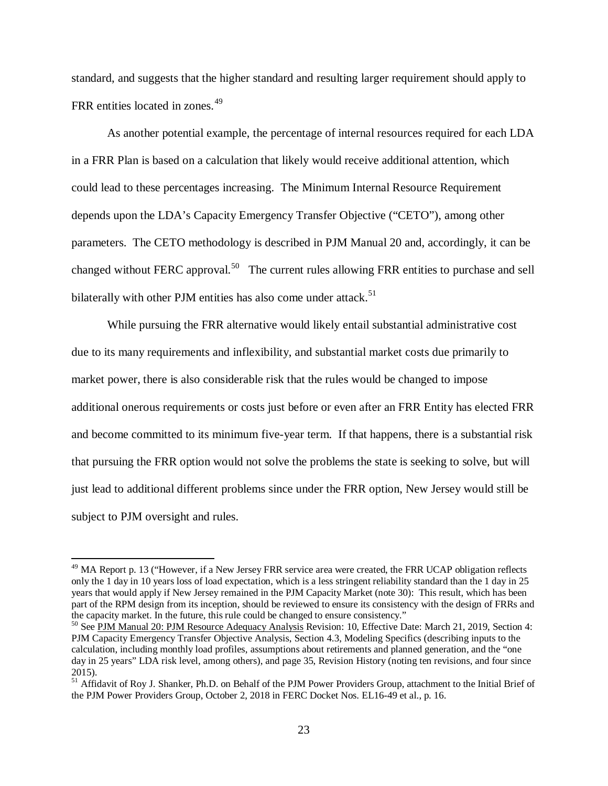standard, and suggests that the higher standard and resulting larger requirement should apply to FRR entities located in zones.<sup>[49](#page-24-0)</sup>

As another potential example, the percentage of internal resources required for each LDA in a FRR Plan is based on a calculation that likely would receive additional attention, which could lead to these percentages increasing. The Minimum Internal Resource Requirement depends upon the LDA's Capacity Emergency Transfer Objective ("CETO"), among other parameters. The CETO methodology is described in PJM Manual 20 and, accordingly, it can be changed without FERC approval.<sup>[50](#page-24-1)</sup> The current rules allowing FRR entities to purchase and sell bilaterally with other PJM entities has also come under attack.<sup>[51](#page-24-2)</sup>

While pursuing the FRR alternative would likely entail substantial administrative cost due to its many requirements and inflexibility, and substantial market costs due primarily to market power, there is also considerable risk that the rules would be changed to impose additional onerous requirements or costs just before or even after an FRR Entity has elected FRR and become committed to its minimum five-year term. If that happens, there is a substantial risk that pursuing the FRR option would not solve the problems the state is seeking to solve, but will just lead to additional different problems since under the FRR option, New Jersey would still be subject to PJM oversight and rules.

<span id="page-24-0"></span><sup>&</sup>lt;sup>49</sup> MA Report p. 13 ("However, if a New Jersey FRR service area were created, the FRR UCAP obligation reflects only the 1 day in 10 years loss of load expectation, which is a less stringent reliability standard than the 1 day in 25 years that would apply if New Jersey remained in the PJM Capacity Market (note 30): This result, which has been part of the RPM design from its inception, should be reviewed to ensure its consistency with the design of FRRs and the capacity market. In the future, this rule could be changed to ensure consistency."

<span id="page-24-1"></span><sup>&</sup>lt;sup>50</sup> See PJM Manual 20: PJM Resource Adequacy Analysis Revision: 10, Effective Date: March 21, 2019, Section 4: PJM Capacity Emergency Transfer Objective Analysis, Section 4.3, Modeling Specifics (describing inputs to the calculation, including monthly load profiles, assumptions about retirements and planned generation, and the "one day in 25 years" LDA risk level, among others), and page 35, Revision History (noting ten revisions, and four since 2015).

<span id="page-24-2"></span><sup>&</sup>lt;sup>51</sup> Affidavit of Roy J. Shanker, Ph.D. on Behalf of the PJM Power Providers Group, attachment to the Initial Brief of the PJM Power Providers Group, October 2, 2018 in FERC Docket Nos. EL16-49 et al., p. 16.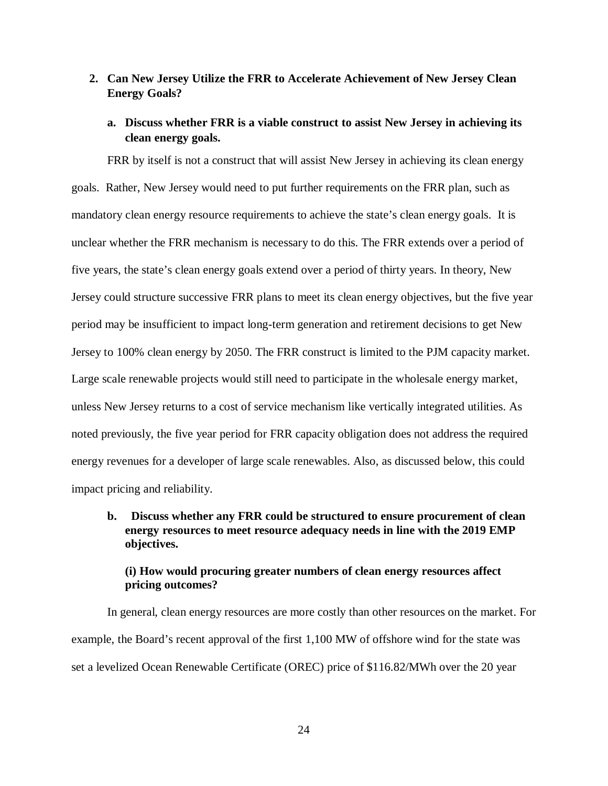## **2. Can New Jersey Utilize the FRR to Accelerate Achievement of New Jersey Clean Energy Goals?**

### **a. Discuss whether FRR is a viable construct to assist New Jersey in achieving its clean energy goals.**

FRR by itself is not a construct that will assist New Jersey in achieving its clean energy goals. Rather, New Jersey would need to put further requirements on the FRR plan, such as mandatory clean energy resource requirements to achieve the state's clean energy goals. It is unclear whether the FRR mechanism is necessary to do this. The FRR extends over a period of five years, the state's clean energy goals extend over a period of thirty years. In theory, New Jersey could structure successive FRR plans to meet its clean energy objectives, but the five year period may be insufficient to impact long-term generation and retirement decisions to get New Jersey to 100% clean energy by 2050. The FRR construct is limited to the PJM capacity market. Large scale renewable projects would still need to participate in the wholesale energy market, unless New Jersey returns to a cost of service mechanism like vertically integrated utilities. As noted previously, the five year period for FRR capacity obligation does not address the required energy revenues for a developer of large scale renewables. Also, as discussed below, this could impact pricing and reliability.

## **b. Discuss whether any FRR could be structured to ensure procurement of clean energy resources to meet resource adequacy needs in line with the 2019 EMP objectives.**

### **(i) How would procuring greater numbers of clean energy resources affect pricing outcomes?**

In general, clean energy resources are more costly than other resources on the market. For example, the Board's recent approval of the first 1,100 MW of offshore wind for the state was set a levelized Ocean Renewable Certificate (OREC) price of \$116.82/MWh over the 20 year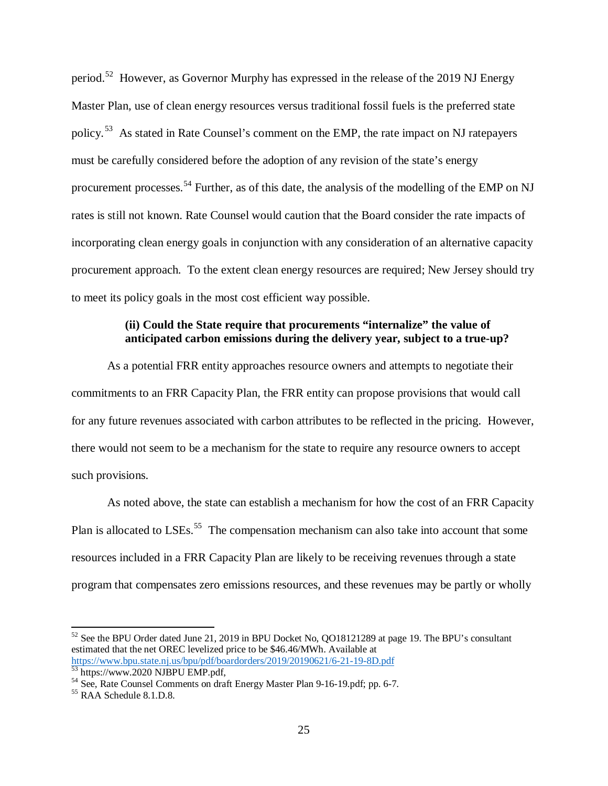period.<sup>[52](#page-26-0)</sup> However, as Governor Murphy has expressed in the release of the 2019 NJ Energy Master Plan, use of clean energy resources versus traditional fossil fuels is the preferred state policy.<sup>53</sup> As stated in Rate Counsel's comment on the EMP, the rate impact on NJ ratepayers must be carefully considered before the adoption of any revision of the state's energy procurement processes.<sup>[54](#page-26-2)</sup> Further, as of this date, the analysis of the modelling of the EMP on NJ rates is still not known. Rate Counsel would caution that the Board consider the rate impacts of incorporating clean energy goals in conjunction with any consideration of an alternative capacity procurement approach. To the extent clean energy resources are required; New Jersey should try to meet its policy goals in the most cost efficient way possible.

## **(ii) Could the State require that procurements "internalize" the value of anticipated carbon emissions during the delivery year, subject to a true-up?**

As a potential FRR entity approaches resource owners and attempts to negotiate their commitments to an FRR Capacity Plan, the FRR entity can propose provisions that would call for any future revenues associated with carbon attributes to be reflected in the pricing. However, there would not seem to be a mechanism for the state to require any resource owners to accept such provisions.

As noted above, the state can establish a mechanism for how the cost of an FRR Capacity Plan is allocated to LSEs.<sup>55</sup> The compensation mechanism can also take into account that some resources included in a FRR Capacity Plan are likely to be receiving revenues through a state program that compensates zero emissions resources, and these revenues may be partly or wholly

<span id="page-26-0"></span><sup>&</sup>lt;sup>52</sup> See the BPU Order dated June 21, 2019 in BPU Docket No, QO18121289 at page 19. The BPU's consultant estimated that the net OREC levelized price to be \$46.46/MWh. Available at https://www.bpu.state.nj.us/bpu/pdf/boardorders/2019/20190621/6-21-19-8D.pdf

<span id="page-26-2"></span><span id="page-26-1"></span> $\frac{53}{63}$  https://www.2020 NJBPU EMP.pdf,<br><sup>54</sup> See, Rate Counsel Comments on draft Energy Master Plan 9-16-19.pdf; pp. 6-7.<br><sup>55</sup> RAA Schedule 8.1.D.8.

<span id="page-26-3"></span>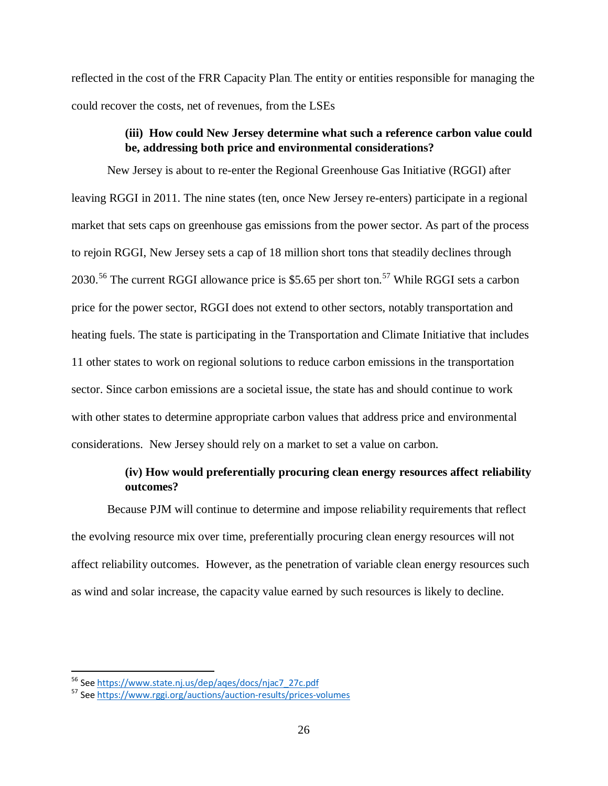reflected in the cost of the FRR Capacity Plan. The entity or entities responsible for managing the could recover the costs, net of revenues, from the LSEs

## **(iii) How could New Jersey determine what such a reference carbon value could be, addressing both price and environmental considerations?**

New Jersey is about to re-enter the Regional Greenhouse Gas Initiative (RGGI) after leaving RGGI in 2011. The nine states (ten, once New Jersey re-enters) participate in a regional market that sets caps on greenhouse gas emissions from the power sector. As part of the process to rejoin RGGI, New Jersey sets a cap of 18 million short tons that steadily declines through 2030.<sup>[56](#page-27-0)</sup> The current RGGI allowance price is \$5.65 per short ton.<sup>[57](#page-27-1)</sup> While RGGI sets a carbon price for the power sector, RGGI does not extend to other sectors, notably transportation and heating fuels. The state is participating in the Transportation and Climate Initiative that includes 11 other states to work on regional solutions to reduce carbon emissions in the transportation sector. Since carbon emissions are a societal issue, the state has and should continue to work with other states to determine appropriate carbon values that address price and environmental considerations. New Jersey should rely on a market to set a value on carbon.

## **(iv) How would preferentially procuring clean energy resources affect reliability outcomes?**

Because PJM will continue to determine and impose reliability requirements that reflect the evolving resource mix over time, preferentially procuring clean energy resources will not affect reliability outcomes. However, as the penetration of variable clean energy resources such as wind and solar increase, the capacity value earned by such resources is likely to decline.

<span id="page-27-1"></span><span id="page-27-0"></span><sup>&</sup>lt;sup>56</sup> Se[e https://www.state.nj.us/dep/aqes/docs/njac7\\_27c.pdf](https://www.state.nj.us/dep/aqes/docs/njac7_27c.pdf)<br><sup>57</sup> Se[e https://www.rggi.org/auctions/auction-results/prices-volumes](https://www.rggi.org/auctions/auction-results/prices-volumes)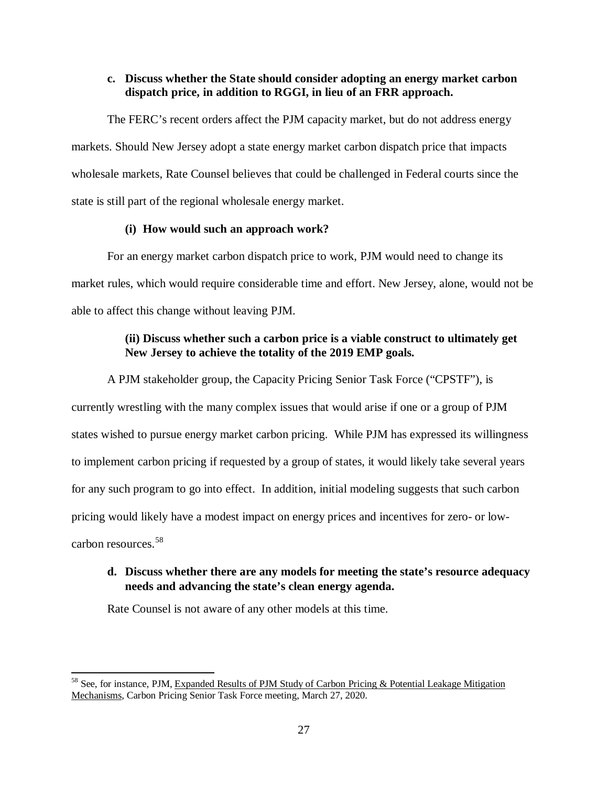#### **c. Discuss whether the State should consider adopting an energy market carbon dispatch price, in addition to RGGI, in lieu of an FRR approach.**

The FERC's recent orders affect the PJM capacity market, but do not address energy markets. Should New Jersey adopt a state energy market carbon dispatch price that impacts wholesale markets, Rate Counsel believes that could be challenged in Federal courts since the state is still part of the regional wholesale energy market.

#### **(i) How would such an approach work?**

For an energy market carbon dispatch price to work, PJM would need to change its market rules, which would require considerable time and effort. New Jersey, alone, would not be able to affect this change without leaving PJM.

## **(ii) Discuss whether such a carbon price is a viable construct to ultimately get New Jersey to achieve the totality of the 2019 EMP goals.**

A PJM stakeholder group, the Capacity Pricing Senior Task Force ("CPSTF"), is currently wrestling with the many complex issues that would arise if one or a group of PJM states wished to pursue energy market carbon pricing. While PJM has expressed its willingness to implement carbon pricing if requested by a group of states, it would likely take several years for any such program to go into effect. In addition, initial modeling suggests that such carbon pricing would likely have a modest impact on energy prices and incentives for zero- or lowcarbon resources.[58](#page-28-0) 

## **d. Discuss whether there are any models for meeting the state's resource adequacy needs and advancing the state's clean energy agenda.**

Rate Counsel is not aware of any other models at this time.

<span id="page-28-0"></span><sup>&</sup>lt;sup>58</sup> See, for instance, PJM, Expanded Results of PJM Study of Carbon Pricing & Potential Leakage Mitigation Mechanisms, Carbon Pricing Senior Task Force meeting, March 27, 2020.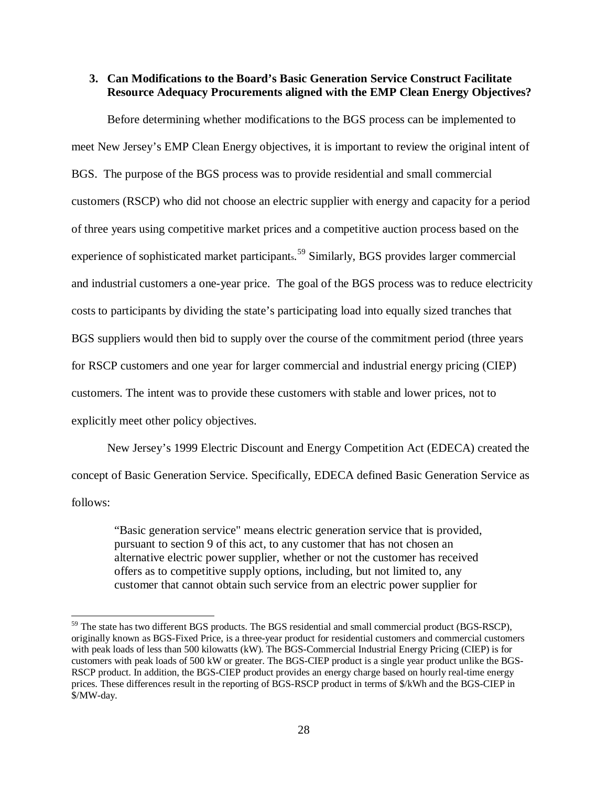#### **3. Can Modifications to the Board's Basic Generation Service Construct Facilitate Resource Adequacy Procurements aligned with the EMP Clean Energy Objectives?**

Before determining whether modifications to the BGS process can be implemented to meet New Jersey's EMP Clean Energy objectives, it is important to review the original intent of BGS. The purpose of the BGS process was to provide residential and small commercial customers (RSCP) who did not choose an electric supplier with energy and capacity for a period of three years using competitive market prices and a competitive auction process based on the experience of sophisticated market participants.<sup>[59](#page-29-0)</sup> Similarly, BGS provides larger commercial and industrial customers a one-year price. The goal of the BGS process was to reduce electricity costs to participants by dividing the state's participating load into equally sized tranches that BGS suppliers would then bid to supply over the course of the commitment period (three years for RSCP customers and one year for larger commercial and industrial energy pricing (CIEP) customers. The intent was to provide these customers with stable and lower prices, not to explicitly meet other policy objectives.

New Jersey's 1999 Electric Discount and Energy Competition Act (EDECA) created the concept of Basic Generation Service. Specifically, EDECA defined Basic Generation Service as follows:

"Basic generation service" means electric generation service that is provided, pursuant to section 9 of this act, to any customer that has not chosen an alternative electric power supplier, whether or not the customer has received offers as to competitive supply options, including, but not limited to, any customer that cannot obtain such service from an electric power supplier for

<span id="page-29-0"></span><sup>&</sup>lt;sup>59</sup> The state has two different BGS products. The BGS residential and small commercial product (BGS-RSCP), originally known as BGS-Fixed Price, is a three-year product for residential customers and commercial customers with peak loads of less than 500 kilowatts (kW). The BGS-Commercial Industrial Energy Pricing (CIEP) is for customers with peak loads of 500 kW or greater. The BGS-CIEP product is a single year product unlike the BGS-RSCP product. In addition, the BGS-CIEP product provides an energy charge based on hourly real-time energy prices. These differences result in the reporting of BGS-RSCP product in terms of \$/kWh and the BGS-CIEP in \$/MW-day.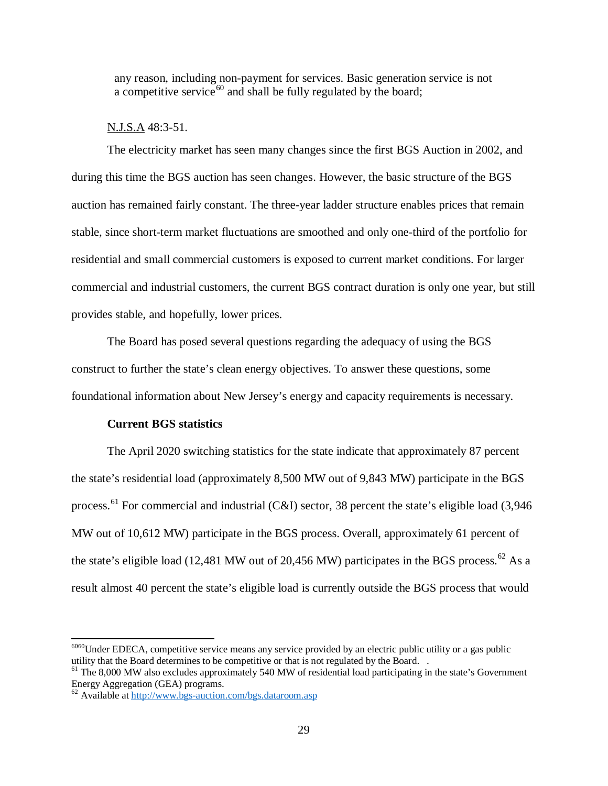any reason, including non-payment for services. Basic generation service is not a competitive service<sup>[60](#page-30-0)</sup> and shall be fully regulated by the board;

#### N.J.S.A 48:3-51.

The electricity market has seen many changes since the first BGS Auction in 2002, and during this time the BGS auction has seen changes. However, the basic structure of the BGS auction has remained fairly constant. The three-year ladder structure enables prices that remain stable, since short-term market fluctuations are smoothed and only one-third of the portfolio for residential and small commercial customers is exposed to current market conditions. For larger commercial and industrial customers, the current BGS contract duration is only one year, but still provides stable, and hopefully, lower prices.

The Board has posed several questions regarding the adequacy of using the BGS construct to further the state's clean energy objectives. To answer these questions, some foundational information about New Jersey's energy and capacity requirements is necessary.

#### **Current BGS statistics**

The April 2020 switching statistics for the state indicate that approximately 87 percent the state's residential load (approximately 8,500 MW out of 9,843 MW) participate in the BGS process.<sup>[61](#page-30-1)</sup> For commercial and industrial (C&I) sector, 38 percent the state's eligible load (3,946) MW out of 10,612 MW) participate in the BGS process. Overall, approximately 61 percent of the state's eligible load (12,481 MW out of 20,456 MW) participates in the BGS process.<sup>[62](#page-30-2)</sup> As a result almost 40 percent the state's eligible load is currently outside the BGS process that would

<span id="page-30-0"></span><sup>&</sup>lt;sup>6060</sup>Under EDECA, competitive service means any service provided by an electric public utility or a gas public utility that the Board determines to be competitive or that is not regulated by the Board. .

<span id="page-30-1"></span> $<sup>61</sup>$  The 8,000 MW also excludes approximately 540 MW of residential load participating in the state's Government</sup> Energy Aggregation (GEA) programs.

<span id="page-30-2"></span> $\frac{62}{62}$  Available a[t http://www.bgs-auction.com/bgs.dataroom.asp](http://www.bgs-auction.com/bgs.dataroom.asp)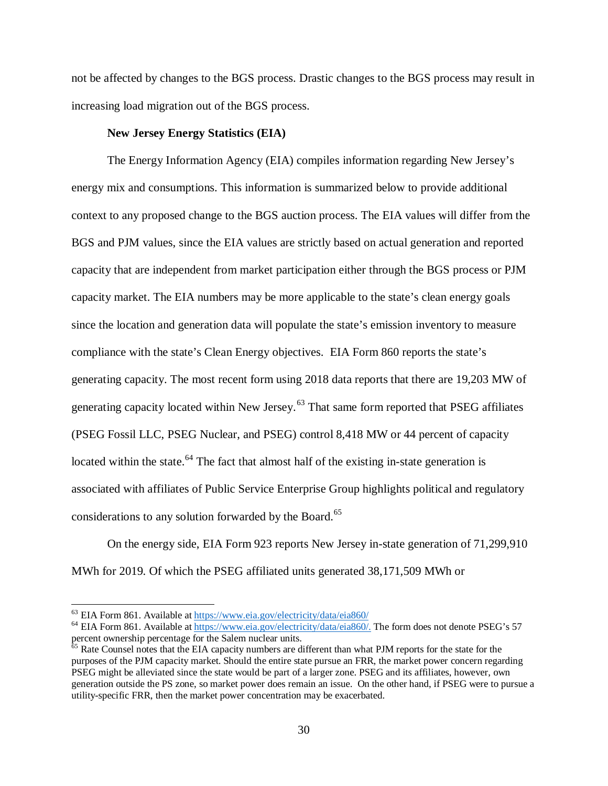not be affected by changes to the BGS process. Drastic changes to the BGS process may result in increasing load migration out of the BGS process.

#### **New Jersey Energy Statistics (EIA)**

The Energy Information Agency (EIA) compiles information regarding New Jersey's energy mix and consumptions. This information is summarized below to provide additional context to any proposed change to the BGS auction process. The EIA values will differ from the BGS and PJM values, since the EIA values are strictly based on actual generation and reported capacity that are independent from market participation either through the BGS process or PJM capacity market. The EIA numbers may be more applicable to the state's clean energy goals since the location and generation data will populate the state's emission inventory to measure compliance with the state's Clean Energy objectives. EIA Form 860 reports the state's generating capacity. The most recent form using 2018 data reports that there are 19,203 MW of generating capacity located within New Jersey.<sup>[63](#page-31-0)</sup> That same form reported that PSEG affiliates (PSEG Fossil LLC, PSEG Nuclear, and PSEG) control 8,418 MW or 44 percent of capacity located within the state.<sup>[64](#page-31-1)</sup> The fact that almost half of the existing in-state generation is associated with affiliates of Public Service Enterprise Group highlights political and regulatory considerations to any solution forwarded by the Board.<sup>[65](#page-31-2)</sup>

On the energy side, EIA Form 923 reports New Jersey in-state generation of 71,299,910 MWh for 2019. Of which the PSEG affiliated units generated 38,171,509 MWh or

<span id="page-31-1"></span><span id="page-31-0"></span><sup>&</sup>lt;sup>63</sup> EIA Form 861. Available a[t https://www.eia.gov/electricity/data/eia860/](https://www.eia.gov/electricity/data/eia860/)<br><sup>64</sup> EIA Form 861. Available a[t https://www.eia.gov/electricity/data/eia860/.](https://www.eia.gov/electricity/data/eia860/) The form does not denote PSEG's 57 percent ownership percentage for the Salem nuclear units.<br><sup>65</sup> Rate Counsel notes that the EIA capacity numbers are different than what PJM reports for the state for the

<span id="page-31-2"></span>purposes of the PJM capacity market. Should the entire state pursue an FRR, the market power concern regarding PSEG might be alleviated since the state would be part of a larger zone. PSEG and its affiliates, however, own generation outside the PS zone, so market power does remain an issue. On the other hand, if PSEG were to pursue a utility-specific FRR, then the market power concentration may be exacerbated.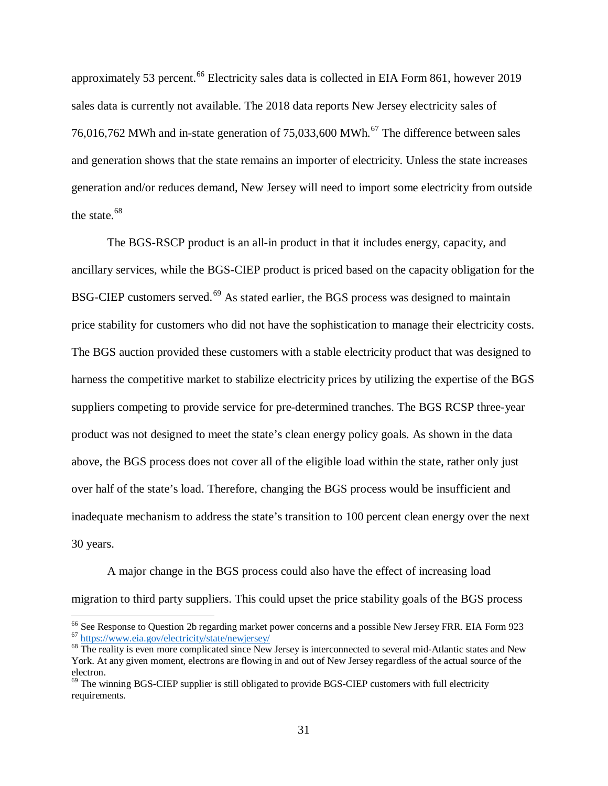approximately 53 percent.<sup>[66](#page-32-0)</sup> Electricity sales data is collected in EIA Form 861, however 2019 sales data is currently not available. The 2018 data reports New Jersey electricity sales of 76,016,762 MWh and in-state generation of 75,033,600 MWh.<sup>[67](#page-32-1)</sup> The difference between sales and generation shows that the state remains an importer of electricity. Unless the state increases generation and/or reduces demand, New Jersey will need to import some electricity from outside the state.<sup>[68](#page-32-2)</sup>

The BGS-RSCP product is an all-in product in that it includes energy, capacity, and ancillary services, while the BGS-CIEP product is priced based on the capacity obligation for the BSG-CIEP customers served.<sup>[69](#page-32-3)</sup> As stated earlier, the BGS process was designed to maintain price stability for customers who did not have the sophistication to manage their electricity costs. The BGS auction provided these customers with a stable electricity product that was designed to harness the competitive market to stabilize electricity prices by utilizing the expertise of the BGS suppliers competing to provide service for pre-determined tranches. The BGS RCSP three-year product was not designed to meet the state's clean energy policy goals. As shown in the data above, the BGS process does not cover all of the eligible load within the state, rather only just over half of the state's load. Therefore, changing the BGS process would be insufficient and inadequate mechanism to address the state's transition to 100 percent clean energy over the next 30 years.

A major change in the BGS process could also have the effect of increasing load migration to third party suppliers. This could upset the price stability goals of the BGS process

<span id="page-32-1"></span><span id="page-32-0"></span><sup>&</sup>lt;sup>66</sup> See Response to Question 2b regarding market power concerns and a possible New Jersey FRR. EIA Form 923<br>
<sup>67</sup> <https://www.eia.gov/electricity/state/newjersey/><br>
<sup>68</sup> The reality is even more complicated since New Jers

<span id="page-32-2"></span>York. At any given moment, electrons are flowing in and out of New Jersey regardless of the actual source of the electron.

<span id="page-32-3"></span> $69$  The winning BGS-CIEP supplier is still obligated to provide BGS-CIEP customers with full electricity requirements.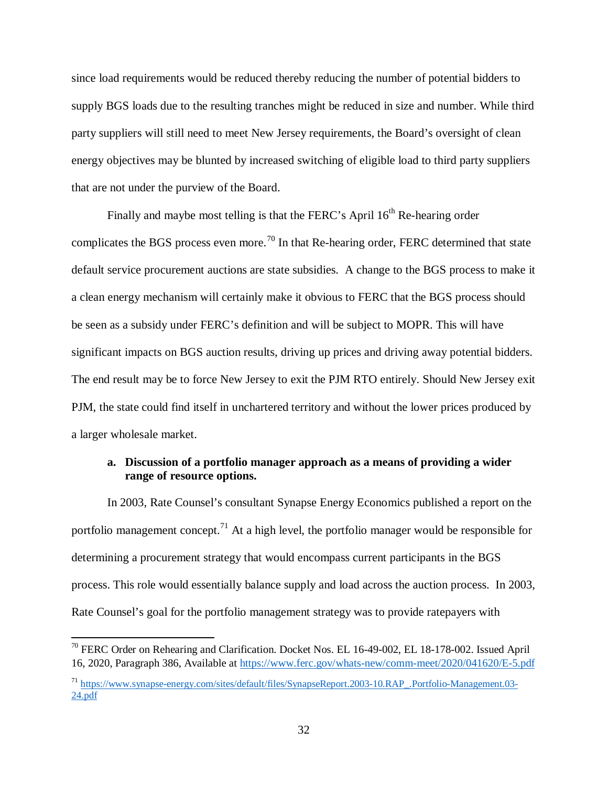since load requirements would be reduced thereby reducing the number of potential bidders to supply BGS loads due to the resulting tranches might be reduced in size and number. While third party suppliers will still need to meet New Jersey requirements, the Board's oversight of clean energy objectives may be blunted by increased switching of eligible load to third party suppliers that are not under the purview of the Board.

Finally and maybe most telling is that the FERC's April  $16<sup>th</sup>$  Re-hearing order complicates the BGS process even more.<sup>[70](#page-33-0)</sup> In that Re-hearing order, FERC determined that state default service procurement auctions are state subsidies. A change to the BGS process to make it a clean energy mechanism will certainly make it obvious to FERC that the BGS process should be seen as a subsidy under FERC's definition and will be subject to MOPR. This will have significant impacts on BGS auction results, driving up prices and driving away potential bidders. The end result may be to force New Jersey to exit the PJM RTO entirely. Should New Jersey exit PJM, the state could find itself in unchartered territory and without the lower prices produced by a larger wholesale market.

#### **a. Discussion of a portfolio manager approach as a means of providing a wider range of resource options.**

In 2003, Rate Counsel's consultant Synapse Energy Economics published a report on the portfolio management concept.<sup>[71](#page-33-1)</sup> At a high level, the portfolio manager would be responsible for determining a procurement strategy that would encompass current participants in the BGS process. This role would essentially balance supply and load across the auction process. In 2003, Rate Counsel's goal for the portfolio management strategy was to provide ratepayers with

<span id="page-33-0"></span> $^{70}$  FERC Order on Rehearing and Clarification. Docket Nos. EL 16-49-002, EL 18-178-002. Issued April 16, 2020, Paragraph 386, Available at [https://www.ferc.gov/whats-new/comm-meet/2020/041620/E-5.pdf](https://urldefense.com/v3/__https:/www.ferc.gov/whats-new/comm-meet/2020/041620/E-5.pdf__;!!J30X0ZrnC1oQtbA!b7el2O-3TTs5xfCQ9es-kYD72s1nU1UG8LKxtKFUhALpO9VcPfvxT1r0Wqzeqpn8KQ$)

<span id="page-33-1"></span><sup>71</sup> [https://www.synapse-energy.com/sites/default/files/SynapseReport.2003-10.RAP\\_.Portfolio-Management.03-](https://www.synapse-energy.com/sites/default/files/SynapseReport.2003-10.RAP_.Portfolio-Management.03-24.pdf) [24.pdf](https://www.synapse-energy.com/sites/default/files/SynapseReport.2003-10.RAP_.Portfolio-Management.03-24.pdf)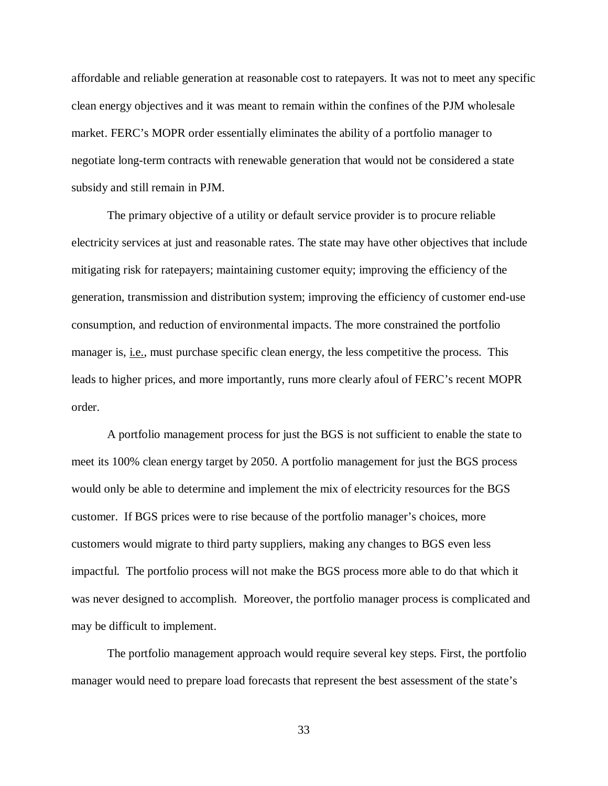affordable and reliable generation at reasonable cost to ratepayers. It was not to meet any specific clean energy objectives and it was meant to remain within the confines of the PJM wholesale market. FERC's MOPR order essentially eliminates the ability of a portfolio manager to negotiate long-term contracts with renewable generation that would not be considered a state subsidy and still remain in PJM.

The primary objective of a utility or default service provider is to procure reliable electricity services at just and reasonable rates. The state may have other objectives that include mitigating risk for ratepayers; maintaining customer equity; improving the efficiency of the generation, transmission and distribution system; improving the efficiency of customer end-use consumption, and reduction of environmental impacts. The more constrained the portfolio manager is, i.e., must purchase specific clean energy, the less competitive the process. This leads to higher prices, and more importantly, runs more clearly afoul of FERC's recent MOPR order.

A portfolio management process for just the BGS is not sufficient to enable the state to meet its 100% clean energy target by 2050. A portfolio management for just the BGS process would only be able to determine and implement the mix of electricity resources for the BGS customer. If BGS prices were to rise because of the portfolio manager's choices, more customers would migrate to third party suppliers, making any changes to BGS even less impactful. The portfolio process will not make the BGS process more able to do that which it was never designed to accomplish. Moreover, the portfolio manager process is complicated and may be difficult to implement.

The portfolio management approach would require several key steps. First, the portfolio manager would need to prepare load forecasts that represent the best assessment of the state's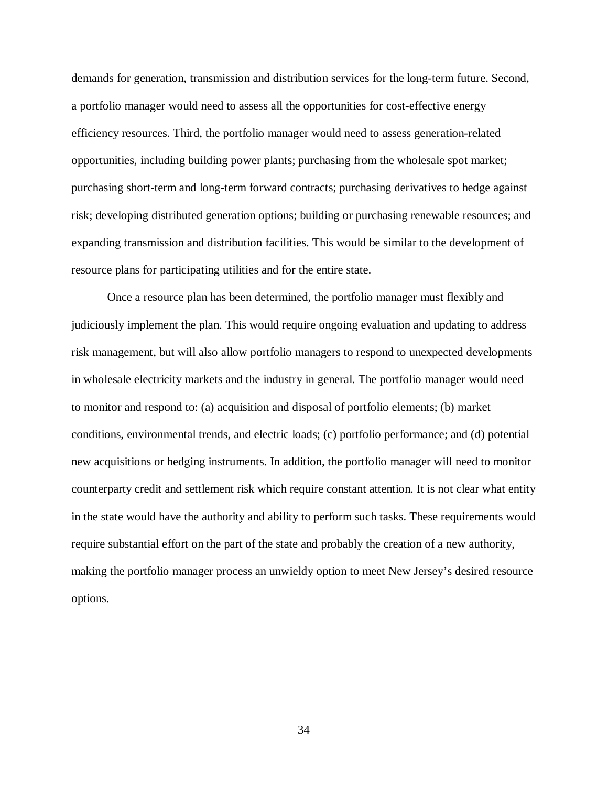demands for generation, transmission and distribution services for the long-term future. Second, a portfolio manager would need to assess all the opportunities for cost-effective energy efficiency resources. Third, the portfolio manager would need to assess generation-related opportunities, including building power plants; purchasing from the wholesale spot market; purchasing short-term and long-term forward contracts; purchasing derivatives to hedge against risk; developing distributed generation options; building or purchasing renewable resources; and expanding transmission and distribution facilities. This would be similar to the development of resource plans for participating utilities and for the entire state.

Once a resource plan has been determined, the portfolio manager must flexibly and judiciously implement the plan. This would require ongoing evaluation and updating to address risk management, but will also allow portfolio managers to respond to unexpected developments in wholesale electricity markets and the industry in general. The portfolio manager would need to monitor and respond to: (a) acquisition and disposal of portfolio elements; (b) market conditions, environmental trends, and electric loads; (c) portfolio performance; and (d) potential new acquisitions or hedging instruments. In addition, the portfolio manager will need to monitor counterparty credit and settlement risk which require constant attention. It is not clear what entity in the state would have the authority and ability to perform such tasks. These requirements would require substantial effort on the part of the state and probably the creation of a new authority, making the portfolio manager process an unwieldy option to meet New Jersey's desired resource options.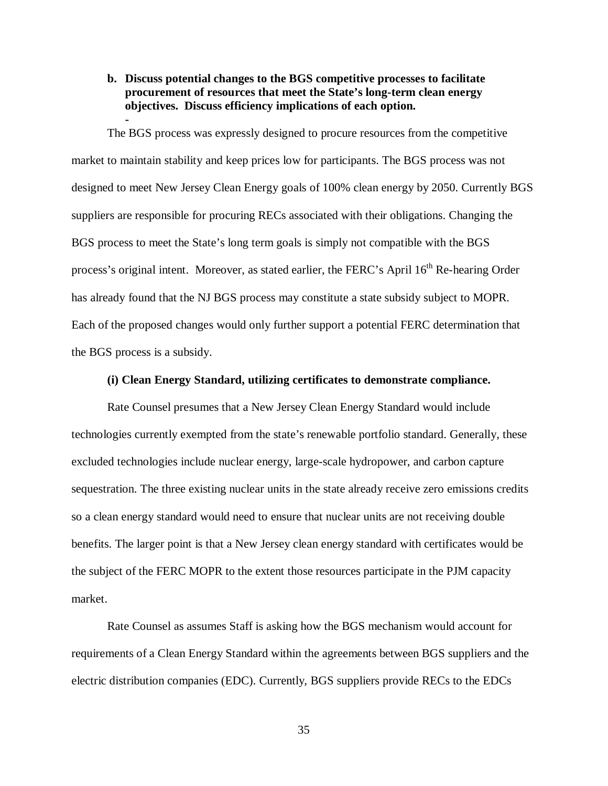**b. Discuss potential changes to the BGS competitive processes to facilitate procurement of resources that meet the State's long-term clean energy objectives. Discuss efficiency implications of each option. -**

The BGS process was expressly designed to procure resources from the competitive market to maintain stability and keep prices low for participants. The BGS process was not designed to meet New Jersey Clean Energy goals of 100% clean energy by 2050. Currently BGS suppliers are responsible for procuring RECs associated with their obligations. Changing the BGS process to meet the State's long term goals is simply not compatible with the BGS process's original intent. Moreover, as stated earlier, the FERC's April 16<sup>th</sup> Re-hearing Order has already found that the NJ BGS process may constitute a state subsidy subject to MOPR. Each of the proposed changes would only further support a potential FERC determination that the BGS process is a subsidy.

#### **(i) Clean Energy Standard, utilizing certificates to demonstrate compliance.**

Rate Counsel presumes that a New Jersey Clean Energy Standard would include technologies currently exempted from the state's renewable portfolio standard. Generally, these excluded technologies include nuclear energy, large-scale hydropower, and carbon capture sequestration. The three existing nuclear units in the state already receive zero emissions credits so a clean energy standard would need to ensure that nuclear units are not receiving double benefits. The larger point is that a New Jersey clean energy standard with certificates would be the subject of the FERC MOPR to the extent those resources participate in the PJM capacity market.

Rate Counsel as assumes Staff is asking how the BGS mechanism would account for requirements of a Clean Energy Standard within the agreements between BGS suppliers and the electric distribution companies (EDC). Currently, BGS suppliers provide RECs to the EDCs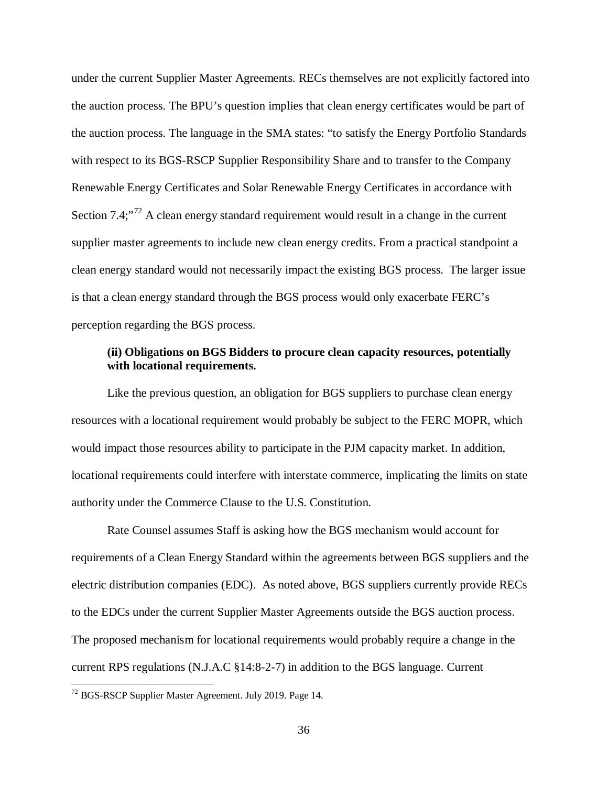under the current Supplier Master Agreements. RECs themselves are not explicitly factored into the auction process. The BPU's question implies that clean energy certificates would be part of the auction process. The language in the SMA states: "to satisfy the Energy Portfolio Standards with respect to its BGS-RSCP Supplier Responsibility Share and to transfer to the Company Renewable Energy Certificates and Solar Renewable Energy Certificates in accordance with Section  $7.4$ ;<sup> $72$ </sup> A clean energy standard requirement would result in a change in the current supplier master agreements to include new clean energy credits. From a practical standpoint a clean energy standard would not necessarily impact the existing BGS process. The larger issue is that a clean energy standard through the BGS process would only exacerbate FERC's perception regarding the BGS process.

#### **(ii) Obligations on BGS Bidders to procure clean capacity resources, potentially with locational requirements.**

Like the previous question, an obligation for BGS suppliers to purchase clean energy resources with a locational requirement would probably be subject to the FERC MOPR, which would impact those resources ability to participate in the PJM capacity market. In addition, locational requirements could interfere with interstate commerce, implicating the limits on state authority under the Commerce Clause to the U.S. Constitution.

Rate Counsel assumes Staff is asking how the BGS mechanism would account for requirements of a Clean Energy Standard within the agreements between BGS suppliers and the electric distribution companies (EDC). As noted above, BGS suppliers currently provide RECs to the EDCs under the current Supplier Master Agreements outside the BGS auction process. The proposed mechanism for locational requirements would probably require a change in the current RPS regulations (N.J.A.C §14:8-2-7) in addition to the BGS language. Current

<span id="page-37-0"></span><sup>72</sup> BGS-RSCP Supplier Master Agreement. July 2019. Page 14.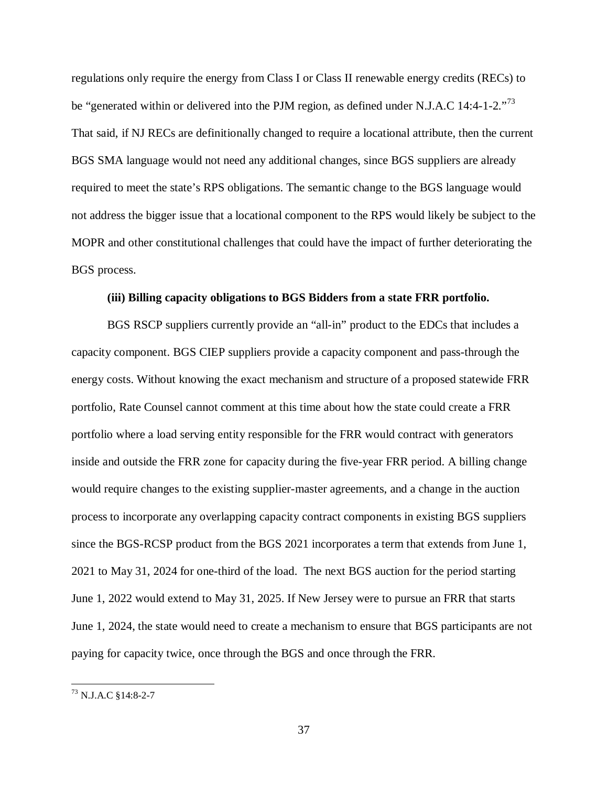regulations only require the energy from Class I or Class II renewable energy credits (RECs) to be "generated within or delivered into the PJM region, as defined under N.J.A.C 14:4-1-2."<sup>[73](#page-38-0)</sup> That said, if NJ RECs are definitionally changed to require a locational attribute, then the current BGS SMA language would not need any additional changes, since BGS suppliers are already required to meet the state's RPS obligations. The semantic change to the BGS language would not address the bigger issue that a locational component to the RPS would likely be subject to the MOPR and other constitutional challenges that could have the impact of further deteriorating the BGS process.

#### **(iii) Billing capacity obligations to BGS Bidders from a state FRR portfolio.**

BGS RSCP suppliers currently provide an "all-in" product to the EDCs that includes a capacity component. BGS CIEP suppliers provide a capacity component and pass-through the energy costs. Without knowing the exact mechanism and structure of a proposed statewide FRR portfolio, Rate Counsel cannot comment at this time about how the state could create a FRR portfolio where a load serving entity responsible for the FRR would contract with generators inside and outside the FRR zone for capacity during the five-year FRR period. A billing change would require changes to the existing supplier-master agreements, and a change in the auction process to incorporate any overlapping capacity contract components in existing BGS suppliers since the BGS-RCSP product from the BGS 2021 incorporates a term that extends from June 1, 2021 to May 31, 2024 for one-third of the load. The next BGS auction for the period starting June 1, 2022 would extend to May 31, 2025. If New Jersey were to pursue an FRR that starts June 1, 2024, the state would need to create a mechanism to ensure that BGS participants are not paying for capacity twice, once through the BGS and once through the FRR.

<span id="page-38-0"></span><sup>73</sup> N.J.A.C §14:8-2-7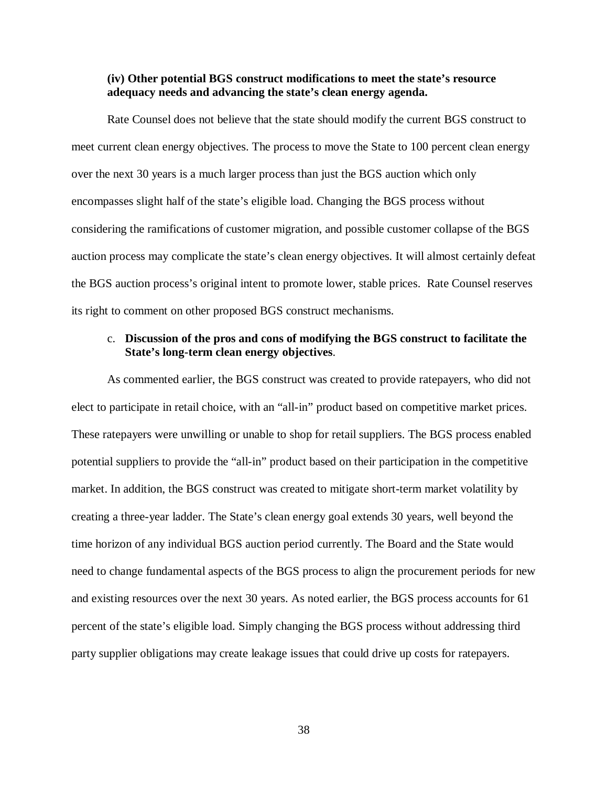#### **(iv) Other potential BGS construct modifications to meet the state's resource adequacy needs and advancing the state's clean energy agenda.**

Rate Counsel does not believe that the state should modify the current BGS construct to meet current clean energy objectives. The process to move the State to 100 percent clean energy over the next 30 years is a much larger process than just the BGS auction which only encompasses slight half of the state's eligible load. Changing the BGS process without considering the ramifications of customer migration, and possible customer collapse of the BGS auction process may complicate the state's clean energy objectives. It will almost certainly defeat the BGS auction process's original intent to promote lower, stable prices. Rate Counsel reserves its right to comment on other proposed BGS construct mechanisms.

#### c. **Discussion of the pros and cons of modifying the BGS construct to facilitate the State's long-term clean energy objectives**.

As commented earlier, the BGS construct was created to provide ratepayers, who did not elect to participate in retail choice, with an "all-in" product based on competitive market prices. These ratepayers were unwilling or unable to shop for retail suppliers. The BGS process enabled potential suppliers to provide the "all-in" product based on their participation in the competitive market. In addition, the BGS construct was created to mitigate short-term market volatility by creating a three-year ladder. The State's clean energy goal extends 30 years, well beyond the time horizon of any individual BGS auction period currently. The Board and the State would need to change fundamental aspects of the BGS process to align the procurement periods for new and existing resources over the next 30 years. As noted earlier, the BGS process accounts for 61 percent of the state's eligible load. Simply changing the BGS process without addressing third party supplier obligations may create leakage issues that could drive up costs for ratepayers.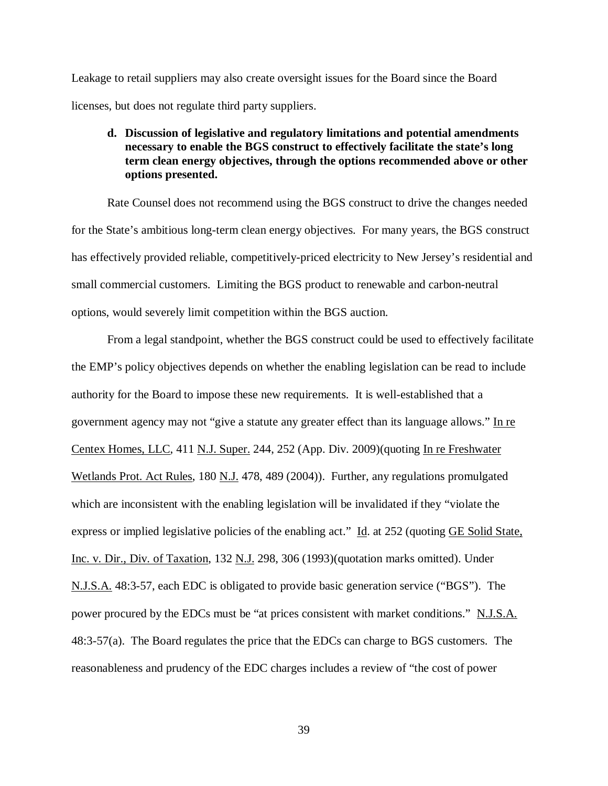Leakage to retail suppliers may also create oversight issues for the Board since the Board licenses, but does not regulate third party suppliers.

## **d. Discussion of legislative and regulatory limitations and potential amendments necessary to enable the BGS construct to effectively facilitate the state's long term clean energy objectives, through the options recommended above or other options presented.**

Rate Counsel does not recommend using the BGS construct to drive the changes needed for the State's ambitious long-term clean energy objectives. For many years, the BGS construct has effectively provided reliable, competitively-priced electricity to New Jersey's residential and small commercial customers. Limiting the BGS product to renewable and carbon-neutral options, would severely limit competition within the BGS auction.

From a legal standpoint, whether the BGS construct could be used to effectively facilitate the EMP's policy objectives depends on whether the enabling legislation can be read to include authority for the Board to impose these new requirements. It is well-established that a government agency may not "give a statute any greater effect than its language allows." In re Centex Homes, LLC, 411 N.J. Super. 244, 252 (App. Div. 2009)(quoting In re Freshwater Wetlands Prot. Act Rules, 180 N.J. 478, 489 (2004)). Further, any regulations promulgated which are inconsistent with the enabling legislation will be invalidated if they "violate the express or implied legislative policies of the enabling act." Id. at 252 (quoting GE Solid State, Inc. v. Dir., Div. of Taxation, 132 N.J. 298, 306 (1993)(quotation marks omitted). Under N.J.S.A. 48:3-57, each EDC is obligated to provide basic generation service ("BGS"). The power procured by the EDCs must be "at prices consistent with market conditions." N.J.S.A. 48:3-57(a). The Board regulates the price that the EDCs can charge to BGS customers. The reasonableness and prudency of the EDC charges includes a review of "the cost of power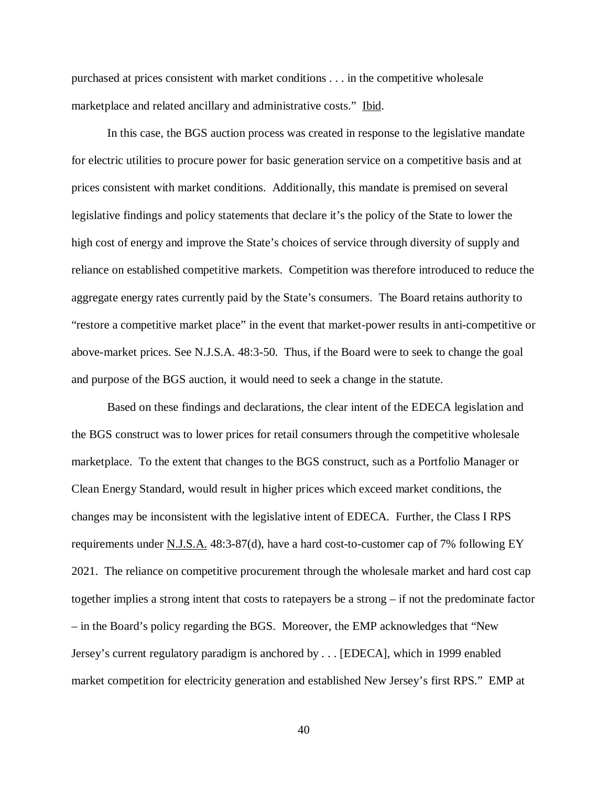purchased at prices consistent with market conditions . . . in the competitive wholesale marketplace and related ancillary and administrative costs." Ibid.

In this case, the BGS auction process was created in response to the legislative mandate for electric utilities to procure power for basic generation service on a competitive basis and at prices consistent with market conditions. Additionally, this mandate is premised on several legislative findings and policy statements that declare it's the policy of the State to lower the high cost of energy and improve the State's choices of service through diversity of supply and reliance on established competitive markets. Competition was therefore introduced to reduce the aggregate energy rates currently paid by the State's consumers. The Board retains authority to "restore a competitive market place" in the event that market-power results in anti-competitive or above-market prices. See N.J.S.A. 48:3-50. Thus, if the Board were to seek to change the goal and purpose of the BGS auction, it would need to seek a change in the statute.

Based on these findings and declarations, the clear intent of the EDECA legislation and the BGS construct was to lower prices for retail consumers through the competitive wholesale marketplace. To the extent that changes to the BGS construct, such as a Portfolio Manager or Clean Energy Standard, would result in higher prices which exceed market conditions, the changes may be inconsistent with the legislative intent of EDECA. Further, the Class I RPS requirements under N.J.S.A.  $48:3-87(d)$ , have a hard cost-to-customer cap of 7% following EY 2021. The reliance on competitive procurement through the wholesale market and hard cost cap together implies a strong intent that costs to ratepayers be a strong – if not the predominate factor – in the Board's policy regarding the BGS. Moreover, the EMP acknowledges that "New Jersey's current regulatory paradigm is anchored by . . . [EDECA], which in 1999 enabled market competition for electricity generation and established New Jersey's first RPS." EMP at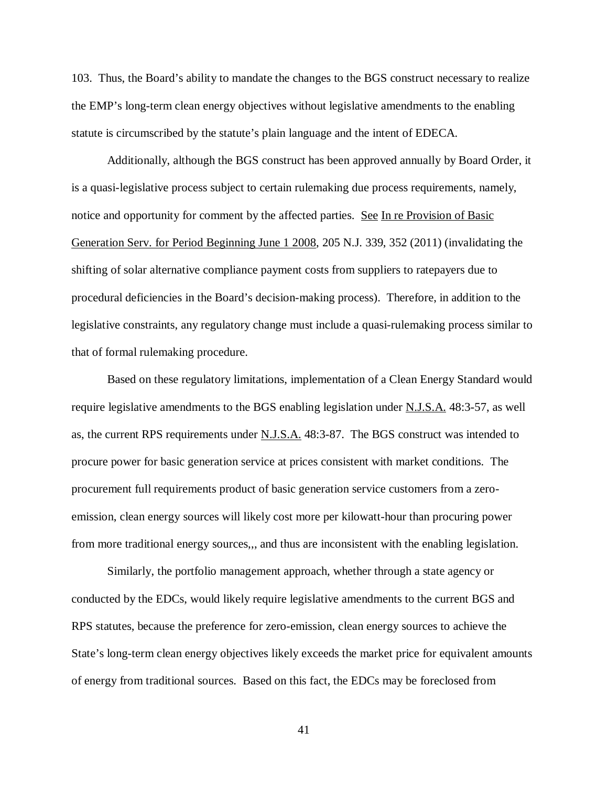103. Thus, the Board's ability to mandate the changes to the BGS construct necessary to realize the EMP's long-term clean energy objectives without legislative amendments to the enabling statute is circumscribed by the statute's plain language and the intent of EDECA.

Additionally, although the BGS construct has been approved annually by Board Order, it is a quasi-legislative process subject to certain rulemaking due process requirements, namely, notice and opportunity for comment by the affected parties. See In re Provision of Basic Generation Serv. for Period Beginning June 1 2008, 205 N.J. 339, 352 (2011) (invalidating the shifting of solar alternative compliance payment costs from suppliers to ratepayers due to procedural deficiencies in the Board's decision-making process). Therefore, in addition to the legislative constraints, any regulatory change must include a quasi-rulemaking process similar to that of formal rulemaking procedure.

Based on these regulatory limitations, implementation of a Clean Energy Standard would require legislative amendments to the BGS enabling legislation under N.J.S.A. 48:3-57, as well as, the current RPS requirements under N.J.S.A. 48:3-87. The BGS construct was intended to procure power for basic generation service at prices consistent with market conditions. The procurement full requirements product of basic generation service customers from a zeroemission, clean energy sources will likely cost more per kilowatt-hour than procuring power from more traditional energy sources,,, and thus are inconsistent with the enabling legislation.

Similarly, the portfolio management approach, whether through a state agency or conducted by the EDCs, would likely require legislative amendments to the current BGS and RPS statutes, because the preference for zero-emission, clean energy sources to achieve the State's long-term clean energy objectives likely exceeds the market price for equivalent amounts of energy from traditional sources. Based on this fact, the EDCs may be foreclosed from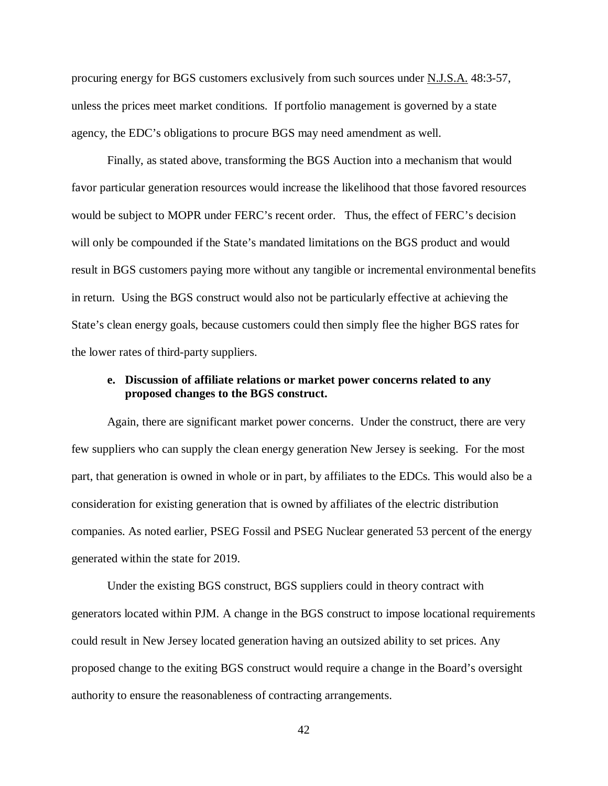procuring energy for BGS customers exclusively from such sources under N.J.S.A. 48:3-57, unless the prices meet market conditions. If portfolio management is governed by a state agency, the EDC's obligations to procure BGS may need amendment as well.

Finally, as stated above, transforming the BGS Auction into a mechanism that would favor particular generation resources would increase the likelihood that those favored resources would be subject to MOPR under FERC's recent order. Thus, the effect of FERC's decision will only be compounded if the State's mandated limitations on the BGS product and would result in BGS customers paying more without any tangible or incremental environmental benefits in return. Using the BGS construct would also not be particularly effective at achieving the State's clean energy goals, because customers could then simply flee the higher BGS rates for the lower rates of third-party suppliers.

#### **e. Discussion of affiliate relations or market power concerns related to any proposed changes to the BGS construct.**

Again, there are significant market power concerns. Under the construct, there are very few suppliers who can supply the clean energy generation New Jersey is seeking. For the most part, that generation is owned in whole or in part, by affiliates to the EDCs. This would also be a consideration for existing generation that is owned by affiliates of the electric distribution companies. As noted earlier, PSEG Fossil and PSEG Nuclear generated 53 percent of the energy generated within the state for 2019.

Under the existing BGS construct, BGS suppliers could in theory contract with generators located within PJM. A change in the BGS construct to impose locational requirements could result in New Jersey located generation having an outsized ability to set prices. Any proposed change to the exiting BGS construct would require a change in the Board's oversight authority to ensure the reasonableness of contracting arrangements.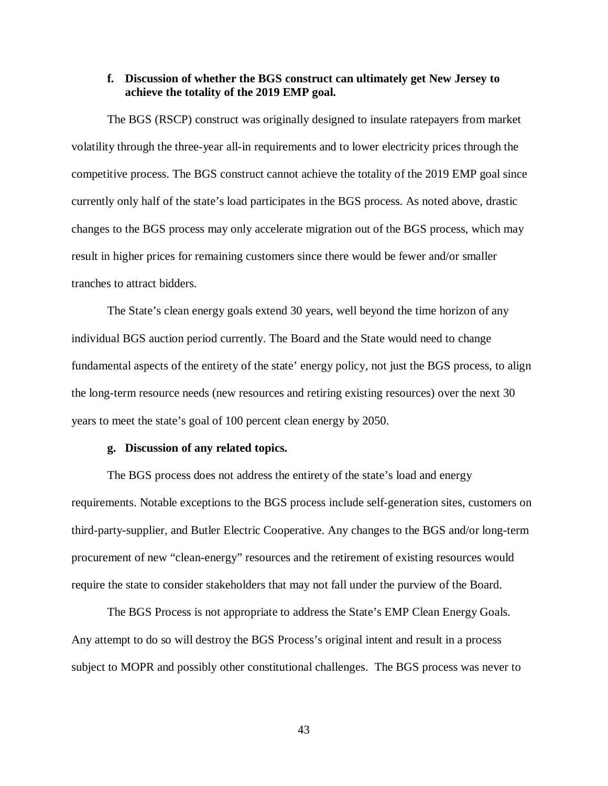#### **f. Discussion of whether the BGS construct can ultimately get New Jersey to achieve the totality of the 2019 EMP goal.**

The BGS (RSCP) construct was originally designed to insulate ratepayers from market volatility through the three-year all-in requirements and to lower electricity prices through the competitive process. The BGS construct cannot achieve the totality of the 2019 EMP goal since currently only half of the state's load participates in the BGS process. As noted above, drastic changes to the BGS process may only accelerate migration out of the BGS process, which may result in higher prices for remaining customers since there would be fewer and/or smaller tranches to attract bidders.

The State's clean energy goals extend 30 years, well beyond the time horizon of any individual BGS auction period currently. The Board and the State would need to change fundamental aspects of the entirety of the state' energy policy, not just the BGS process, to align the long-term resource needs (new resources and retiring existing resources) over the next 30 years to meet the state's goal of 100 percent clean energy by 2050.

#### **g. Discussion of any related topics.**

The BGS process does not address the entirety of the state's load and energy requirements. Notable exceptions to the BGS process include self-generation sites, customers on third-party-supplier, and Butler Electric Cooperative. Any changes to the BGS and/or long-term procurement of new "clean-energy" resources and the retirement of existing resources would require the state to consider stakeholders that may not fall under the purview of the Board.

The BGS Process is not appropriate to address the State's EMP Clean Energy Goals. Any attempt to do so will destroy the BGS Process's original intent and result in a process subject to MOPR and possibly other constitutional challenges. The BGS process was never to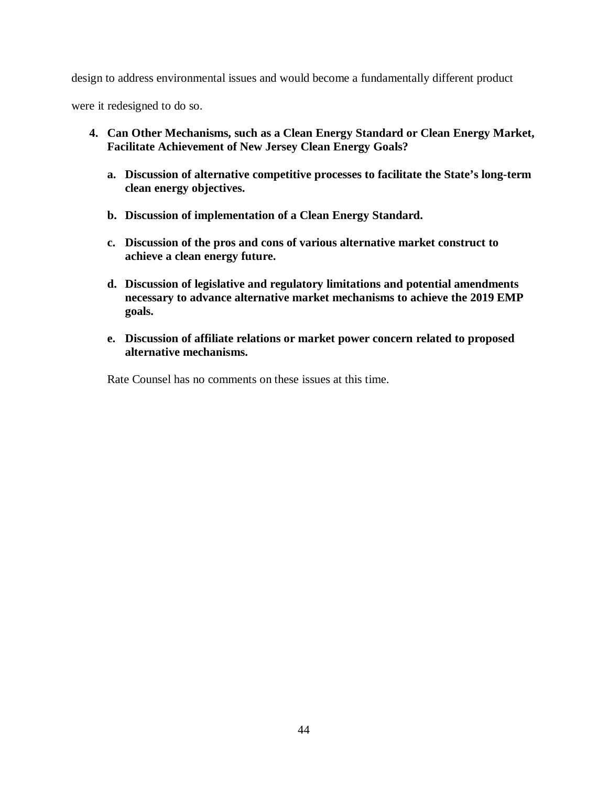design to address environmental issues and would become a fundamentally different product

were it redesigned to do so.

- **4. Can Other Mechanisms, such as a Clean Energy Standard or Clean Energy Market, Facilitate Achievement of New Jersey Clean Energy Goals?**
	- **a. Discussion of alternative competitive processes to facilitate the State's long-term clean energy objectives.**
	- **b. Discussion of implementation of a Clean Energy Standard.**
	- **c. Discussion of the pros and cons of various alternative market construct to achieve a clean energy future.**
	- **d. Discussion of legislative and regulatory limitations and potential amendments necessary to advance alternative market mechanisms to achieve the 2019 EMP goals.**
	- **e. Discussion of affiliate relations or market power concern related to proposed alternative mechanisms.**

Rate Counsel has no comments on these issues at this time.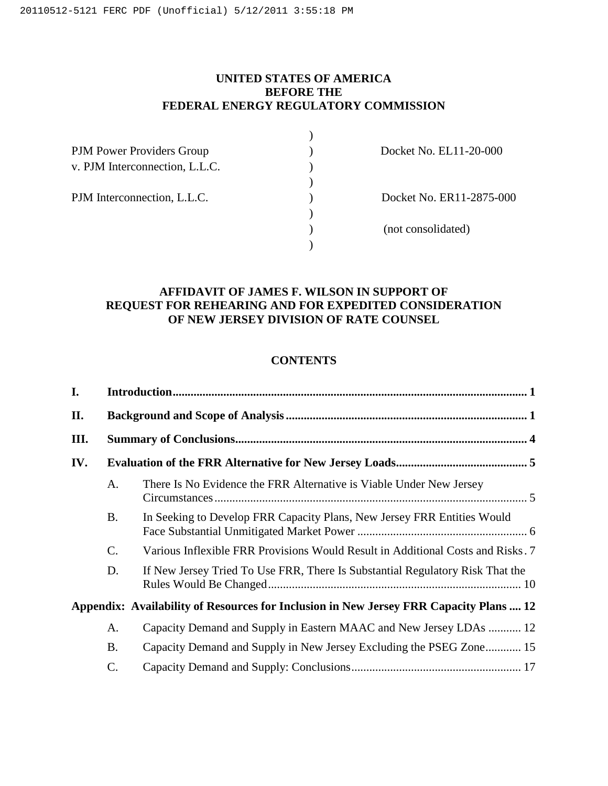## **UNITED STATES OF AMERICA BEFORE THE FEDERAL ENERGY REGULATORY COMMISSION**

| <b>PJM Power Providers Group</b> |  |
|----------------------------------|--|
| v. PJM Interconnection, L.L.C.   |  |
|                                  |  |
| PJM Interconnection, L.L.C.      |  |
|                                  |  |
|                                  |  |
|                                  |  |

) Docket No. EL11-20-000

) Docket No. ER11-2875-000

) (not consolidated)

## **AFFIDAVIT OF JAMES F. WILSON IN SUPPORT OF REQUEST FOR REHEARING AND FOR EXPEDITED CONSIDERATION OF NEW JERSEY DIVISION OF RATE COUNSEL**

## **CONTENTS**

| I.   |                 |                                                                                        |  |  |
|------|-----------------|----------------------------------------------------------------------------------------|--|--|
| П.   |                 |                                                                                        |  |  |
| III. |                 |                                                                                        |  |  |
| IV.  |                 |                                                                                        |  |  |
|      | A.              | There Is No Evidence the FRR Alternative is Viable Under New Jersey                    |  |  |
|      | <b>B.</b>       | In Seeking to Develop FRR Capacity Plans, New Jersey FRR Entities Would                |  |  |
|      | C.              | Various Inflexible FRR Provisions Would Result in Additional Costs and Risks. 7        |  |  |
|      | D.              | If New Jersey Tried To Use FRR, There Is Substantial Regulatory Risk That the          |  |  |
|      |                 | Appendix: Availability of Resources for Inclusion in New Jersey FRR Capacity Plans  12 |  |  |
|      | A.              | Capacity Demand and Supply in Eastern MAAC and New Jersey LDAs  12                     |  |  |
|      | <b>B.</b>       | Capacity Demand and Supply in New Jersey Excluding the PSEG Zone 15                    |  |  |
|      | $\mathcal{C}$ . |                                                                                        |  |  |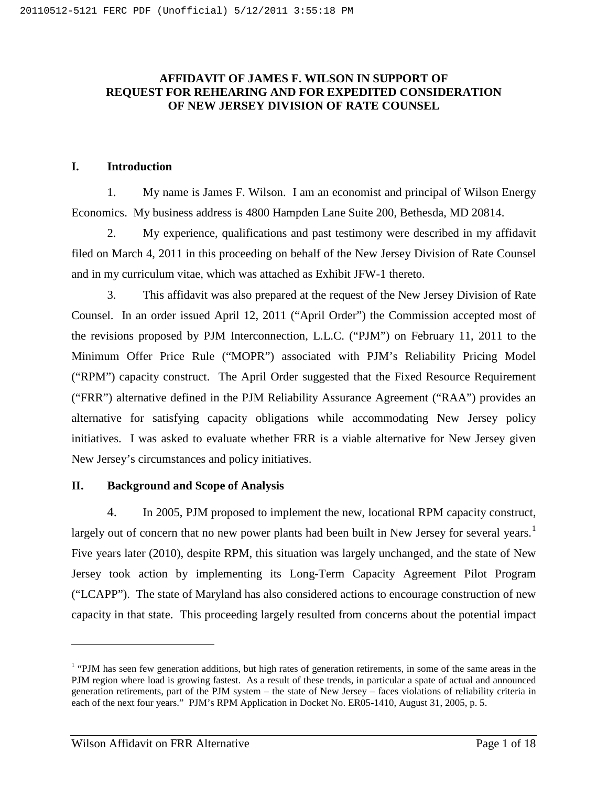## **AFFIDAVIT OF JAMES F. WILSON IN SUPPORT OF REQUEST FOR REHEARING AND FOR EXPEDITED CONSIDERATION OF NEW JERSEY DIVISION OF RATE COUNSEL**

## <span id="page-47-0"></span>**I. Introduction**

1. My name is James F. Wilson. I am an economist and principal of Wilson Energy Economics. My business address is 4800 Hampden Lane Suite 200, Bethesda, MD 20814.

2. My experience, qualifications and past testimony were described in my affidavit filed on March 4, 2011 in this proceeding on behalf of the New Jersey Division of Rate Counsel and in my curriculum vitae, which was attached as Exhibit JFW-1 thereto.

3. This affidavit was also prepared at the request of the New Jersey Division of Rate Counsel. In an order issued April 12, 2011 ("April Order") the Commission accepted most of the revisions proposed by PJM Interconnection, L.L.C. ("PJM") on February 11, 2011 to the Minimum Offer Price Rule ("MOPR") associated with PJM's Reliability Pricing Model ("RPM") capacity construct. The April Order suggested that the Fixed Resource Requirement ("FRR") alternative defined in the PJM Reliability Assurance Agreement ("RAA") provides an alternative for satisfying capacity obligations while accommodating New Jersey policy initiatives. I was asked to evaluate whether FRR is a viable alternative for New Jersey given New Jersey's circumstances and policy initiatives.

## <span id="page-47-1"></span>**II. Background and Scope of Analysis**

4. In 2005, PJM proposed to implement the new, locational RPM capacity construct, largely out of concern that no new power plants had been built in New Jersey for several years.<sup>[1](#page-47-2)</sup> Five years later (2010), despite RPM, this situation was largely unchanged, and the state of New Jersey took action by implementing its Long-Term Capacity Agreement Pilot Program ("LCAPP"). The state of Maryland has also considered actions to encourage construction of new capacity in that state. This proceeding largely resulted from concerns about the potential impact

 $\overline{a}$ 

<span id="page-47-2"></span><sup>&</sup>lt;sup>1</sup> "PJM has seen few generation additions, but high rates of generation retirements, in some of the same areas in the PJM region where load is growing fastest. As a result of these trends, in particular a spate of actual and announced generation retirements, part of the PJM system – the state of New Jersey – faces violations of reliability criteria in each of the next four years." PJM's RPM Application in Docket No. ER05-1410, August 31, 2005, p. 5.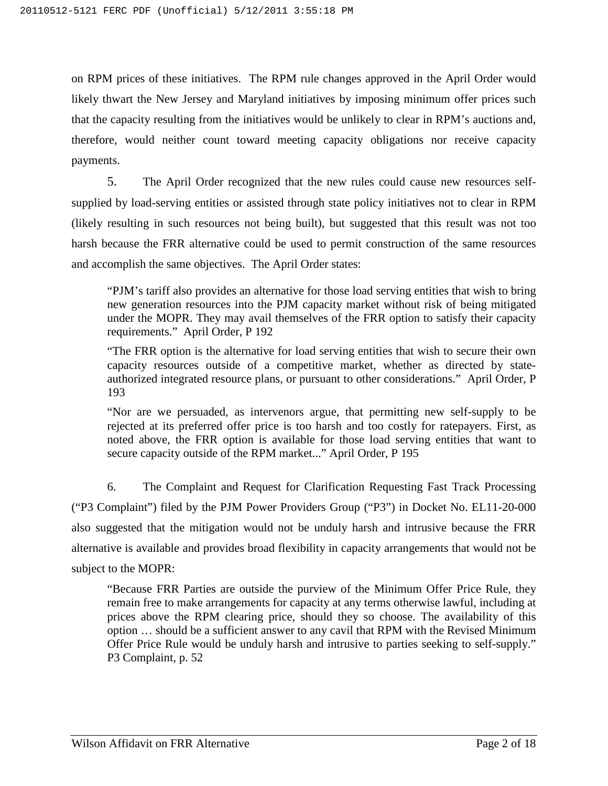on RPM prices of these initiatives. The RPM rule changes approved in the April Order would likely thwart the New Jersey and Maryland initiatives by imposing minimum offer prices such that the capacity resulting from the initiatives would be unlikely to clear in RPM's auctions and, therefore, would neither count toward meeting capacity obligations nor receive capacity payments.

5. The April Order recognized that the new rules could cause new resources selfsupplied by load-serving entities or assisted through state policy initiatives not to clear in RPM (likely resulting in such resources not being built), but suggested that this result was not too harsh because the FRR alternative could be used to permit construction of the same resources and accomplish the same objectives. The April Order states:

"PJM's tariff also provides an alternative for those load serving entities that wish to bring new generation resources into the PJM capacity market without risk of being mitigated under the MOPR. They may avail themselves of the FRR option to satisfy their capacity requirements." April Order, P 192

"The FRR option is the alternative for load serving entities that wish to secure their own capacity resources outside of a competitive market, whether as directed by stateauthorized integrated resource plans, or pursuant to other considerations." April Order, P 193

"Nor are we persuaded, as intervenors argue, that permitting new self-supply to be rejected at its preferred offer price is too harsh and too costly for ratepayers. First, as noted above, the FRR option is available for those load serving entities that want to secure capacity outside of the RPM market..." April Order, P 195

6. The Complaint and Request for Clarification Requesting Fast Track Processing ("P3 Complaint") filed by the PJM Power Providers Group ("P3") in Docket No. EL11-20-000 also suggested that the mitigation would not be unduly harsh and intrusive because the FRR alternative is available and provides broad flexibility in capacity arrangements that would not be subject to the MOPR:

"Because FRR Parties are outside the purview of the Minimum Offer Price Rule, they remain free to make arrangements for capacity at any terms otherwise lawful, including at prices above the RPM clearing price, should they so choose. The availability of this option … should be a sufficient answer to any cavil that RPM with the Revised Minimum Offer Price Rule would be unduly harsh and intrusive to parties seeking to self-supply." P3 Complaint, p. 52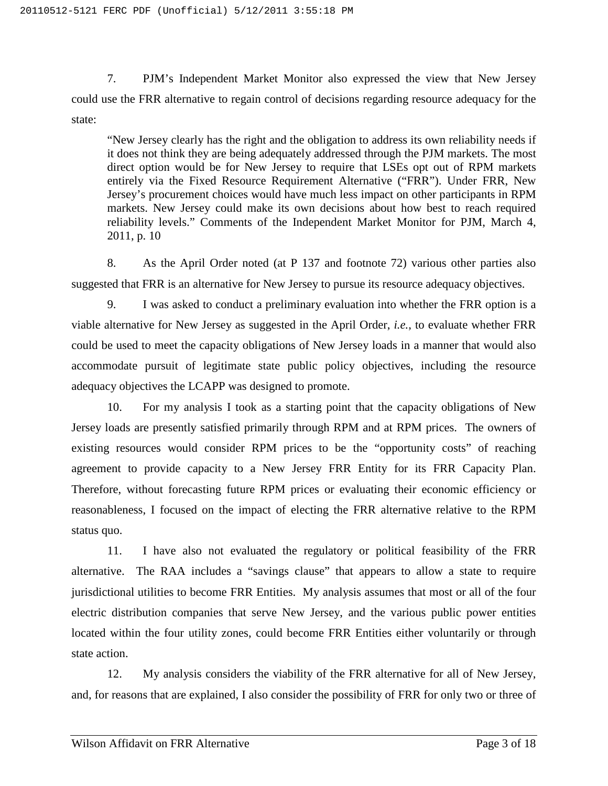7. PJM's Independent Market Monitor also expressed the view that New Jersey could use the FRR alternative to regain control of decisions regarding resource adequacy for the state:

"New Jersey clearly has the right and the obligation to address its own reliability needs if it does not think they are being adequately addressed through the PJM markets. The most direct option would be for New Jersey to require that LSEs opt out of RPM markets entirely via the Fixed Resource Requirement Alternative ("FRR"). Under FRR, New Jersey's procurement choices would have much less impact on other participants in RPM markets. New Jersey could make its own decisions about how best to reach required reliability levels." Comments of the Independent Market Monitor for PJM, March 4, 2011, p. 10

8. As the April Order noted (at P 137 and footnote 72) various other parties also suggested that FRR is an alternative for New Jersey to pursue its resource adequacy objectives.

9. I was asked to conduct a preliminary evaluation into whether the FRR option is a viable alternative for New Jersey as suggested in the April Order, *i.e.*, to evaluate whether FRR could be used to meet the capacity obligations of New Jersey loads in a manner that would also accommodate pursuit of legitimate state public policy objectives, including the resource adequacy objectives the LCAPP was designed to promote.

10. For my analysis I took as a starting point that the capacity obligations of New Jersey loads are presently satisfied primarily through RPM and at RPM prices. The owners of existing resources would consider RPM prices to be the "opportunity costs" of reaching agreement to provide capacity to a New Jersey FRR Entity for its FRR Capacity Plan. Therefore, without forecasting future RPM prices or evaluating their economic efficiency or reasonableness, I focused on the impact of electing the FRR alternative relative to the RPM status quo.

11. I have also not evaluated the regulatory or political feasibility of the FRR alternative. The RAA includes a "savings clause" that appears to allow a state to require jurisdictional utilities to become FRR Entities. My analysis assumes that most or all of the four electric distribution companies that serve New Jersey, and the various public power entities located within the four utility zones, could become FRR Entities either voluntarily or through state action.

12. My analysis considers the viability of the FRR alternative for all of New Jersey, and, for reasons that are explained, I also consider the possibility of FRR for only two or three of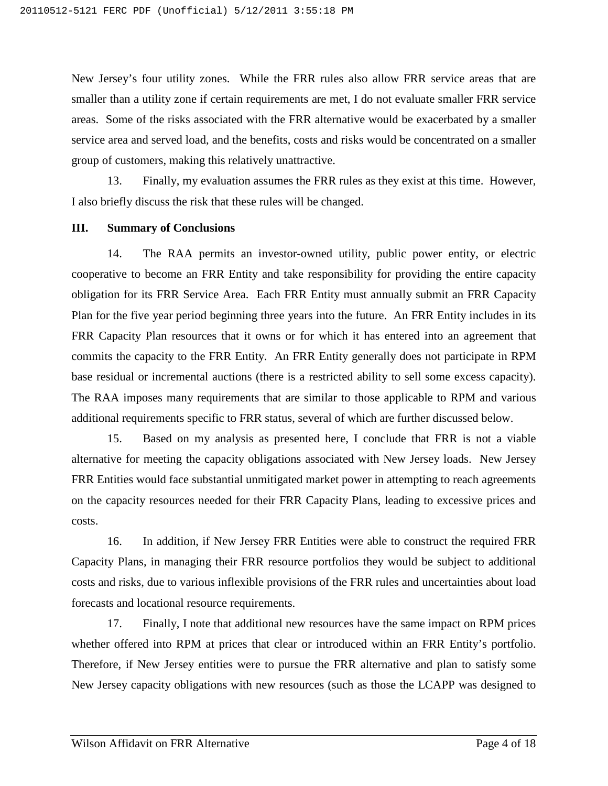New Jersey's four utility zones. While the FRR rules also allow FRR service areas that are smaller than a utility zone if certain requirements are met, I do not evaluate smaller FRR service areas. Some of the risks associated with the FRR alternative would be exacerbated by a smaller service area and served load, and the benefits, costs and risks would be concentrated on a smaller group of customers, making this relatively unattractive.

13. Finally, my evaluation assumes the FRR rules as they exist at this time. However, I also briefly discuss the risk that these rules will be changed.

#### <span id="page-50-0"></span>**III. Summary of Conclusions**

14. The RAA permits an investor-owned utility, public power entity, or electric cooperative to become an FRR Entity and take responsibility for providing the entire capacity obligation for its FRR Service Area. Each FRR Entity must annually submit an FRR Capacity Plan for the five year period beginning three years into the future. An FRR Entity includes in its FRR Capacity Plan resources that it owns or for which it has entered into an agreement that commits the capacity to the FRR Entity. An FRR Entity generally does not participate in RPM base residual or incremental auctions (there is a restricted ability to sell some excess capacity). The RAA imposes many requirements that are similar to those applicable to RPM and various additional requirements specific to FRR status, several of which are further discussed below.

15. Based on my analysis as presented here, I conclude that FRR is not a viable alternative for meeting the capacity obligations associated with New Jersey loads. New Jersey FRR Entities would face substantial unmitigated market power in attempting to reach agreements on the capacity resources needed for their FRR Capacity Plans, leading to excessive prices and costs.

16. In addition, if New Jersey FRR Entities were able to construct the required FRR Capacity Plans, in managing their FRR resource portfolios they would be subject to additional costs and risks, due to various inflexible provisions of the FRR rules and uncertainties about load forecasts and locational resource requirements.

17. Finally, I note that additional new resources have the same impact on RPM prices whether offered into RPM at prices that clear or introduced within an FRR Entity's portfolio. Therefore, if New Jersey entities were to pursue the FRR alternative and plan to satisfy some New Jersey capacity obligations with new resources (such as those the LCAPP was designed to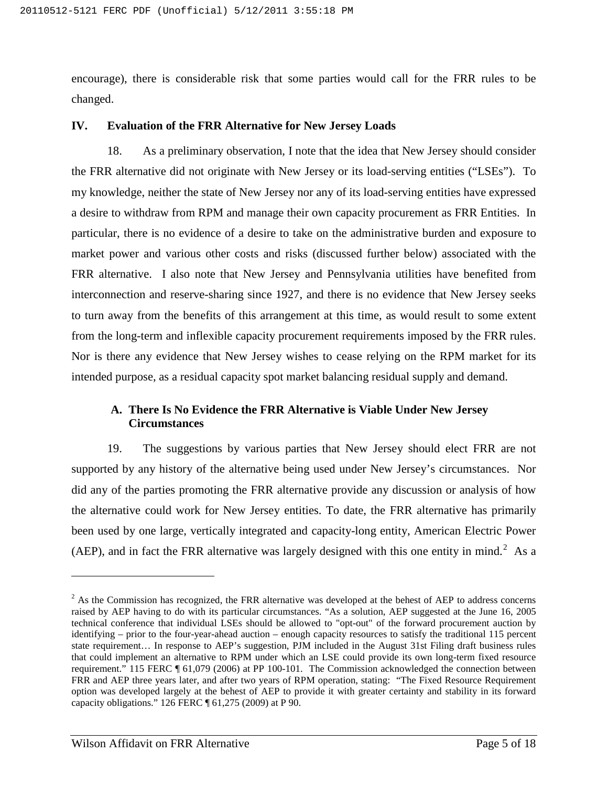encourage), there is considerable risk that some parties would call for the FRR rules to be changed.

#### <span id="page-51-0"></span>**IV. Evaluation of the FRR Alternative for New Jersey Loads**

18. As a preliminary observation, I note that the idea that New Jersey should consider the FRR alternative did not originate with New Jersey or its load-serving entities ("LSEs"). To my knowledge, neither the state of New Jersey nor any of its load-serving entities have expressed a desire to withdraw from RPM and manage their own capacity procurement as FRR Entities. In particular, there is no evidence of a desire to take on the administrative burden and exposure to market power and various other costs and risks (discussed further below) associated with the FRR alternative. I also note that New Jersey and Pennsylvania utilities have benefited from interconnection and reserve-sharing since 1927, and there is no evidence that New Jersey seeks to turn away from the benefits of this arrangement at this time, as would result to some extent from the long-term and inflexible capacity procurement requirements imposed by the FRR rules. Nor is there any evidence that New Jersey wishes to cease relying on the RPM market for its intended purpose, as a residual capacity spot market balancing residual supply and demand.

## <span id="page-51-1"></span>**A. There Is No Evidence the FRR Alternative is Viable Under New Jersey Circumstances**

19. The suggestions by various parties that New Jersey should elect FRR are not supported by any history of the alternative being used under New Jersey's circumstances. Nor did any of the parties promoting the FRR alternative provide any discussion or analysis of how the alternative could work for New Jersey entities. To date, the FRR alternative has primarily been used by one large, vertically integrated and capacity-long entity, American Electric Power (AEP), and in fact the FRR alternative was largely designed with this one entity in mind.<sup>[2](#page-51-2)</sup> As a

 $\overline{a}$ 

<span id="page-51-2"></span> $2$  As the Commission has recognized, the FRR alternative was developed at the behest of AEP to address concerns raised by AEP having to do with its particular circumstances. "As a solution, AEP suggested at the June 16, 2005 technical conference that individual LSEs should be allowed to "opt-out" of the forward procurement auction by identifying – prior to the four-year-ahead auction – enough capacity resources to satisfy the traditional 115 percent state requirement… In response to AEP's suggestion, PJM included in the August 31st Filing draft business rules that could implement an alternative to RPM under which an LSE could provide its own long-term fixed resource requirement." 115 FERC ¶ 61,079 (2006) at PP 100-101. The Commission acknowledged the connection between FRR and AEP three years later, and after two years of RPM operation, stating: "The Fixed Resource Requirement option was developed largely at the behest of AEP to provide it with greater certainty and stability in its forward capacity obligations." 126 FERC ¶ 61,275 (2009) at P 90.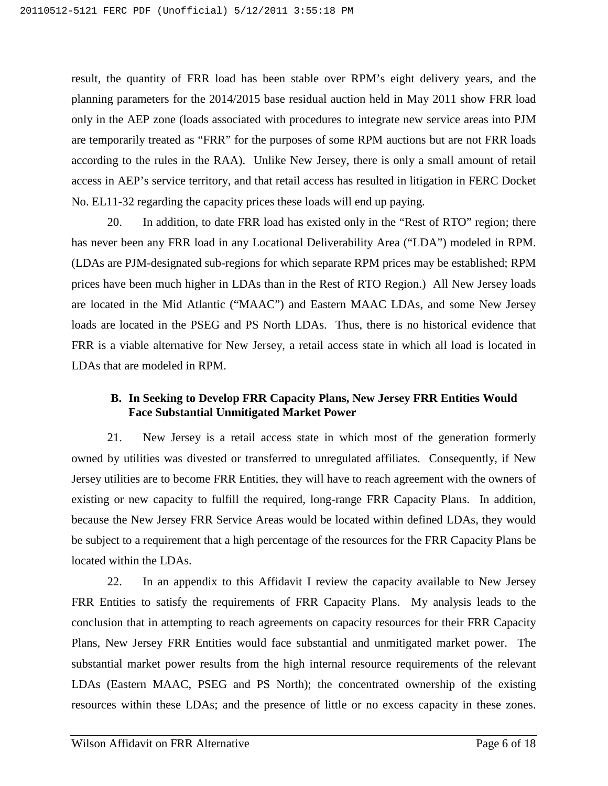result, the quantity of FRR load has been stable over RPM's eight delivery years, and the planning parameters for the 2014/2015 base residual auction held in May 2011 show FRR load only in the AEP zone (loads associated with procedures to integrate new service areas into PJM are temporarily treated as "FRR" for the purposes of some RPM auctions but are not FRR loads according to the rules in the RAA). Unlike New Jersey, there is only a small amount of retail access in AEP's service territory, and that retail access has resulted in litigation in FERC Docket No. EL11-32 regarding the capacity prices these loads will end up paying.

20. In addition, to date FRR load has existed only in the "Rest of RTO" region; there has never been any FRR load in any Locational Deliverability Area ("LDA") modeled in RPM. (LDAs are PJM-designated sub-regions for which separate RPM prices may be established; RPM prices have been much higher in LDAs than in the Rest of RTO Region.) All New Jersey loads are located in the Mid Atlantic ("MAAC") and Eastern MAAC LDAs, and some New Jersey loads are located in the PSEG and PS North LDAs. Thus, there is no historical evidence that FRR is a viable alternative for New Jersey, a retail access state in which all load is located in LDAs that are modeled in RPM.

## <span id="page-52-0"></span>**B. In Seeking to Develop FRR Capacity Plans, New Jersey FRR Entities Would Face Substantial Unmitigated Market Power**

21. New Jersey is a retail access state in which most of the generation formerly owned by utilities was divested or transferred to unregulated affiliates. Consequently, if New Jersey utilities are to become FRR Entities, they will have to reach agreement with the owners of existing or new capacity to fulfill the required, long-range FRR Capacity Plans. In addition, because the New Jersey FRR Service Areas would be located within defined LDAs, they would be subject to a requirement that a high percentage of the resources for the FRR Capacity Plans be located within the LDAs.

22. In an appendix to this Affidavit I review the capacity available to New Jersey FRR Entities to satisfy the requirements of FRR Capacity Plans. My analysis leads to the conclusion that in attempting to reach agreements on capacity resources for their FRR Capacity Plans, New Jersey FRR Entities would face substantial and unmitigated market power. The substantial market power results from the high internal resource requirements of the relevant LDAs (Eastern MAAC, PSEG and PS North); the concentrated ownership of the existing resources within these LDAs; and the presence of little or no excess capacity in these zones.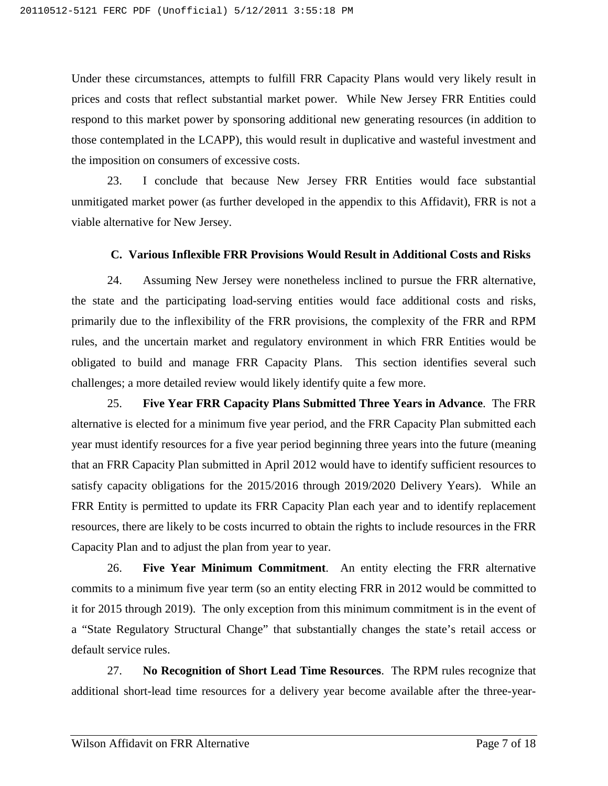Under these circumstances, attempts to fulfill FRR Capacity Plans would very likely result in prices and costs that reflect substantial market power. While New Jersey FRR Entities could respond to this market power by sponsoring additional new generating resources (in addition to those contemplated in the LCAPP), this would result in duplicative and wasteful investment and the imposition on consumers of excessive costs.

23. I conclude that because New Jersey FRR Entities would face substantial unmitigated market power (as further developed in the appendix to this Affidavit), FRR is not a viable alternative for New Jersey.

#### **C. Various Inflexible FRR Provisions Would Result in Additional Costs and Risks**

<span id="page-53-0"></span>24. Assuming New Jersey were nonetheless inclined to pursue the FRR alternative, the state and the participating load-serving entities would face additional costs and risks, primarily due to the inflexibility of the FRR provisions, the complexity of the FRR and RPM rules, and the uncertain market and regulatory environment in which FRR Entities would be obligated to build and manage FRR Capacity Plans. This section identifies several such challenges; a more detailed review would likely identify quite a few more.

25. **Five Year FRR Capacity Plans Submitted Three Years in Advance**. The FRR alternative is elected for a minimum five year period, and the FRR Capacity Plan submitted each year must identify resources for a five year period beginning three years into the future (meaning that an FRR Capacity Plan submitted in April 2012 would have to identify sufficient resources to satisfy capacity obligations for the 2015/2016 through 2019/2020 Delivery Years). While an FRR Entity is permitted to update its FRR Capacity Plan each year and to identify replacement resources, there are likely to be costs incurred to obtain the rights to include resources in the FRR Capacity Plan and to adjust the plan from year to year.

26. **Five Year Minimum Commitment**. An entity electing the FRR alternative commits to a minimum five year term (so an entity electing FRR in 2012 would be committed to it for 2015 through 2019). The only exception from this minimum commitment is in the event of a "State Regulatory Structural Change" that substantially changes the state's retail access or default service rules.

27. **No Recognition of Short Lead Time Resources**. The RPM rules recognize that additional short-lead time resources for a delivery year become available after the three-year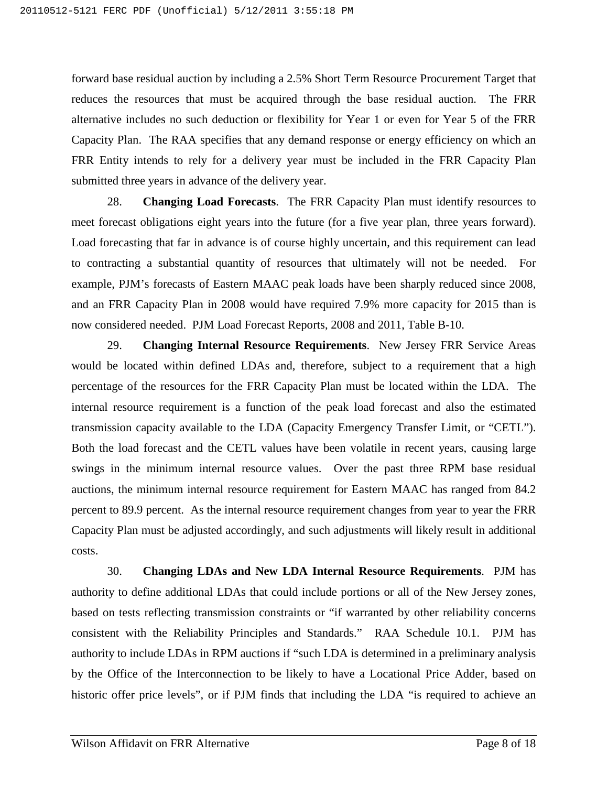forward base residual auction by including a 2.5% Short Term Resource Procurement Target that reduces the resources that must be acquired through the base residual auction. The FRR alternative includes no such deduction or flexibility for Year 1 or even for Year 5 of the FRR Capacity Plan. The RAA specifies that any demand response or energy efficiency on which an FRR Entity intends to rely for a delivery year must be included in the FRR Capacity Plan submitted three years in advance of the delivery year.

28. **Changing Load Forecasts**. The FRR Capacity Plan must identify resources to meet forecast obligations eight years into the future (for a five year plan, three years forward). Load forecasting that far in advance is of course highly uncertain, and this requirement can lead to contracting a substantial quantity of resources that ultimately will not be needed. For example, PJM's forecasts of Eastern MAAC peak loads have been sharply reduced since 2008, and an FRR Capacity Plan in 2008 would have required 7.9% more capacity for 2015 than is now considered needed. PJM Load Forecast Reports, 2008 and 2011, Table B-10.

29. **Changing Internal Resource Requirements**. New Jersey FRR Service Areas would be located within defined LDAs and, therefore, subject to a requirement that a high percentage of the resources for the FRR Capacity Plan must be located within the LDA. The internal resource requirement is a function of the peak load forecast and also the estimated transmission capacity available to the LDA (Capacity Emergency Transfer Limit, or "CETL"). Both the load forecast and the CETL values have been volatile in recent years, causing large swings in the minimum internal resource values. Over the past three RPM base residual auctions, the minimum internal resource requirement for Eastern MAAC has ranged from 84.2 percent to 89.9 percent. As the internal resource requirement changes from year to year the FRR Capacity Plan must be adjusted accordingly, and such adjustments will likely result in additional costs.

30. **Changing LDAs and New LDA Internal Resource Requirements**. PJM has authority to define additional LDAs that could include portions or all of the New Jersey zones, based on tests reflecting transmission constraints or "if warranted by other reliability concerns consistent with the Reliability Principles and Standards." RAA Schedule 10.1. PJM has authority to include LDAs in RPM auctions if "such LDA is determined in a preliminary analysis by the Office of the Interconnection to be likely to have a Locational Price Adder, based on historic offer price levels", or if PJM finds that including the LDA "is required to achieve an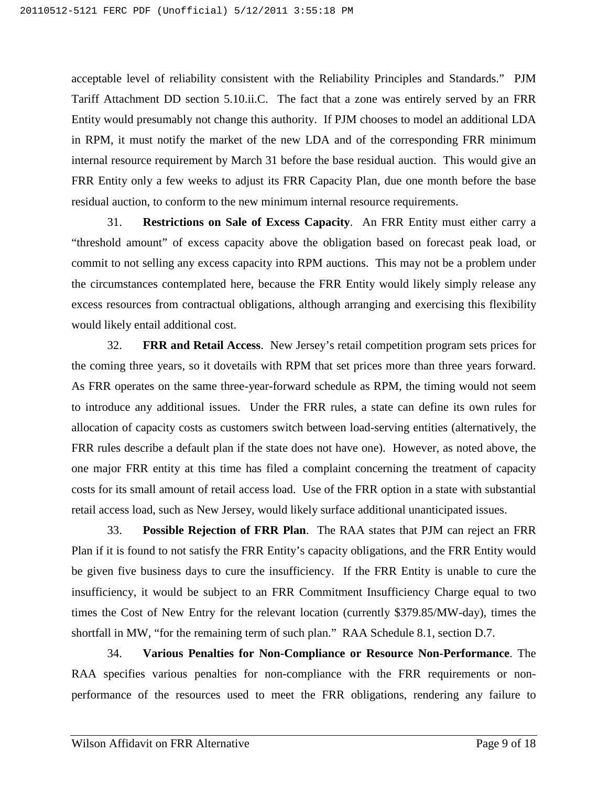acceptable level of reliability consistent with the Reliability Principles and Standards." PJM Tariff Attachment DD section 5.10.ii.C. The fact that a zone was entirely served by an FRR Entity would presumably not change this authority. If PJM chooses to model an additional LDA in RPM, it must notify the market of the new LDA and of the corresponding FRR minimum internal resource requirement by March 31 before the base residual auction. This would give an FRR Entity only a few weeks to adjust its FRR Capacity Plan, due one month before the base residual auction, to conform to the new minimum internal resource requirements.

31. **Restrictions on Sale of Excess Capacity**. An FRR Entity must either carry a "threshold amount" of excess capacity above the obligation based on forecast peak load, or commit to not selling any excess capacity into RPM auctions. This may not be a problem under the circumstances contemplated here, because the FRR Entity would likely simply release any excess resources from contractual obligations, although arranging and exercising this flexibility would likely entail additional cost.

32. **FRR and Retail Access**. New Jersey's retail competition program sets prices for the coming three years, so it dovetails with RPM that set prices more than three years forward. As FRR operates on the same three-year-forward schedule as RPM, the timing would not seem to introduce any additional issues. Under the FRR rules, a state can define its own rules for allocation of capacity costs as customers switch between load-serving entities (alternatively, the FRR rules describe a default plan if the state does not have one). However, as noted above, the one major FRR entity at this time has filed a complaint concerning the treatment of capacity costs for its small amount of retail access load. Use of the FRR option in a state with substantial retail access load, such as New Jersey, would likely surface additional unanticipated issues.

33. **Possible Rejection of FRR Plan**. The RAA states that PJM can reject an FRR Plan if it is found to not satisfy the FRR Entity's capacity obligations, and the FRR Entity would be given five business days to cure the insufficiency. If the FRR Entity is unable to cure the insufficiency, it would be subject to an FRR Commitment Insufficiency Charge equal to two times the Cost of New Entry for the relevant location (currently \$379.85/MW-day), times the shortfall in MW, "for the remaining term of such plan." RAA Schedule 8.1, section D.7.

34. **Various Penalties for Non-Compliance or Resource Non-Performance**. The RAA specifies various penalties for non-compliance with the FRR requirements or nonperformance of the resources used to meet the FRR obligations, rendering any failure to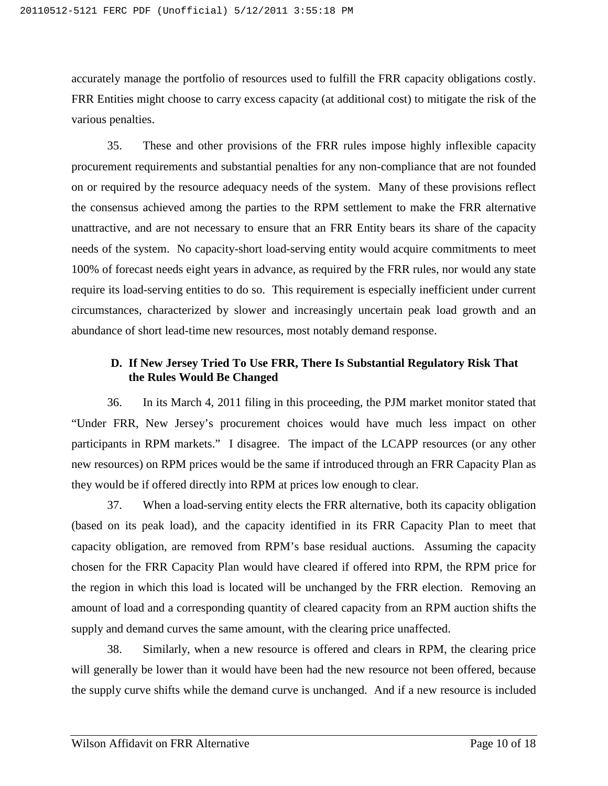accurately manage the portfolio of resources used to fulfill the FRR capacity obligations costly. FRR Entities might choose to carry excess capacity (at additional cost) to mitigate the risk of the various penalties.

35. These and other provisions of the FRR rules impose highly inflexible capacity procurement requirements and substantial penalties for any non-compliance that are not founded on or required by the resource adequacy needs of the system. Many of these provisions reflect the consensus achieved among the parties to the RPM settlement to make the FRR alternative unattractive, and are not necessary to ensure that an FRR Entity bears its share of the capacity needs of the system. No capacity-short load-serving entity would acquire commitments to meet 100% of forecast needs eight years in advance, as required by the FRR rules, nor would any state require its load-serving entities to do so. This requirement is especially inefficient under current circumstances, characterized by slower and increasingly uncertain peak load growth and an abundance of short lead-time new resources, most notably demand response.

## <span id="page-56-0"></span>**D. If New Jersey Tried To Use FRR, There Is Substantial Regulatory Risk That the Rules Would Be Changed**

36. In its March 4, 2011 filing in this proceeding, the PJM market monitor stated that "Under FRR, New Jersey's procurement choices would have much less impact on other participants in RPM markets." I disagree. The impact of the LCAPP resources (or any other new resources) on RPM prices would be the same if introduced through an FRR Capacity Plan as they would be if offered directly into RPM at prices low enough to clear.

37. When a load-serving entity elects the FRR alternative, both its capacity obligation (based on its peak load), and the capacity identified in its FRR Capacity Plan to meet that capacity obligation, are removed from RPM's base residual auctions. Assuming the capacity chosen for the FRR Capacity Plan would have cleared if offered into RPM, the RPM price for the region in which this load is located will be unchanged by the FRR election. Removing an amount of load and a corresponding quantity of cleared capacity from an RPM auction shifts the supply and demand curves the same amount, with the clearing price unaffected.

38. Similarly, when a new resource is offered and clears in RPM, the clearing price will generally be lower than it would have been had the new resource not been offered, because the supply curve shifts while the demand curve is unchanged. And if a new resource is included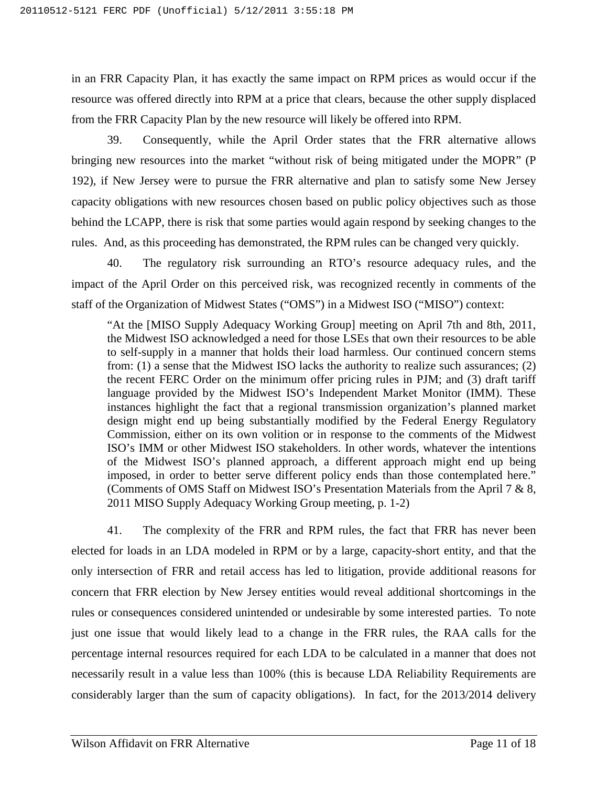in an FRR Capacity Plan, it has exactly the same impact on RPM prices as would occur if the resource was offered directly into RPM at a price that clears, because the other supply displaced from the FRR Capacity Plan by the new resource will likely be offered into RPM.

39. Consequently, while the April Order states that the FRR alternative allows bringing new resources into the market "without risk of being mitigated under the MOPR" (P 192), if New Jersey were to pursue the FRR alternative and plan to satisfy some New Jersey capacity obligations with new resources chosen based on public policy objectives such as those behind the LCAPP, there is risk that some parties would again respond by seeking changes to the rules. And, as this proceeding has demonstrated, the RPM rules can be changed very quickly.

40. The regulatory risk surrounding an RTO's resource adequacy rules, and the impact of the April Order on this perceived risk, was recognized recently in comments of the staff of the Organization of Midwest States ("OMS") in a Midwest ISO ("MISO") context:

"At the [MISO Supply Adequacy Working Group] meeting on April 7th and 8th, 2011, the Midwest ISO acknowledged a need for those LSEs that own their resources to be able to self-supply in a manner that holds their load harmless. Our continued concern stems from: (1) a sense that the Midwest ISO lacks the authority to realize such assurances; (2) the recent FERC Order on the minimum offer pricing rules in PJM; and (3) draft tariff language provided by the Midwest ISO's Independent Market Monitor (IMM). These instances highlight the fact that a regional transmission organization's planned market design might end up being substantially modified by the Federal Energy Regulatory Commission, either on its own volition or in response to the comments of the Midwest ISO's IMM or other Midwest ISO stakeholders. In other words, whatever the intentions of the Midwest ISO's planned approach, a different approach might end up being imposed, in order to better serve different policy ends than those contemplated here." (Comments of OMS Staff on Midwest ISO's Presentation Materials from the April 7 & 8, 2011 MISO Supply Adequacy Working Group meeting, p. 1-2)

41. The complexity of the FRR and RPM rules, the fact that FRR has never been elected for loads in an LDA modeled in RPM or by a large, capacity-short entity, and that the only intersection of FRR and retail access has led to litigation, provide additional reasons for concern that FRR election by New Jersey entities would reveal additional shortcomings in the rules or consequences considered unintended or undesirable by some interested parties. To note just one issue that would likely lead to a change in the FRR rules, the RAA calls for the percentage internal resources required for each LDA to be calculated in a manner that does not necessarily result in a value less than 100% (this is because LDA Reliability Requirements are considerably larger than the sum of capacity obligations). In fact, for the 2013/2014 delivery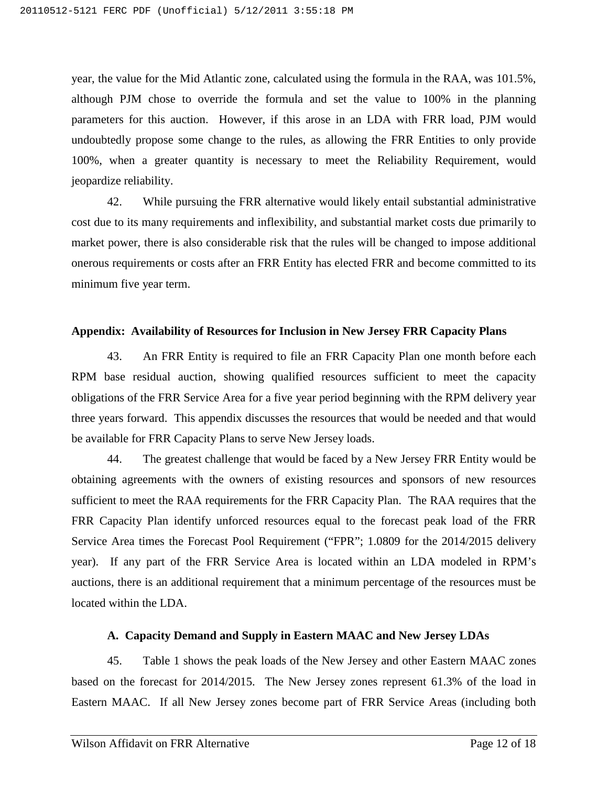year, the value for the Mid Atlantic zone, calculated using the formula in the RAA, was 101.5%, although PJM chose to override the formula and set the value to 100% in the planning parameters for this auction. However, if this arose in an LDA with FRR load, PJM would undoubtedly propose some change to the rules, as allowing the FRR Entities to only provide 100%, when a greater quantity is necessary to meet the Reliability Requirement, would jeopardize reliability.

42. While pursuing the FRR alternative would likely entail substantial administrative cost due to its many requirements and inflexibility, and substantial market costs due primarily to market power, there is also considerable risk that the rules will be changed to impose additional onerous requirements or costs after an FRR Entity has elected FRR and become committed to its minimum five year term.

#### <span id="page-58-0"></span>**Appendix: Availability of Resources for Inclusion in New Jersey FRR Capacity Plans**

43. An FRR Entity is required to file an FRR Capacity Plan one month before each RPM base residual auction, showing qualified resources sufficient to meet the capacity obligations of the FRR Service Area for a five year period beginning with the RPM delivery year three years forward. This appendix discusses the resources that would be needed and that would be available for FRR Capacity Plans to serve New Jersey loads.

44. The greatest challenge that would be faced by a New Jersey FRR Entity would be obtaining agreements with the owners of existing resources and sponsors of new resources sufficient to meet the RAA requirements for the FRR Capacity Plan. The RAA requires that the FRR Capacity Plan identify unforced resources equal to the forecast peak load of the FRR Service Area times the Forecast Pool Requirement ("FPR"; 1.0809 for the 2014/2015 delivery year). If any part of the FRR Service Area is located within an LDA modeled in RPM's auctions, there is an additional requirement that a minimum percentage of the resources must be located within the LDA.

#### **A. Capacity Demand and Supply in Eastern MAAC and New Jersey LDAs**

<span id="page-58-1"></span>45. Table 1 shows the peak loads of the New Jersey and other Eastern MAAC zones based on the forecast for 2014/2015. The New Jersey zones represent 61.3% of the load in Eastern MAAC. If all New Jersey zones become part of FRR Service Areas (including both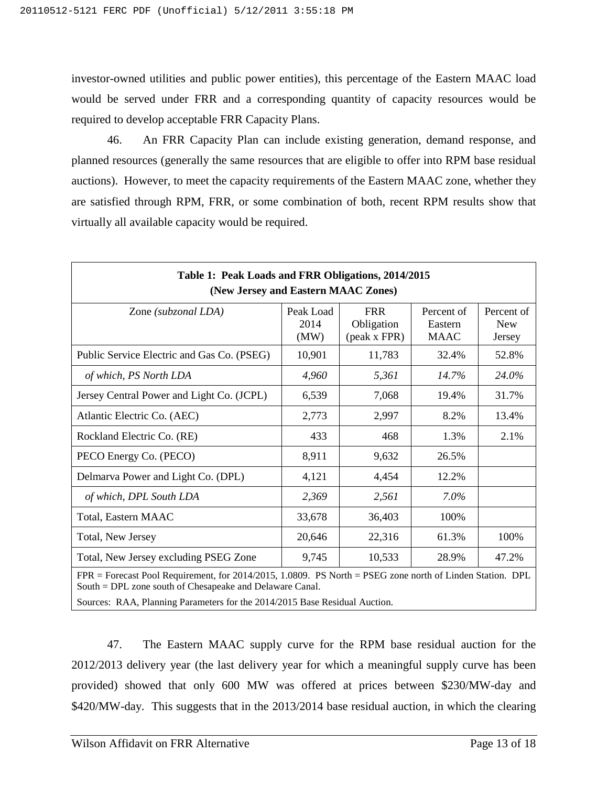investor-owned utilities and public power entities), this percentage of the Eastern MAAC load would be served under FRR and a corresponding quantity of capacity resources would be required to develop acceptable FRR Capacity Plans.

46. An FRR Capacity Plan can include existing generation, demand response, and planned resources (generally the same resources that are eligible to offer into RPM base residual auctions). However, to meet the capacity requirements of the Eastern MAAC zone, whether they are satisfied through RPM, FRR, or some combination of both, recent RPM results show that virtually all available capacity would be required.

| Table 1: Peak Loads and FRR Obligations, 2014/2015<br>(New Jersey and Eastern MAAC Zones)                 |                           |                                          |                                      |                                    |  |
|-----------------------------------------------------------------------------------------------------------|---------------------------|------------------------------------------|--------------------------------------|------------------------------------|--|
| Zone (subzonal LDA)                                                                                       | Peak Load<br>2014<br>(MW) | <b>FRR</b><br>Obligation<br>(peak x FPR) | Percent of<br>Eastern<br><b>MAAC</b> | Percent of<br><b>New</b><br>Jersey |  |
| Public Service Electric and Gas Co. (PSEG)                                                                | 10,901                    | 11,783                                   | 32.4%                                | 52.8%                              |  |
| of which, PS North LDA                                                                                    | 4,960                     | 5,361                                    | 14.7%                                | 24.0%                              |  |
| Jersey Central Power and Light Co. (JCPL)                                                                 | 6,539                     | 7,068                                    | 19.4%                                | 31.7%                              |  |
| Atlantic Electric Co. (AEC)                                                                               | 2,773                     | 2,997                                    | 8.2%                                 | 13.4%                              |  |
| Rockland Electric Co. (RE)                                                                                | 433                       | 468                                      | 1.3%                                 | 2.1%                               |  |
| PECO Energy Co. (PECO)                                                                                    | 8,911                     | 9,632                                    | 26.5%                                |                                    |  |
| Delmarva Power and Light Co. (DPL)                                                                        | 4,121                     | 4,454                                    | 12.2%                                |                                    |  |
| of which, DPL South LDA                                                                                   | 2,369                     | 2,561                                    | $7.0\%$                              |                                    |  |
| Total, Eastern MAAC                                                                                       | 33,678                    | 36,403                                   | 100%                                 |                                    |  |
| Total, New Jersey                                                                                         | 20,646                    | 22,316                                   | 61.3%                                | 100%                               |  |
| Total, New Jersey excluding PSEG Zone                                                                     | 9,745                     | 10,533                                   | 28.9%                                | 47.2%                              |  |
| FPR = Forecast Pool Requirement, for 2014/2015, 1.0809. PS North = PSEG zone north of Linden Station. DPL |                           |                                          |                                      |                                    |  |

South = DPL zone south of Chesapeake and Delaware Canal.

Sources: RAA, Planning Parameters for the 2014/2015 Base Residual Auction.

47. The Eastern MAAC supply curve for the RPM base residual auction for the 2012/2013 delivery year (the last delivery year for which a meaningful supply curve has been provided) showed that only 600 MW was offered at prices between \$230/MW-day and \$420/MW-day. This suggests that in the 2013/2014 base residual auction, in which the clearing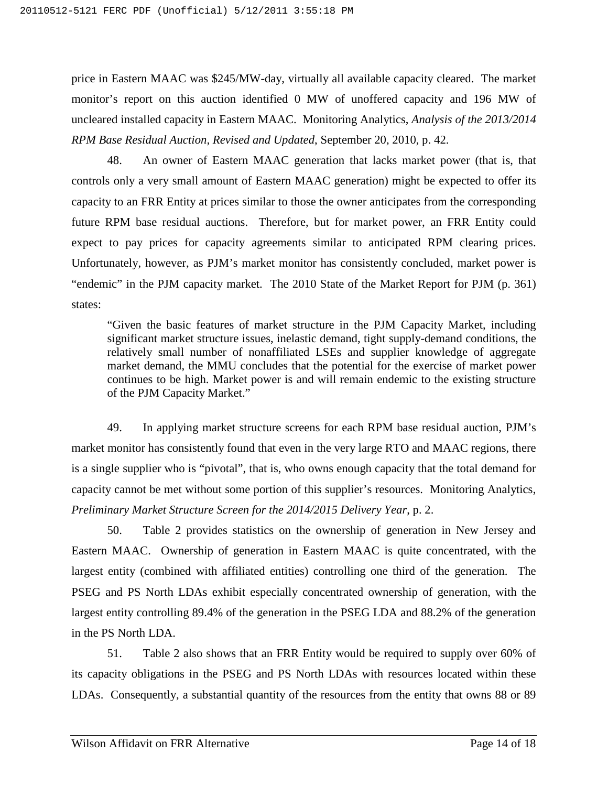price in Eastern MAAC was \$245/MW-day, virtually all available capacity cleared. The market monitor's report on this auction identified 0 MW of unoffered capacity and 196 MW of uncleared installed capacity in Eastern MAAC. Monitoring Analytics, *Analysis of the 2013/2014 RPM Base Residual Auction, Revised and Updated*, September 20, 2010, p. 42.

48. An owner of Eastern MAAC generation that lacks market power (that is, that controls only a very small amount of Eastern MAAC generation) might be expected to offer its capacity to an FRR Entity at prices similar to those the owner anticipates from the corresponding future RPM base residual auctions. Therefore, but for market power, an FRR Entity could expect to pay prices for capacity agreements similar to anticipated RPM clearing prices. Unfortunately, however, as PJM's market monitor has consistently concluded, market power is "endemic" in the PJM capacity market. The 2010 State of the Market Report for PJM (p. 361) states:

"Given the basic features of market structure in the PJM Capacity Market, including significant market structure issues, inelastic demand, tight supply-demand conditions, the relatively small number of nonaffiliated LSEs and supplier knowledge of aggregate market demand, the MMU concludes that the potential for the exercise of market power continues to be high. Market power is and will remain endemic to the existing structure of the PJM Capacity Market."

49. In applying market structure screens for each RPM base residual auction, PJM's market monitor has consistently found that even in the very large RTO and MAAC regions, there is a single supplier who is "pivotal", that is, who owns enough capacity that the total demand for capacity cannot be met without some portion of this supplier's resources. Monitoring Analytics, *Preliminary Market Structure Screen for the 2014/2015 Delivery Year*, p. 2.

50. Table 2 provides statistics on the ownership of generation in New Jersey and Eastern MAAC. Ownership of generation in Eastern MAAC is quite concentrated, with the largest entity (combined with affiliated entities) controlling one third of the generation. The PSEG and PS North LDAs exhibit especially concentrated ownership of generation, with the largest entity controlling 89.4% of the generation in the PSEG LDA and 88.2% of the generation in the PS North LDA.

51. Table 2 also shows that an FRR Entity would be required to supply over 60% of its capacity obligations in the PSEG and PS North LDAs with resources located within these LDAs. Consequently, a substantial quantity of the resources from the entity that owns 88 or 89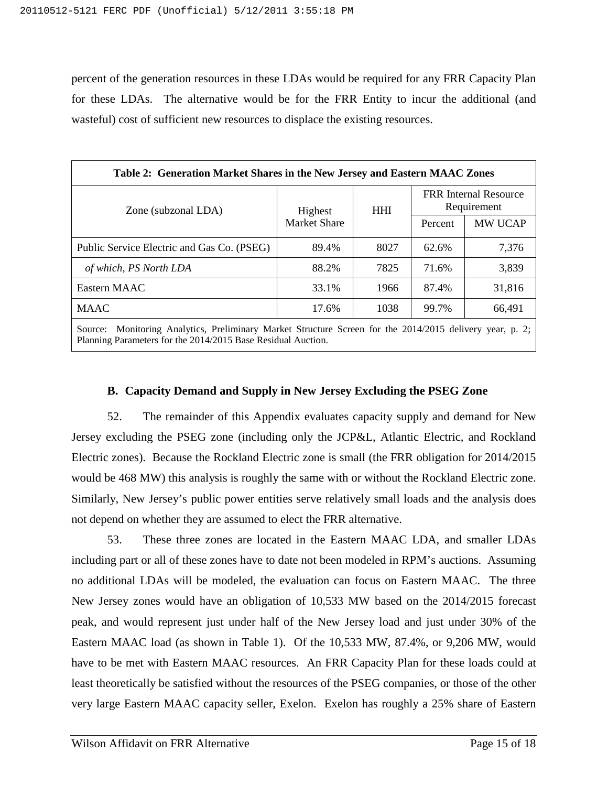percent of the generation resources in these LDAs would be required for any FRR Capacity Plan for these LDAs. The alternative would be for the FRR Entity to incur the additional (and wasteful) cost of sufficient new resources to displace the existing resources.

| Table 2: Generation Market Shares in the New Jersey and Eastern MAAC Zones                                  |                                |            |                                             |         |  |
|-------------------------------------------------------------------------------------------------------------|--------------------------------|------------|---------------------------------------------|---------|--|
| Zone (subzonal LDA)                                                                                         | Highest<br><b>Market Share</b> | <b>HHI</b> | <b>FRR</b> Internal Resource<br>Requirement |         |  |
|                                                                                                             |                                |            | Percent                                     | MW UCAP |  |
| Public Service Electric and Gas Co. (PSEG)                                                                  | 89.4%                          | 8027       | 62.6%                                       | 7,376   |  |
| of which, PS North LDA                                                                                      | 88.2%                          | 7825       | 71.6%                                       | 3,839   |  |
| Eastern MAAC                                                                                                | 33.1%                          | 1966       | 87.4%                                       | 31,816  |  |
| <b>MAAC</b>                                                                                                 | 17.6%                          | 1038       | 99.7%                                       | 66,491  |  |
| Monitoring Analytics, Preliminary Market Structure Screen for the 2014/2015 delivery year, p. 2;<br>Source: |                                |            |                                             |         |  |

<span id="page-61-0"></span>Planning Parameters for the 2014/2015 Base Residual Auction.

#### **B. Capacity Demand and Supply in New Jersey Excluding the PSEG Zone**

52. The remainder of this Appendix evaluates capacity supply and demand for New Jersey excluding the PSEG zone (including only the JCP&L, Atlantic Electric, and Rockland Electric zones). Because the Rockland Electric zone is small (the FRR obligation for 2014/2015 would be 468 MW) this analysis is roughly the same with or without the Rockland Electric zone. Similarly, New Jersey's public power entities serve relatively small loads and the analysis does not depend on whether they are assumed to elect the FRR alternative.

53. These three zones are located in the Eastern MAAC LDA, and smaller LDAs including part or all of these zones have to date not been modeled in RPM's auctions. Assuming no additional LDAs will be modeled, the evaluation can focus on Eastern MAAC. The three New Jersey zones would have an obligation of 10,533 MW based on the 2014/2015 forecast peak, and would represent just under half of the New Jersey load and just under 30% of the Eastern MAAC load (as shown in Table 1). Of the 10,533 MW, 87.4%, or 9,206 MW, would have to be met with Eastern MAAC resources. An FRR Capacity Plan for these loads could at least theoretically be satisfied without the resources of the PSEG companies, or those of the other very large Eastern MAAC capacity seller, Exelon. Exelon has roughly a 25% share of Eastern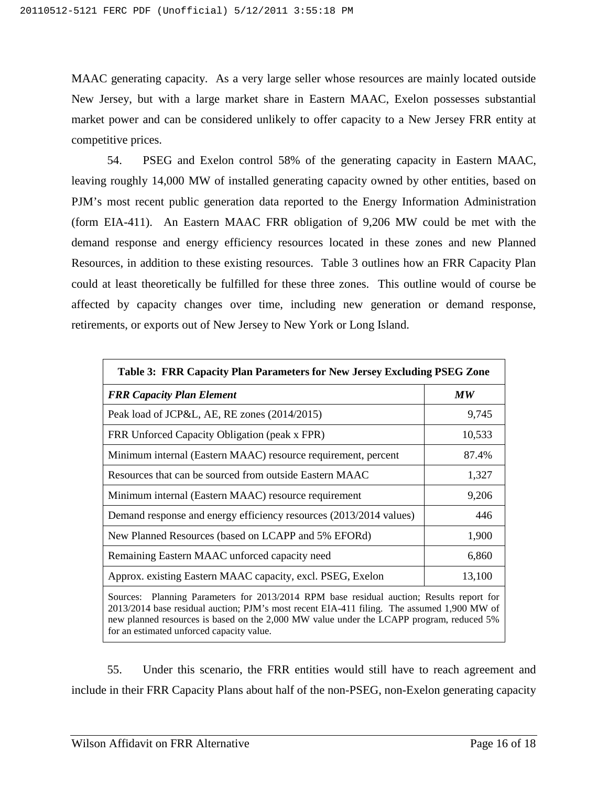MAAC generating capacity. As a very large seller whose resources are mainly located outside New Jersey, but with a large market share in Eastern MAAC, Exelon possesses substantial market power and can be considered unlikely to offer capacity to a New Jersey FRR entity at competitive prices.

54. PSEG and Exelon control 58% of the generating capacity in Eastern MAAC, leaving roughly 14,000 MW of installed generating capacity owned by other entities, based on PJM's most recent public generation data reported to the Energy Information Administration (form EIA-411). An Eastern MAAC FRR obligation of 9,206 MW could be met with the demand response and energy efficiency resources located in these zones and new Planned Resources, in addition to these existing resources. Table 3 outlines how an FRR Capacity Plan could at least theoretically be fulfilled for these three zones. This outline would of course be affected by capacity changes over time, including new generation or demand response, retirements, or exports out of New Jersey to New York or Long Island.

| Table 3: FRR Capacity Plan Parameters for New Jersey Excluding PSEG Zone                                                                                                                                                                                                                                                        |                                |  |  |  |
|---------------------------------------------------------------------------------------------------------------------------------------------------------------------------------------------------------------------------------------------------------------------------------------------------------------------------------|--------------------------------|--|--|--|
| <b>FRR Capacity Plan Element</b>                                                                                                                                                                                                                                                                                                | $\boldsymbol{M}\boldsymbol{W}$ |  |  |  |
| Peak load of JCP&L, AE, RE zones (2014/2015)                                                                                                                                                                                                                                                                                    | 9,745                          |  |  |  |
| FRR Unforced Capacity Obligation (peak x FPR)                                                                                                                                                                                                                                                                                   | 10,533                         |  |  |  |
| Minimum internal (Eastern MAAC) resource requirement, percent                                                                                                                                                                                                                                                                   | 87.4%                          |  |  |  |
| Resources that can be sourced from outside Eastern MAAC                                                                                                                                                                                                                                                                         | 1,327                          |  |  |  |
| Minimum internal (Eastern MAAC) resource requirement                                                                                                                                                                                                                                                                            | 9,206                          |  |  |  |
| Demand response and energy efficiency resources (2013/2014 values)                                                                                                                                                                                                                                                              | 446                            |  |  |  |
| New Planned Resources (based on LCAPP and 5% EFORd)                                                                                                                                                                                                                                                                             | 1,900                          |  |  |  |
| Remaining Eastern MAAC unforced capacity need                                                                                                                                                                                                                                                                                   | 6,860                          |  |  |  |
| Approx. existing Eastern MAAC capacity, excl. PSEG, Exelon                                                                                                                                                                                                                                                                      | 13,100                         |  |  |  |
| Sources: Planning Parameters for 2013/2014 RPM base residual auction; Results report for<br>2013/2014 base residual auction; PJM's most recent EIA-411 filing. The assumed 1,900 MW of<br>new planned resources is based on the 2,000 MW value under the LCAPP program, reduced 5%<br>for an estimated unforced capacity value. |                                |  |  |  |

55. Under this scenario, the FRR entities would still have to reach agreement and include in their FRR Capacity Plans about half of the non-PSEG, non-Exelon generating capacity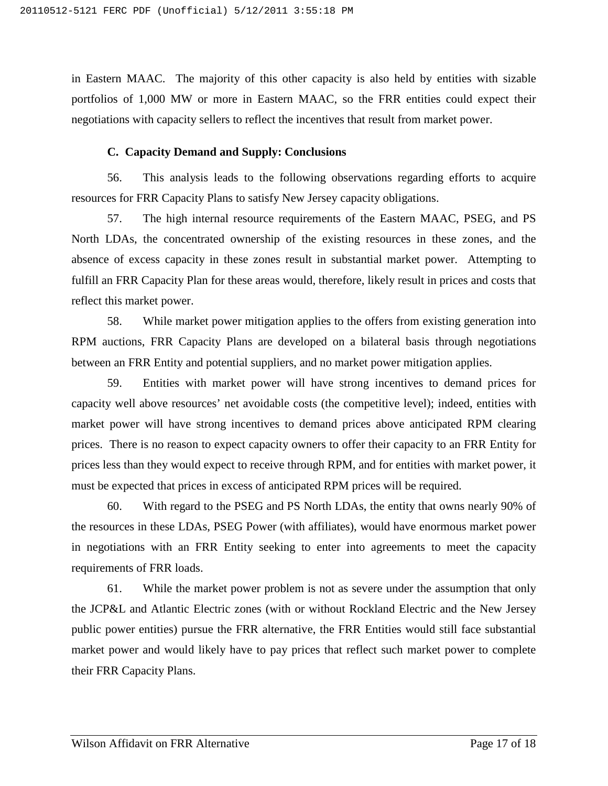in Eastern MAAC. The majority of this other capacity is also held by entities with sizable portfolios of 1,000 MW or more in Eastern MAAC, so the FRR entities could expect their negotiations with capacity sellers to reflect the incentives that result from market power.

## **C. Capacity Demand and Supply: Conclusions**

<span id="page-63-0"></span>56. This analysis leads to the following observations regarding efforts to acquire resources for FRR Capacity Plans to satisfy New Jersey capacity obligations.

57. The high internal resource requirements of the Eastern MAAC, PSEG, and PS North LDAs, the concentrated ownership of the existing resources in these zones, and the absence of excess capacity in these zones result in substantial market power. Attempting to fulfill an FRR Capacity Plan for these areas would, therefore, likely result in prices and costs that reflect this market power.

58. While market power mitigation applies to the offers from existing generation into RPM auctions, FRR Capacity Plans are developed on a bilateral basis through negotiations between an FRR Entity and potential suppliers, and no market power mitigation applies.

59. Entities with market power will have strong incentives to demand prices for capacity well above resources' net avoidable costs (the competitive level); indeed, entities with market power will have strong incentives to demand prices above anticipated RPM clearing prices. There is no reason to expect capacity owners to offer their capacity to an FRR Entity for prices less than they would expect to receive through RPM, and for entities with market power, it must be expected that prices in excess of anticipated RPM prices will be required.

60. With regard to the PSEG and PS North LDAs, the entity that owns nearly 90% of the resources in these LDAs, PSEG Power (with affiliates), would have enormous market power in negotiations with an FRR Entity seeking to enter into agreements to meet the capacity requirements of FRR loads.

61. While the market power problem is not as severe under the assumption that only the JCP&L and Atlantic Electric zones (with or without Rockland Electric and the New Jersey public power entities) pursue the FRR alternative, the FRR Entities would still face substantial market power and would likely have to pay prices that reflect such market power to complete their FRR Capacity Plans.